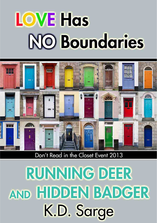# **LOVE Has NO Boundaries**



Don't Read in the Closet Event 2013

**RUNNING DEER** AND HIDDEN BADGER K.D. Sarge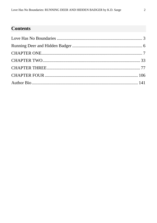## **Contents**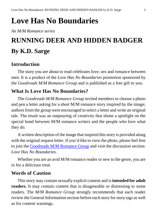## <span id="page-2-0"></span>**Love Has No Boundaries**

*An M/M Romance series*

# **RUNNING DEER AND HIDDEN BADGER By K.D. Sarge**

#### **Introduction**

The story you are about to read celebrates love, sex and romance between men. It is a product of the *Love Has No Boundaries* promotion sponsored by the *Goodreads M/M Romance Group* and is published as a free gift to you.

#### **What Is Love Has No Boundaries?**

The *Goodreads M/M Romance Group* invited members to choose a photo and pen a letter asking for a short M/M romance story inspired by the image; authors from the group were encouraged to select a letter and write an original tale. The result was an outpouring of creativity that shone a spotlight on the special bond between M/M romance writers and the people who love what they do.

A written description of the image that inspired this story is provided along with the original request letter. If you'd like to view the photo, please feel free to join the [Goodreads M/M Romance Group](http://www.goodreads.com/group/show/20149-m-m-romance) and visit the discussion section: *Love Has No Boundaries*.

Whether you are an avid M/M romance reader or new to the genre, you are in for a delicious treat.

#### **Words of Caution**

This story may contain sexually explicit content and is **intended for adult readers.** It may contain content that is disagreeable or distressing to some readers. The *M/M Romance Group* strongly recommends that each reader review the General Information section before each story for story tags as well as for content warnings.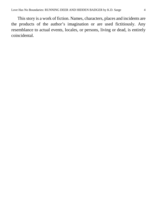This story is a work of fiction. Names, characters, places and incidents are the products of the author's imagination or are used fictitiously. Any resemblance to actual events, locales, or persons, living or dead, is entirely coincidental.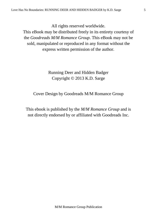All rights reserved worldwide.

This eBook may be distributed freely in its entirety courtesy of the *Goodreads M/M Romance Group*. This eBook may not be sold, manipulated or reproduced in any format without the express written permission of the author.

> Running Deer and Hidden Badger Copyright © 2013 K.D. Sarge

Cover Design by Goodreads M/M Romance Group

This ebook is published by the *M/M Romance Group* and is not directly endorsed by or affiliated with Goodreads Inc.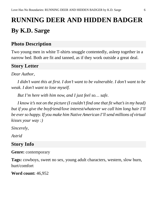# <span id="page-5-0"></span>**RUNNING DEER AND HIDDEN BADGER By K.D. Sarge**

#### **Photo Description**

Two young men in white T-shirts snuggle contentedly, asleep together in a narrow bed. Both are fit and tanned, as if they work outside a great deal.

## **Story Letter**

*Dear Author*,

*I didn't want this at first. I don't want to be vulnerable. I don't want to be weak. I don't want to lose myself.*

*But I'm here with him now, and I just feel so… safe.*

*I know it's not on the picture (I couldn't find one that fit what's in my head) but if you give the boyfriend/love interest/whatever we call him long hair I'll be ever so happy. If you make him Native American I'll send millions of virtual kisses your way :)*

*Sincerely,*

*Astrid*

## **Story Info**

**Genre:** contemporary

**Tags:** cowboys, sweet no sex, young adult characters, western, slow burn, hurt/comfort

**Word count:** 46,952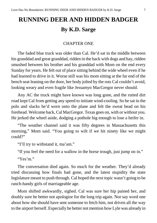## **RUNNING DEER AND HIDDEN BADGER By K.D. Sarge**

#### CHAPTER ONE

<span id="page-6-0"></span>The faded blue truck was older than Cal. He'd sat in the middle between his granddad and great granddad, ridden in the back with dogs and hay, ridden smushed between his brother and his granddad with Mom on the end every Sunday for years. He felt out of place sitting behind the wide wheel even if he had learned to drive in it. Worse still was his mom sitting at the far end of the bench seat leaning on the door, her body jolted by the ruts Cal couldn't avoid, looking weary and even fragile like Jessamyn MacGregor never should.

Any AC the truck might have known was long gone, and the rutted dirt road kept Cal from getting any speed to initiate wind-cooling. So he sat in the polo and slacks he'd worn onto the plane and felt the sweat bead on his forehead. Welcome back, Cal MacGregor. Texas goes on, with or without you. He jerked the wheel aside, dodging a pothole big enough to lose a heifer in.

"The weather channel said it was fifty degrees in Massachusetts this morning," Mom said. "You going to wilt if we hit ninety like we might could?"

"I'll try to withstand it, ma'am."

"If you feel the need for a wallow in the horse trough, just jump on in."

"Yes'm"

The conversation died again. So much for the weather. They'd already tried discussing how finals had gone, and the latest stupidity the state legislature meant to push through. Cal hoped the next topic wasn't going to be ranch-handy girls of marriageable age.

Mom shifted awkwardly, sighed. Cal was sure her hip pained her, and doubly sure he better not apologize for the long trip again. Nor say word one about how she should have sent someone to fetch him, not driven all the way to the airport herself. Especially he better not mention how Lyle was already in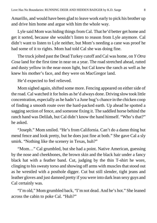Amarillo, and would have been glad to leave work early to pick his brother up and drive him home and argue with him the whole way.

Lyle said Mom was hiding things from Cal. That he'd better get home and get it sorted, because she wouldn't listen to reason from Lyle anymore. Cal didn't want to listen to Lyle neither, but Mom's needing a cane was proof he had some of it to rights. Mom had told Cal she was doing fine.

The truck jolted past the Dead Turkey cutoff and Cal was home, on *Y Otra Cosa* land for the first time in near on a year. The road stretched ahead, rutted and dusty yellow in the near-noon light, but Cal knew the ranch as well as he knew his mother's face, and they were on MacGregor land.

He'd expected to feel relieved.

Mom sighed again, shifted some more. Fencing appeared on either side of the road. Cal watched it for holes as he'd always done. Driving slow took little concentration, especially as he hadn't a June bug's chance in the chicken coop of finding a smooth route over the hard-packed earth. Up ahead he spotted a sagging section of fence, and someone fixing it. The saddled horse behind the ranch hand was Delilah, but Cal didn't know the hand himself. "Who's that?" he asked.

"Joseph." Mom smiled. "He's from California. Can't do a damn thing but mend fence and look pretty, but he does just fine at both." She gave Cal a sly smirk. "Nothing like the scenery in Texas, huh?"

"Mom…" Cal grumbled, but she had a point. Native American, guessing by the nose and cheekbones, the brown skin and the black hair under a fancy black hat with a feather band. Cut, judging by the thin T-shirt he wore, clinging to his sweaty torso and showing off arms with muscles that stood out as he wrestled with a posthole digger. Cut but still slender, tight jeans and leather gloves and just damned pretty if you were into dark lean sexy guys and Cal certainly was.

"I'm old," Mom grumbled back, "I'm not dead. And he's hot." She leaned across the cabin to poke Cal. "Huh?"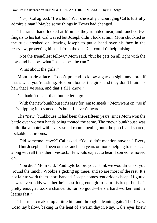"Yes," Cal agreed. "He's hot." Was she really encouraging Cal to lustfully admire a man? Maybe some things in Texas had changed.

The ranch hand looked at Mom as they rumbled near, and touched two fingers to his hat. Cal waved but Joseph didn't look at him. Mom chuckled as the truck creaked on, leaving Joseph to put a hand over his face in the rearview, protecting himself from the dust Cal couldn't help raising.

"Not the friendliest fellow," Mom said, "but he gets on all right with the boys and he does what I ask as best he can."

"What about the girls?"

Mom made a face. "I don't pretend to know a gay on sight anymore, if that's what you're asking. He don't bother the girls, and they don't braid his hair that I've seen, and that's all I know."

Cal hadn't meant that, but he let it go.

"With the new bunkhouse it's easy for 'em to sneak," Mom went on, "so if he's slipping into someone's bunk I haven't heard."

The "new" bunkhouse. It had been there fifteen years, since Mom won the battle over women hands being treated the same. The "new" bunkhouse was built like a motel with every small room opening onto the porch and shared, lockable bathrooms.

"Did someone leave?" Cal asked. "You didn't mention anyone." Every hand but Joseph had been on the ranch ten years or more, helping to raise Cal along with all the other livestock. He would expect to hear if someone moved on.

"You did," Mom said. "And Lyle before you. Think we wouldn't miss you 'round the ranch? Wobbie's getting up there, and so are most of the rest. It's not fair to work them short-handed. Joseph comes tenderfoot-cheap. I figured it was even odds whether he'd last long enough to earn his keep, but he's pretty enough I took a chance. So far, so good—he's a hard worker, and he learns fast."

The truck creaked up a little hill and through a leaning gate. The *Y Otra Cosa* lay below, baking in the heat of a warm day in May. Cal's eyes knew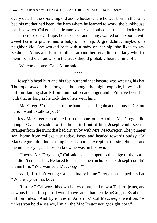every detail—the sprawling old adobe house where he was born in the same bed his mother had been, the barn where he learned to work, the bunkhouse, the shed where Cal got his hide tanned once and only once, the paddock where he learned to rope… Lupe, housekeeper and nanny, waited on the porch with sweet tea in a pitcher and a baby on her lap. A grandchild, maybe, or a neighbor kid. She worked best with a baby on her hip, she liked to say. Sekhmet, Athos and Porthos all sat around her, guarding the lady who fed them from the unknowns in the truck they'd probably heard a mile off.

"Welcome home, Cal," Mom said.

\*\*\*\*

Joseph's head hurt and his feet hurt and that bastard was wearing his hat. The rope sawed at his arms, and he thought he might explode, blow up in a million flaming shards from humiliation and anger and he'd have been fine with that as long as he took the others with him.

"MacGregor!" the leader of the bandits called again at the house. "Get out here, I want to talk to you!"

Jess MacGregor continued to not come out. Another MacGregor did, though. Over the saddle of the horse in front of him, Joseph could see the stranger from the truck that had driven by with Mrs. MacGregor. The younger son, home from college just today. Pasty and headed towards pudgy, Cal MacGregor didn't look a thing like his mother except for the straight nose and the intense eyes, and Joseph knew he was on his own.

"Howdy, Mr. Ferguson," Cal said as he stepped to the edge of the porch but didn't come off it. He faced four armed men on horseback. Joseph couldn't blame him. "You wanted a MacGregor?"

"Well, if it isn't young Callan, finally home." Ferguson tapped his hat. "Where's your ma, boy?"

"Resting." Cal wore his own battered hat, and now a T-shirt, jeans, and cowboy boots. Joseph still would have rather had Jess MacGregor. By about a million miles. "And Lyle lives in Amarillo," Cal MacGregor went on, "so unless you hold a seance, I'm all the MacGregor you get right now."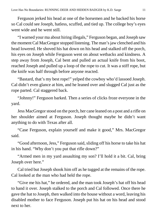Ferguson jerked his head at one of the horsemen and he backed his horse so Cal could see Joseph, hatless, scuffed, and tied up. The college boy's eyes went wide and he went still.

"I warned your ma about hiring illegals," Ferguson began, and Joseph saw the moment Cal MacGregor stopped listening. The man's jaw clenched and his head lowered. He shoved his hat down on his head and stalked off the porch, his eyes on Joseph while Ferguson went on about wetbacks and kindness. A step away from Joseph, Cal bent and pulled an actual knife from his boot, reached Joseph and pulled up a loop of the rope to cut. It was a stiff rope, but the knife was half through before anyone reacted.

"Bastard, that's my best rope!" yelped the cowboy who'd lassoed Joseph. Cal didn't even glance at him, and he leaned over and slugged Cal just as the rope parted. Cal staggered back.

"Johnny!" Ferguson barked. Then a series of clicks froze everyone in the yard.

Jess MacGregor stood on the porch, her cane leaned on a post and a rifle on her shoulder aimed at Ferguson. Joseph thought maybe he didn't want anything to do with Texas after all.

"Case Ferguson, explain yourself and make it good," Mrs. MacGregor said.

"Good afternoon, Jess," Ferguson said, sliding off his horse to take his hat in his hand. "Why don't you put that rifle down?"

"Armed men in my yard assaulting my son? I'll hold it a bit. Cal, bring Joseph over here."

Cal tried but Joseph shook him off as he tugged at the remains of the rope. Cal looked at the man who had held the rope.

"Give me his hat," he ordered, and the man took Joseph's hat off his head to hand it over. Joseph stalked to the porch and Cal followed. Once there he gave the hat to Joseph, then walked into the house without a word, leaving his disabled mother to face Ferguson. Joseph put his hat on his head and stood next to her.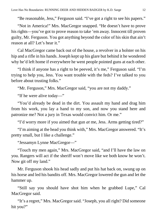"Be reasonable, Jess," Ferguson said. "I've got a right to see his papers."

"Not in America!" Mrs. MacGregor snapped. "He doesn't have to prove his rights—you've got to prove reason to take 'em away. Innocent till proven guilty, Mr. Ferguson. You got anything beyond the color of his skin that ain't reason at all? Let's hear it."

Cal MacGregor came back out of the house, a revolver in a holster on his hip and a rifle in his hands. Joseph kept up his glare but behind it he wondered why he'd left home if everywhere he went people pointed guns at each other.

"I think if anyone has a right to be peeved, it's me," Ferguson said. "I'm trying to help you, Jess. You want trouble with the feds? I've talked to you before about trusting folks."

"Mr. Ferguson," Mrs. MacGregor said, "you are not my daddy."

"If he were alive today—"

"You'd already be dead in the dirt. You assault my hand and drag him from his work, you lay a hand to my son, and now you stand here and patronize me? Not a jury in Texas would convict him. Or me."

"I'd worry more if you aimed that gun *at* me, Jess. Arms getting tired?"

"I'm aiming at the head you think with," Mrs. MacGregor answered. "It's pretty small, but I like a challenge."

"Jessamyn Lynne MacGregor—"

"Touch my men again," Mrs. MacGregor said, "and I'll have the law on you. Rangers will act if the sheriff won't move like we both know he won't. Now git off my land."

Mr. Ferguson shook his head sadly and put his hat back on, swung up on his horse and led his bandits off. Mrs. MacGregor lowered the gun and let the hammer up.

"Still say you should have shot him when he grabbed Lupe," Cal MacGregor said.

"It's a regret," Mrs. MacGregor said. "Joseph, you all right? Did someone hit you?"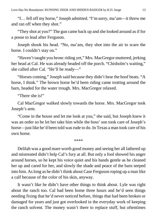"I… fell off my horse," Joseph admitted. "I'm sorry, ma'am—it threw me and ran off when they shot."

"They shot at you?" The gun came back up and she looked around as if for a posse to lead after Ferguson.

Joseph shook his head. "No, ma'am, they shot into the air to scare the horse. I couldn't stay on."

"Haven't taught you bronc riding yet," Mrs. MacGregor muttered, jerking her head at Cal. He was already headed off the porch. "Chisholm's waiting," she called after Cal. "He'll be ready—"

"Horses coming," Joseph said because they didn't hear the hoof beats. "A horse, I think." The brown horse he'd been riding came trotting around the barn, headed for the water trough. Mrs. MacGregor relaxed.

"There she is!"

Cal MacGregor walked slowly towards the horse. Mrs. MacGregor took Joseph's arm.

"Come in the house and let me look at you," she said, but Joseph knew it was an order so he let her take him while the boss' son took care of Joseph's horse—just like he'd been told was rude to do. In Texas a man took care of his own horse.

\*\*\*\*

Delilah was a good mare worth good money and seeing her all lathered up and mistreated didn't help Cal's fury at all. But only a fool showed his anger around horses, so he kept his voice quiet and his hands gentle as he cleaned her up and cared for her, and slowly the shade and peace of the barn seeped into him. As long as he didn't think about Case Ferguson roping up a man like a calf because of the color of his skin, anyway.

It wasn't like he didn't have other things to think about. Lyle was right about the ranch too. Cal had been home three hours and he'd seen things needing fixing that he'd never noticed before, things that had been broken or damaged for years and just got overlooked in the everyday work of keeping the ranch solvent. The money wasn't there to replace stuff, but oftentimes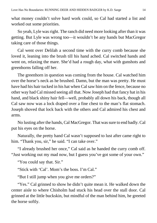what money couldn't solve hard work could, so Cal had started a list and worked out some priorities.

So yeah, Lyle was right. The ranch did need more looking after than it was getting. But Lyle was wrong too—it wouldn't be any hands but MacGregor taking care of those things.

Cal went over Delilah a second time with the curry comb because she loved it, leaning into the brush till his hand ached. Cal switched hands and went on, relaxing the mare. She'd had a rough day, what with gunshots and greenhorns falling off her.

The greenhorn in question was coming from the house. Cal watched him over the horse's neck as he brushed. Damn, but the man was pretty. He must have had his hair tucked in his hat when Cal saw him on the fence, because no other way had Cal missed seeing all that. Now Joseph had that fancy hat in his hand, and black shiny hair fell—well, probably all down his back, though all Cal saw now was a lock draped over a fine chest to the man's flat stomach. Joseph shoved that lock back with the others and Cal admired his chest and arms.

No lusting after the hands, Cal MacGregor. That was sure to end badly. Cal put his eyes on the horse.

Naturally, the pretty hand Cal wasn't supposed to lust after came right to him. "Thank you, sir," he said. "I can take over."

"I already brushed her once," Cal said as he handed the curry comb off. "Just working out my mad now, but I guess you've got some of your own."

"You could say that. Sir."

"Stick with 'Cal'. Mom's the boss. I'm Cal."

"But I still jump when you give me orders?"

"Yes." Cal grinned to show he didn't quite mean it. He walked down the center aisle to where Chisholm had stuck his head over the stall door. Cal grinned at the little buckskin, but mindful of the man behind him, he greeted the horse softly.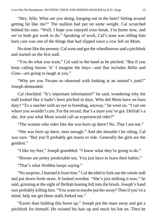"Hey, fella. What are you doing, hanging out in the barn? Sitting around getting fat like me?" The stallion had put on some weight. Cal scratched behind his ears. "Well, I hope you enjoyed your break. I'm home now, and we've both got work to do." Speaking of work, Cal's nose was telling him barn care was one of the things that had slipped since a cow fell on Mom.

No time like the present. Cal went and got the wheelbarrow and a pitchfork and started on the first stall.

"You do what you want," Cal said to the hand as he pitched. "But if you keep calling horses 'it' I imagine the boys—and that includes Billie and Gina—are going to laugh at you."

"Why are you Texans so obsessed with looking at an animal's junk?" Joseph demanded.

Cal chuckled. "It's important information!" he said, wondering why the stall looked like it hadn't been pitched in days. Who did Mom have on barn duty? "To a rancher with an eye to breeding, anyway," he went on. "I can see where you wouldn't care. For the record, that's a mare you've got. Delilah's a she. Are you what Mom would call an experienced rider?"

"The woman who rides like she was born up there? No. That I am not."

"She was born up there, near enough." And she shouldn't be riding, Cal was sure. "But you'll probably get mares to ride. Generally the girls are the gentlest."

"I like my feet," Joseph grumbled. "I know what they're going to do."

"Horses are pretty predictable too. You just have to learn their habits."

"That's what Wobbie keeps saying."

"No surprise, I learned it from him." Cal decided to fork out the whole stall and put down fresh straw. It looked overdue. "She's just milking it now," he said, grinning at the sight of Delilah leaning full into the brush. Joseph's hand was probably killing him. "You want to maybe put her away? Then if you've a mind, help me get these stalls forked out."

"Easier than holding this horse up." Joseph put the mare away and got a pitchfork for himself. He twisted his hair up and stuck his hat on. Then he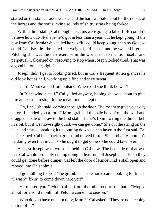started on the stall across the aisle, and the barn was silent but for the noises of the horses and the soft sucking sounds of shitty straw being forked.

Within three stalls, Cal thought his arms were going to fall off. He couldn't believe how out-of-shape he'd got in less than a year, but he kept going. If the boy from California who called horses "it" could keep going, then by God, so could Cal. Besides, he hated the weight he'd put on and he wanted it gone. Pitching shit was the best exercise in the world, not to mention useful and perpetual. Cal carried on, resolving to stop when Joseph looked tired. That was a good barometer, right?

Joseph didn't get to looking tired, but in Cal's frequent stolen glances he did look hot as hell, working up a fine and sexy sweat.

"Cal?" Mom called from outside. Where did she think he was?

"In Rincewind's stall," Cal yelled anyway, hoping she was about to give him an excuse to stop. In the meantime he kept on.

"Oh, fine," she said, coming through the door. "I'd meant to give you a day before I handed you a fork." Mom grabbed the bale hook from the wall and dragged a bale of straw to the first stall. "Lupe's fixin' to ring the dinner bell in a bit, but if we move right quick we can get done." She cut the string on the bale and started breaking it up, putting down a clean layer in the first stall Cal had cleaned. Cal held back a groan and moved faster. She probably shouldn't be doing even that much, so he ought to get done so he could take over.

At least Joseph was two stalls behind Cal now. The bad side of that was that Cal would probably end up doing at least one of Joseph's stalls, so they could get done before dinner. Cal left the door of Rincewind's stall open and moved into Chisholm's.

"I got nothing for you," he grumbled as the horse came looking for treats. "I wasn't fixin' to come down here yet!"

"He missed you!" Mom called from the other end of the barn. "Moped about for a solid month, till Petunia came into season."

"Who do you have on barn duty, Mom?" Cal asked. "They're not keeping on top of it."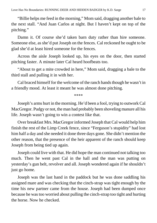"Billie helps me feed in the morning," Mom said, dragging another bale to the next stall. "And Juan Carlos at night. But I haven't kept on top of the pitching."

Damn it. Of course she'd taken barn duty rather than hire someone. Someone else, as she'd put Joseph on the fences. Cal reckoned he ought to be glad she'd at least hired someone for the fences.

Across the aisle Joseph looked up, his eyes on the door, then started pitching faster. A minute later Cal heard hoofbeats too.

"About to get a mite crowded in here," Mom said, dragging a bale to the third stall and pulling it in with her.

Cal braced himself for the welcome of the ranch hands though he wasn't in a friendly mood. At least it meant he was almost done pitching.

\*\*\*\*

Joseph's arms hurt in the morning. He'd been a fool, trying to outwork Cal MacGregor. Pudgy or not, the man had probably been shoveling manure all his life. Joseph wasn't going to win a contest like that.

Over breakfast Mrs. MacGregor informed Joseph that Cal would help him finish the rest of the Limp Creek fence, since "Ferguson's stupidity" had lost him half a day and she needed it done three days gone. She didn't mention the other reason, that the presence of the heir apparent of the ranch should keep Joseph from being tied up again.

Joseph could live with that. He did hope the man continued not talking too much. Then he went past Cal in the hall and the man was putting on yesterday's gun belt, revolver and all. Joseph wondered again if he shouldn't just go home.

Joseph was the last hand in the paddock but he was done saddling his assigned mare and was checking that the cinch-strap was tight enough by the time his new partner came from the house. Joseph had been dumped once because he was too worried about pulling the cinch-strap too tight and hurting the horse. Now he checked.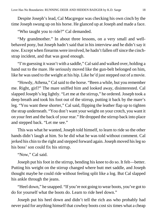Despite Joseph's lead, Cal Macgregor was checking his own cinch by the time Joseph swung up on his horse. He glanced up at Joseph and made a face.

"Who taught you to ride?" Cal demanded.

"My grandmother." In about three lessons, on a very small and wellbehaved pony, but Joseph hadn't said that in his interview and he didn't say it now. Except when firearms were involved, he hadn't fallen off since the cinchstrap incident, and that was good enough.

"I'm guessing it wasn't with a saddle," Cal said and walked over, holding a hand out to the mare. He seriously moved like the gun-belt belonged on him, like he was used to the weight at his hip. Like he'd just stepped out of a movie.

"Howdy, Athena," Cal said to the horse. "Been a while, but you remember me. Right, girl?" The mare sniffed him and looked away, disinterested. Cal slapped Joseph's leg lightly. "Let me at the stirrup," he ordered. Joseph took a deep breath and took his foot out of the stirrup, putting it back by the mare's leg. "You want these shorter," Cal said, flipping the leather flap up to tighten the strap underneath. "You don't want your weight on your crotch, you want it on your feet and the back of your rear." He dropped the stirrup back into place and stepped back. "Let me see."

This was what he wanted, Joseph told himself, to learn to ride so the other hands didn't laugh at him. So he did what he was told without comment. Cal jerked his chin to the right and stepped forward again. Joseph moved his leg so his boss' son could fix his stirrup.

"Now," Cal said.

Joseph put his foot in the stirrup, bending his knee to do so. It felt—better. Putting his weight on the stirrup changed where butt met saddle, and Joseph thought maybe he could ride without feeling split like a log. But Cal slapped his ankle through the jeans.

"Heel down," he snapped. "If you're not going to wear boots, you've got to do for yourself what the boots do. Learn to ride heel down."

Joseph put his heel down and didn't tell the rich ass who probably had never paid for anything himself that cowboy boots cost six times what a cheap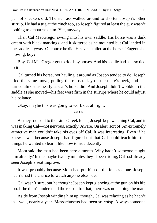pair of sneakers did. The rich ass walked around to shorten Joseph's other stirrup. He had a tug at the cinch too, so Joseph figured at least the guy wasn't looking to embarrass him. Yet, anyway.

Then Cal MacGregor swung into his own saddle. His horse was a dark cream with black markings, and it skittered as he mounted but Cal landed in the saddle anyway. Of course he did. He even smiled at the horse. "Eager to be moving, boy?"

Boy. Cal MacGregor got to ride boy horses. And his saddle had a lasso tied to it.

Cal turned his horse, not hauling it around as Joseph tended to do. Joseph tried the same move, pulling the reins to lay on the mare's neck, and she turned almost as neatly as Cal's horse did. And Joseph didn't wobble in the saddle as she moved—his feet were firm in the stirrups where he could adjust his balance.

Okay, maybe this was going to work out all right.

\*\*\*\*

As they rode out to the Limp Creek fence, Joseph kept watching Cal, and it was making Cal—not nervous, exactly. Aware. On alert, sort of. An extremely attractive man couldn't take his eyes off Cal. It was interesting. Even if he knew it was because Joseph had figured out that Cal could teach him the things he wanted to learn, like how to ride decently.

Mom said the man had been here a month. Why hadn't someone taught him already? In the maybe twenty minutes they'd been riding, Cal had already seen Joseph's seat improve.

It was probably because Mom had put him on the fences alone. Joseph hadn't had the chance to watch anyone else ride.

Cal wasn't sure, but he thought Joseph kept glancing at the gun on his hip too. If he didn't understand the reason for that, there was no helping the man.

Aside from Joseph winding him up, though, Cal was relaxing as he hadn't in—well, nearly a year. Massachusetts had been so *noisy*. Always someone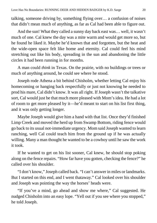talking, someone driving by, something flying over… a confusion of noises that didn't mean much of anything, as far as Cal had been able to figure out.

And the sun! What they called a sunny day back east was… well, it wasn't much of one. Cal knew the day was a mite warm and would get more so, but he found he liked it. Maybe he'd known that and forgotten, but the heat and the wide-open space felt like home and eternity. Cal could feel his mind stretching out like his body, spreading in the sun and abandoning the little circles it had been running in for months.

A man could *think* in Texas. On the prairie, with no buildings or trees or much of anything around, he could see where he stood.

Joseph rode Athena a bit behind Chisholm, whether letting Cal enjoy his homecoming or hanging back respectfully or just not knowing he needed to prod his mare, Cal didn't know. It was all right. If Joseph wasn't the talkative sort, Cal would just be that much more pleased with Mom's idea. He had a lot of room to get more pleased by it—he'd meant to start on his list first thing, and it was only getting longer.

Maybe Joseph would give him a hand with that list. Once they'd finished Limp Creek and moved the herd up from Swamp Bottom, riding fence would go back to its usual not-immediate urgency. Mom said Joseph wanted to learn ranching, well Cal could teach him from the ground up if he was actually willing. Many a man thought he wanted to be a cowboy until he saw the work it took.

If he wanted to get on his list sooner, Cal knew, he should stop poking along on the fence repairs. "How far have you gotten, checking the fence?" he called over his shoulder.

"I don't know," Joseph called back. "I can't answer in miles or landmarks. But I started on this end, and I went thataway." Cal looked over his shoulder and Joseph was pointing the way the horses' heads were.

"If you've a mind, go ahead and show me where," Cal suggested. He nudged Chisholm into an easy lope. "Yell out if you see where you stopped," he told Joseph.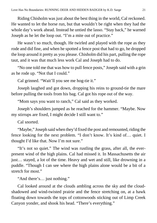Riding Chisholm was just about the best thing in the world, Cal reckoned. He wanted to let the horse run, but that wouldn't be right when they had the whole day's work ahead. Instead he untied the lasso. "Stay back," he warned Joseph as he let the loop out. "I'm a mite out of practice."

He wasn't so much, though. He twirled and played with the rope as they rode and did fine, and when he spotted a fence post that had to go, he dropped the loop around it pretty as you please. Chisholm did his part, pulling the rope taut, and it was that much less work Cal and Joseph had to do.

"No one told me that was how to pull fence posts," Joseph said with a grin as he rode up. "Not that I could."

Cal grinned. "Wait'll you see me hog-tie it."

Joseph laughed and got down, dropping his reins to ground-tie the mare before pulling the tools from his bag. Cal got his rope out of the way.

"Mom says you want to ranch," Cal said as they worked.

Joseph's shoulders jumped as he reached for the hammer. "Maybe. Now my stirrups are fixed, I might decide I still want to."

Cal snorted.

"Maybe," Joseph said when they'd fixed the post and remounted, riding the fence looking for the next problem. "I don't know. It's kind of… quiet. I thought I'd like that. Now I'm not sure."

"It's not so quiet." The wind was rustling the grass, after all, the everpresent wind of the high plains. Cal had missed it. In Massachusetts the air just… stayed, a lot of the time. Heavy and wet and still, like drowning in a puddle. "Though I can see where the high plains alone would be a bit of a stretch for most."

"And there's… just nothing."

Cal looked around at the clouds ambling across the sky and the cloudshadowed and wind-twisted prairie and the fence stretching on, at a hawk floating down towards the tops of cottonwoods sticking out of Limp Creek Canyon yonder, and shook his head. "There's everything."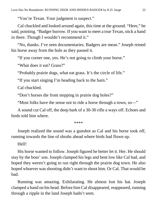"You're Texan. Your judgment is suspect."

Cal chuckled and looked around again, this time at the ground. "Here," he said, pointing. "Badger burrow. If you want to meet a true Texan, stick a hand in there. Though I wouldn't recommend it."

"No, thanks. I've seen documentaries. Badgers are mean." Joseph reined his horse away from the hole as they passed it.

"If you corner one, yes. He's not going to climb your horse."

"What does it eat? Grass?"

"Probably prairie dogs, what eat grass. It's the circle of life."

"If you start singing I'm heading back to the barn."

Cal chuckled.

"Don't horses die from stepping in prairie dog holes?"

"Most folks have the sense not to ride a horse through a town, so—"

A sound cut Cal off, the deep bark of a 30-30 rifle a ways off. Echoes and birds told him where.

\*\*\*\*

Joseph realized the sound was a gunshot as Cal and his horse took off, running towards the line of shrubs ahead where birds had flown up.

#### Hell!

His horse wanted to follow. Joseph figured he better let it. Her. He should stay by the boss' son. Joseph clamped his legs and bent low like Cal had, and hoped they weren't going to run right through the prairie dog town. He also hoped whoever was shooting didn't want to shoot him. Or Cal. That would be bad.

Running was amazing. Exhilarating. He almost lost his hat. Joseph clamped a hand on his head. Before him Cal disappeared, reappeared, running through a ripple in the land Joseph hadn't seen.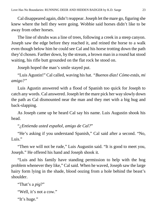Cal disappeared again, didn't reappear. Joseph let the mare go, figuring she knew where the hell they were going. Wobbie said horses didn't like to be away from other horses.

The line of shrubs was a line of trees, following a creek in a steep canyon. Joseph saw the edge before they reached it, and reined the horse to a walk even though below him he could see Cal and his horse trotting down the path they'd chosen. Farther down, by the stream, a brown man in a round hat stood waiting, his rifle butt grounded on the flat rock he stood on.

Joseph hoped the man's smile stayed put.

"Luis Agustin!" Cal called, waving his hat. *"Buenos días! Cómo estás, mi amigo?"*

Luis Agustin answered with a flood of Spanish too quick for Joseph to catch any words. Cal answered. Joseph let the mare pick her way slowly down the path as Cal dismounted near the man and they met with a big hug and back-slapping.

As Joseph came up he heard Cal say his name. Luis Augustin shook his head.

"*¿Entienda usted español, amigo de Cal?*"

"He's asking if you understand Spanish," Cal said after a second. "No, Luis."

"Then we will not be rude," Luis Augustin said. "It is good to meet you, Joseph." He offered his hand and Joseph shook it.

"Luis and his family have standing permission to help with the hog problem whenever they like," Cal said. When he waved, Joseph saw the large hairy form lying in the shade, blood oozing from a hole behind the beast's shoulder.

```
"That's a pig?"
"Well, it's not a cow."
"It's huge."
```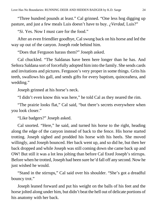"Three hundred pounds at least." Cal grinned. "One less hog digging up pasture, and just a few meals Luis doesn't have to buy. *¿Verdad*, Luis?"

"*Si*. Yes. Now I must care for the food."

After an even friendlier goodbye, Cal swung back on his horse and led the way up out of the canyon. Joseph rode behind him.

"Does that Ferguson harass them?" Joseph asked.

Cal chuckled. "The Saldanas have been here longer than he has. And Señora Saldana sort of forcefully adopted him into the family. She sends cards and invitations and pictures. Ferguson's very proper in some things. Grits his teeth, swallows his gall, and sends gifts for every baptism, quinceañera, and wedding."

Joseph grinned at his horse's neck.

"I didn't even know this was here," he told Cal as they neared the rim.

"The prairie looks flat," Cal said, "but there's secrets everywhere when you look closer."

"Like badgers?" Joseph asked.

Cal snorted. "Here," he said, and turned his horse to the right, heading along the edge of the canyon instead of back to the fence. His horse started trotting. Joseph sighed and prodded his horse with his heels. She moved willingly, and Joseph bounced. Her back went up, and so did he, but then her back dropped and while Joseph was still coming down she came back up and OW! But still it was a lot less jolting than before Cal fixed Joseph's stirrups. Before when he trotted, Joseph had been sure he'd fall off any second. Now he just wished he would.

"Stand in the stirrups," Cal said over his shoulder. "She's got a dreadful bouncy trot."

Joseph leaned forward and put his weight on the balls of his feet and the horse jolted along under him, but didn't beat the hell out of delicate portions of his anatomy with her back.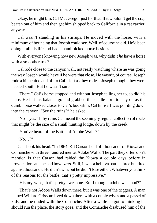Okay, he might kiss Cal MacGregor just for that. If it wouldn't get the crap beaten out of him and then get him shipped back to California in a cat carrier, anyway.

Cal wasn't standing in his stirrups. He moved with the horse, with a minimum of bouncing that Joseph could see. Well, of course he did. He'd been doing it all his life and had a hand-picked horse besides.

With everyone knowing how new Joseph was, why didn't *he* have a horse with a smoother trot?

Cal rode close to the canyon wall, not really watching where he was going the way Joseph would have if he were that close. He wasn't, of course. Joseph rode a bit behind and off to Cal's left as they rode—Joseph thought they were headed south. But he wasn't sure.

"There." Cal's horse stopped and without Joseph telling her to, so did his mare. He felt his balance go and grabbed the saddle horn to stay on as the dumb horse walked closer to Cal's buckskin. Cal himself was pointing down into the canyon. "See the ruins?" he asked.

"No—yes." If by ruins Cal meant the seemingly regular collection of rocks that might be the size of a small hunting lodge, down by the creek.

"You've heard of the Battle of Adobe Walls?"

"No…?"

Cal shook his head. "In 1864, Kit Carson held off thousands of Kiowa and Comanche with three hundred men at Adobe Walls. The part they often don't mention is that Carson had raided the Kiowa a couple days before in provocation, and he had howitzers. Still, it was a helluva battle, three hundred against thousands. He didn't win, but he didn't lose either. Whatever you think of the reasons for the battle, that's pretty impressive."

"History-wise, that's pretty awesome. But I thought adobe was mud?"

"That's not Adobe Walls down there, but it was one of the triggers. A man named Willard Grissom lived down there with a couple wives and a passel of kids, and he traded with the Comanche. After a while he got to thinking he should run the place, the story goes, and the Comanche disabused him of the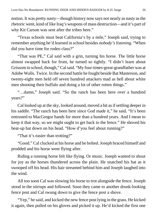notion. It was pretty nasty—though history now says not nearly as nasty as the rhetoric went, kind of like Iraq's weapons of mass destruction—and it's part of why Kit Carson was sent after the tribes here."

"Texas schools must beat California's by a mile," Joseph said, trying to remember anything he'd learned in school besides *nobody's listening*. "When did you have time for rodeo class?"

"That was PE," Cal said with a grin, turning his horse. The little horse almost swapped back for front, he turned so tightly. "I didn't learn about Grissom in school, though," Cal said. "My four-times-great-grandfather was at Adobe Walls. Twice. In the second battle he fought beside Bat Masterson, and twenty-eight men held off seven hundred attackers mad as hell about white men shooting their buffalo and doing a lot of other rotten things."

"…damn," Joseph said. "So the ranch has been here over a hundred years?"

Cal looked up at the sky, looked around, moved a bit as if settling deeper in his saddle. "The ranch has been here since God made it," he said. "It's been entrusted to MacGregor hands for more than a hundred years. And I mean to keep it that way, so we might ought to get back to the fence." He shoved his beat-up hat down on his head. "How d'you feel about running?"

"That it's easier than trotting?"

"Good." Cal clucked at his horse and he bolted. Joseph braced himself and prodded and his horse went flying after.

Riding a running horse felt like flying. Or music. Joseph wanted to shout for joy as the horses thundered across the plain. He snatched his hat as it swooped off his head. His hair streamed behind him and Joseph laughed into the wind.

All too soon Cal was slowing his horse to trot alongside the fence. Joseph stood in the stirrups and followed. Soon they came to another drunk-looking fence post and Cal swung down to give the fence post a shove.

"Yep," he said, and kicked the new fence post lying in the grass. He kicked it again, then pulled on his gloves and picked it up. He'd kicked the first one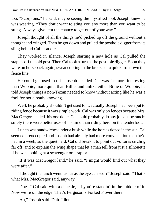too. "Scorpions," he said, maybe seeing the mystified look Joseph knew he was wearing. "They don't want to sting you any more than you want to be stung. Always give 'em the chance to get out of your way."

Joseph thought of all the things he'd picked up off the ground without a thought and cringed. Then he got down and pulled the posthole digger from its sling behind Cal's saddle.

They worked in silence, Joseph starting a new hole as Cal pulled the staples off the old post. Then Cal took a turn at the posthole digger. Soon they were on horseback again, sweat cooling in the breeze of a quick trot down the fence line.

He could get used to this, Joseph decided. Cal was far more interesting than Wobbie, more quiet than Billie, and unlike either Billie or Wobbie, he told Joseph things a non-Texan needed to know without acting like he was a fool for not already knowing.

Well, he probably shouldn't get used to it, actually. Joseph had been put to riding fence because it was simple work. Cal was only on fences because Mrs. MacGregor needed this one done. Cal could probably do any job on the ranch; surely there were better uses of his time than riding herd on the tenderfoot.

Lunch was sandwiches under a bush while the horses dozed in the sun. Cal seemed preoccupied and Joseph had already had more conversation than he'd had in a week, so the quiet held. Cal did break it to point out vultures circling far off, and to explain the wing shape that let a man tell from just a silhouette if he was looking at a scavenger or a raptor.

"If it was MacGregor land," he said, "I might would find out what they were after."

"I thought the ranch went 'as far as the eye can see'?" Joseph said. "That's what Mrs. MacGregor said, anyway."

"Does," Cal said with a chuckle, "if you're standin' in the middle of it. Now we're on the edge. That's Ferguson's Forked F over there."

"Ah," Joseph said. Duh. Idiot.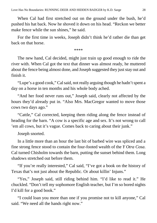When Cal had first stretched out on the ground under the bush, he'd pushed his hat back. Now he shoved it down on his head. "Reckon we better make fence while the sun shines," he said.

For the first time in weeks, Joseph didn't think he'd rather die than get back on that horse.

\*\*\*\*

The new hand, Cal decided, might just train up good enough to ride the river with. When Cal got the text that dinner was almost ready, he muttered about the fence being almost done, and Joseph suggested they just stay out and finish it.

"Lupe's a good cook," Cal said, not really arguing though he hadn't spent a day on a horse in ten months and his whole body ached.

"And her food never runs out," Joseph said, clearly not affected by the hours they'd already put in. "Also Mrs. MacGregor wanted to move those cows two days ago."

"Cattle," Cal corrected, keeping them riding along the fence instead of heading for the barn. "A cow is a specific age and sex. It's not wrong to call 'em all cows, but it's vague. Comes back to caring about their junk."

Joseph snorted.

In a little more than an hour the last bit of barbed wire was spliced and a fine strong fence stood to contain the four-footed wealth of the *Y Otra Cosa*. Cal turned Chisholm towards the barn, putting the sunset behind them. Long shadows stretched out before them.

"If you're really interested," Cal said, "I've got a book on the history of Texas that's not just about the Republic. Or about killin' Injuns."

"Yes," Joseph said, still riding behind him. "I'd like to read it." He chuckled. "Don't tell my sophomore English teacher, but I'm so bored nights I'd kill for a good book."

"I could loan you more than one if you promise not to kill anyone," Cal said. "We need all the hands right now."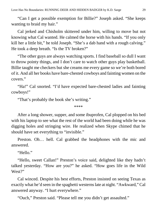"Can I get a possible exemption for Billie?" Joseph asked. "She keeps wanting to braid my hair."

Cal jerked and Chisholm skittered under him, willing to move but not knowing what Cal wanted. He calmed the horse with his hands. "If you only kill her a little bit," he told Joseph. "She's a dab hand with a rough calving." He took a deep breath. "Is the TV broken?"

"The other guys are always watching sports. I find baseball so dull I want to throw pointy things, and I don't care to watch other guys play basketball. Billie taught me checkers but she creams me every game so we're both bored of it. And all her books have bare-chested cowboys and fainting women on the covers."

"Ha!" Cal snorted. "I'd have expected bare-chested ladies and fainting cowboys!"

"That's probably the book she's writing."

\*\*\*\*

After a long shower, supper, and some ibuprofen, Cal plopped on his bed with his laptop to see what the rest of the world had been doing while he was digging holes and stringing wire. He realized when Skype chimed that he should have set everything to "invisible."

Preston. Oh… hell. Cal grabbed the headphones with the mic and answered.

"Hello."

"Hello, sweet Callan!" Preston's voice said, delighted like they hadn't talked yesterday. "How are you?" he asked. "How goes life in the Wild West?"

Cal winced. Despite his best efforts, Preston insisted on seeing Texas as exactly what he'd seen in the spaghetti westerns late at night. "Awkward," Cal answered anyway. "I hurt everywhere."

"Ouch," Preston said. "Please tell me you didn't get assaulted."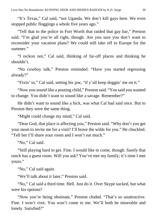"It's Texas," Cal said, "not Uganda. We don't kill gays here. We even stopped public floggings a whole five years ago."

"Tell that to the police in Fort Worth that raided that gay bar," Preston said. "I'm glad you're all right, though. Are you sure you don't want to reconsider your vacation plans? We could still take off to Europe for the summer."

"I reckon not," Cal said, thinking of far-off places and thinking he shouldn't.

"No cowboy talk," Preston reminded. "Have you started regressing already?"

"Fixin' to," Cal said, setting his jaw, "if y'all keep doggin' me on it."

"Now you sound like a pouting child," Preston said. "You said you wanted to change. You didn't want to sound like a savage. Remember?"

He didn't want to sound like a hick, was what Cal had said once. But to Preston they were the same thing.

"Might could change my mind," Cal said.

"Dear God, that place *is* affecting you," Preston said. "Why don't you get your mom to invite me for a visit? I'll brave the wilds for you." He chuckled. "Tell her I'll share your room and I won't eat much."

"No," Cal said.

"Still playing hard to get. Fine. I would like to come, though. Surely that ranch has a guest room. Will you ask? You've met my family; it's time I met yours."

"No," Cal said again.

"We'll talk about it later," Preston said.

"No," Cal said a third time. Hell. Just do it. Over Skype sucked, but what were his options?

"Now you're being obstinate," Preston chided. "That's so unattractive. Fine. I won't visit. You won't come to me. We'll both be miserable and lonely. Satisfied?"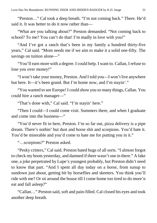"Preston…" Cal took a deep breath. "I'm not coming back." There. He'd said it. It was better to do it now rather than—

"What are you talking about?" Preston demanded. "Not coming back to school? To me? You can't do that! I'm madly in love with you!"

"And I've got a ranch that's been in my family a hundred thirty-five years," Cal said. "Mom needs me if we aim to make it a solid one-fifty. The savings on tuition alone—"

"You'll earn more with a degree. I could help. I want to. Callan, I refuse to lose you over money!"

"I won't take your money, Preston. And I told you—I won't live anywhere but here. It—it's been grand. But I'm home now, and I'm stayin'."

"You wanted to see Europe! I could show you so many things, Callan. You could hire a ranch manager—"

"That's done with," Cal said. "I'm stayin' here."

"Then I could—I could come visit. Summers there, and when I graduate and come into the business—"

"You'd never fit in here, Preston. I'm so far out, pizza delivery is a pipe dream. There's nothin' but dust and horse shit and scorpions. You'd hate it. You'd be miserable and you'd come to hate me for putting you in it."

"…scorpions?" Preston asked.

"Pesky critters," Cal said. Preston hated bugs of all sorts. "I almost forgot to check my boots yesterday, and damned if there wasn't one in there." A fake one, a joke perpetrated by Lupe's youngest probably, but Preston didn't need to know that part. "And I spent all day today on a horse, from sunup to sundown just about, getting bit by horseflies and skeeters. You think you'll ride with me? Or sit around the house till I come home too tired to do more'n eat and fall asleep?"

"Callan…" Preston said, soft and pain-filled. Cal closed his eyes and took another deep breath.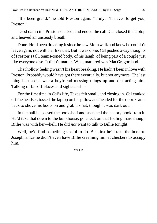"It's been grand," he told Preston again. "Truly. I'll never forget you, Preston."

"God damn it," Preston snarled, and ended the call. Cal closed the laptop and heaved an unsteady breath.

Done. He'd been dreading it since he saw Mom walk and knew he couldn't leave again, not with her like that. But it was done. Cal pushed away thoughts of Preston's tall, tennis-toned body, of his laugh, of being part of a couple just like everyone else. It didn't matter. What mattered was MacGregor land.

That hollow feeling wasn't his heart breaking. He hadn't been in love with Preston. Probably would have got there eventually, but not anymore. The last thing he needed was a boyfriend messing things up and distracting him. Talking of far-off places and sights and—

For the first time in Cal's life, Texas felt small, and closing in. Cal yanked off the headset, tossed the laptop on his pillow and headed for the door. Came back to shove his boots on and grab his hat, though it was dark out.

In the hall he passed the bookshelf and snatched the history book from it. He'd take that down to the bunkhouse, go check on that foaling mare though Billie was with her—hell. He did *not* want to talk to Billie tonight.

Well, he'd find something useful to do. But first he'd take the book to Joseph, since he didn't even have Billie creaming him at checkers to occupy him.

\*\*\*\*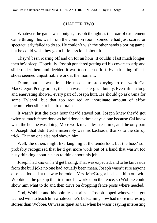#### CHAPTER TWO

<span id="page-32-0"></span>Whatever the game was tonight, Joseph thought as the roar of excitement came through his wall from the common room, someone had just scored or spectacularly failed to do so. He couldn't wish the other hands a boring game, but he could wish they got a little less loud about it.

They'd been roaring off and on for an hour. It couldn't last much longer, then he'd sleep. Hopefully. Joseph pondered getting off his covers to strip and slide under them and decided it was too much effort. Even kicking off his shoes seemed unjustifiable work at the moment.

Damn, but he was tired. He needed to stop trying to out-work Cal MacGregor. Pudgy or not, the man was an energizer bunny. Even after a long and enervating shower, every part of Joseph hurt. He should go ask Gina for some Tylenol, but that too required an inordinate amount of effort incomprehensible to his tired brain.

It wasn't just the extra hour they'd stayed out. Joseph knew they'd got twice as much fence done as he'd done in three days alone because Cal knew what the hell he was doing. More work meant less rest time, and the only part of Joseph that didn't ache miserably was his backside, thanks to the stirrup trick. That no one else had shown him.

Well, the others might like laughing at the tenderfoot, but the boss' son probably recognized that he'd get more work out of a hand that wasn't too busy thinking about his ass to think about his job.

Joseph had known he'd get hazing. That was expected, and to be fair, aside from the bull joke no one had actually been mean. Joseph wasn't sure anyone else had looked at the way he rode—Mrs. MacGregor had sent him out with Wobbie in the pickup the first time he worked on the fence, so Wobbie could show him what to do and then drive on dropping fence posts where needed.

God, Wobbie and his pointless stories… Joseph hoped whoever he got teamed with to teach him whatever he'd be learning now had more interesting stories than Wobbie. Or was as quiet as Cal when he wasn't saying interesting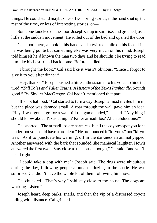things. He could stand maybe one or two boring stories, if the hand shut up the rest of the time, or lots of interesting stories, or—

Someone knocked on the door. Joseph sat up in surprise, and groaned just a little at the sudden movement. He rolled out of the bed and opened the door.

Cal stood there, a book in his hands and a twisted smile on his face. Like he was being polite but something else was very much on his mind. Joseph told himself he'd known the man two days and he shouldn't be trying to read him like his best friend back home. Before he died.

"I brought the book," Cal said like it wasn't obvious. "Since I forgot to give it to you after dinner."

"Hey, thanks!" Joseph pushed a little enthusiasm into his voice to hide the tired. "*Tall Tales and Taller Truths: A History of the Texas Panhandle*. Sounds good." By Skyller MacGregor. Cal hadn't mentioned that part.

"It's not half bad." Cal started to turn away. Joseph almost invited him in, but the place was damned small. A roar through the wall gave him an idea. "Hey, I was gonna go for a walk till the game ended," he said. "Anything I should know about Texas at night? Killer armadillos? Alien abductions?"

Cal snorted. "The armadillos are harmless, but if the coyotes spot you for a tenderfoot you could have a problem." He pronounced it "ki-yotes" not "ki-yotees." As if to punctuate his warning, off in the darkness an animal yipped. Another answered with the bark that sounded like maniacal laughter. Howls answered the first two. "Stay close to the house, though," Cal said, "and you'll be all right."

"I could take a dog with me?" Joseph said. The dogs were ubiquitous during the day, following people around or dozing in the shade. He was surprised Cal didn't have the whole lot of them following him now.

Cal chuckled. "That's why I said stay close to the house. The dogs are working. Listen."

Joseph heard deep barks, snarls, and then the yip of a distressed coyote fading with distance. Cal grinned.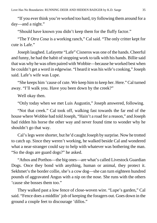"If you ever think you're worked too hard, try following them around for a day—and a night."

"Should have known you didn't keep them for the fluffy factor."

"The *Y Otra Cosa* is a working ranch," Cal said. "The only critter kept for cute is Lafe."

Joseph laughed. Lafayette "Lafe" Cisneros was one of the hands. Cheerful and funny, he had the habit of stopping work to talk with his hands. Billie said that was why he was often paired with Wobbie—because he worked best when he couldn't get a word in edgewise. "I heard it was his wife's cooking," Joseph said. Lafe's wife was Lupe.

"She keeps him 'cause of cute. We keep him to keep her. Here." Cal turned away. "I'll walk you. Have you been down by the creek?"

Well okay then.

"Only today when we met Luis Augustin," Joseph answered, following.

"Not that creek." Cal took off, walking fast towards the far end of the house where Wobbie had told Joseph, "Hain't a road fer a reason," and Joseph had ridden his horse the other way and never found time to wonder why he shouldn't go that way.

Cal's legs were shorter, but he'd caught Joseph by surprise. Now he trotted to catch up. Since they weren't working, he walked beside Cal and wondered what a near-stranger could say to help with whatever was bothering the man. "So the dogs are guard dogs?" he asked.

"Athos and Porthos—the big ones—are what's called Livestock Guardian Dogs. Once they bond with anything, human or animal, they protect it. Sekhmet's the border collie, she's a cow dog—she can turn eighteen hundred pounds of aggravated Angus with a nip on the nose. She runs with the others 'cause she bosses them too."

They walked past a low fence of close-woven wire. "Lupe's garden," Cal said. "Fence does a middlin' job of keeping the foragers out. Goes down in the ground a couple feet to discourage 'dillos."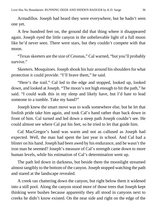Armadillos. Joseph had heard they were everywhere, but he hadn't seen one yet.

A few hundred feet on, the ground did that thing where it disappeared again. Joseph eyed the little canyon in the unbelievable light of a full moon like he'd never seen. There were stars, but they couldn't compete with that moon.

"Texas skeeters are the size of Cessnas," Cal warned, "but you'll probably survive."

Skeeters. Mosquitoes. Joseph shook his hair around his shoulders for what protection it could provide. "I'll brave them," he said.

"Here's the trail." Cal led to the edge and stopped, looked up, looked down, and looked at Joseph. "The moon's not high enough to hit the path," he said. "I could walk this in my sleep and likely have, but I'd hate to lead someone to a tumble. Take my hand?"

Joseph knew the smart move was to walk somewhere else, but he let that foolish pride take him again, and took Cal's hand rather than back down in front of him. Cal turned and led down a steep path Joseph couldn't see. He could almost see where Cal put his feet, so he tried to let that guide him.

Cal MacGregor's hand was warm and not as callused as Joseph had expected. Well, the man had spent the last year in school. And Cal had a blister on his hand. Joseph had been awed by his endurance, and he wasn't the iron man he seemed? Joseph's measure of Cal's strength came down to more human levels, while his estimation of Cal's determination went up.

The path led down in darkness, but beside them the moonlight streamed almost tangibly to the bottom of the canyon. Joseph stopped watching the path and stared at the landscape revealed.

A creek ran chattering down the canyon, but right below them it widened into a still pool. Along the canyon stood more of those trees that Joseph kept thinking were bushes because apparently they all stood in canyons next to creeks he didn't know existed. On the near side and right on the edge of the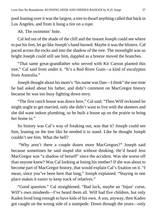pool leaning over it was the largest, a tree to dwarf anything called that back in Los Angeles, and from it hung a tire on a rope.

Ah. The swimmin' hole.

Cal led out of the shade of the cliff and the instant Joseph could see where to put his feet, let go like Joseph's hand burned. Maybe it was the blisters. Cal paced across the rocks and into the shadow of the tree. The moonlight was so bright Joseph could still see him, dappled as a breeze moved the branches.

"That same great-grandfather who served with Kit Carson planted this tree," Cal said from under it. "It's a Red River Gum—a kind of eucalyptus from Australia."

Joseph thought about his mom's "his name was Dan—I think" the one time he had asked about his father, and didn't comment on MacGregor history because he was too busy fighting down envy.

"The first ranch house was down here," Cal said. "Then Wilf reckoned he might ought to get married, only she didn't want to live with the skeeters and she did want indoor plumbing, so he built a house up on the prairie to bring her home to."

So history was Cal's way of freaking out, was that it? Joseph could see him, leaning on the tree like he needed it to stand. Like he thought Joseph couldn't see him. What the hell?

"Why aren't there a couple dozen more MacGregors?" Joseph said because sometimes he said stupid shit without thinking. He'd heard Jess MacGregor was "a shadow of herself" since the accident. Was she worse off than anyone knew? Was Cal looking at losing his mother? If she was about to become part of MacGregor history, that would explain Cal's fixation on it. "I mean, since you've been here that long," Joseph explained. "Staying in one place makes it easier to keep track of relatives."

"Good question." Cal straightened. "Bad luck, maybe an 'Injun' curse, Wilf's own misdeeds—I've heard them all. Wilf had five children, but only Kaden lived long enough to have kids of his own. A son, anyway, then Kaden got caught on the wrong side of a stampede. Down through the years—only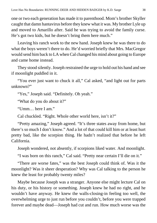one or two each generation has made it to parenthood. Mom's brother Skyller caught that damn hantavirus before they knew what it was. My brother Lyle up and moved to Amarillo after. Said he was trying to avoid the family curse. He's got two kids, but he doesn't bring them here much."

Leaving his ranch work to the new hand. Joseph knew he was there to do what the boys weren't there to do. He'd worried briefly that Mrs. MacGregor would send him back to LA when Cal changed his mind about going to Europe and came home instead.

They stood silently. Joseph restrained the urge to hold out his hand and see if moonlight puddled in it.

"You ever just want to chuck it all," Cal asked, "and light out for parts unknown?"

"Yes," Joseph said. "Definitely. Oh yeah."

"What do you do about it?"

"Umm… here I am."

Cal chuckled. "Right. Whole other world here, isn't it?"

"Pretty amazing," Joseph agreed. "It's three states away from home, but there's so much I don't know." And a lot of that could kill him or at least hurt pretty bad, like the scorpion thing. He hadn't realized that before he left California.

Joseph wondered, not absently, if scorpions liked water. And moonlight.

"I was born on this ranch," Cal said. "Pretty near certain I'll die on it."

"There are worse fates," was the best Joseph could think of. Was it the moonlight? Was it sheer desperation? Why was Cal talking to the person he knew the least for probably twenty miles?

Maybe because Joseph was a stranger. Anyone else might lecture Cal on his duty, or his history or something. Joseph knew he had no right, and he wouldn't have anyway. He knew the walls-closing-in feeling too well, the overwhelming urge to just run before you couldn't, before you were trapped forever and maybe dead—Joseph had cut and run. How much worse was the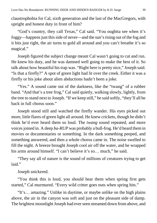claustrophobia for Cal, sixth generation and the last of the MacGregors, with upright and honest duty in front of him?

"God's country, they call Texas," Cal said. "You oughtta see when it's foggy—happens just this side of never—and the sun's rising out of the fog and it hits just right, the air turns to gold all around and you can't breathe it's so magical."

Joseph figured the subject change meant Cal wasn't going to cut and run. He knew his duty, and he was damned well going to make the best of it. So talk about how beautiful his trap was. "Right here is pretty nice," Joseph said. "Is that a firefly?" A spot of green light had lit over the creek. Either it was a firefly or his joke about alien abductions hadn't been a joke.

"Yes." A sound came out of the darkness, like the "twang" of a rubber band. "And that's a tree frog," Cal said quietly, walking slowly, lightly, from the tree to stand next to Joseph. "If we keep still," he said softly, "they'll all be back in full chorus soon."

Joseph stood still and watched the firefly wander. His eyes picked out more, little flares of green light all around. He knew crickets, though he didn't think he'd ever heard them so loud. The *twang* sound repeated, and more voices joined in. A deep *ba-RUP* was probably a bull-frog. He'd heard them in movies or documentaries or something. In the dark something peeped, and something answered, and then a whole chorus came in. The noise swelled to fill the night. A breeze brought Joseph cool air off the water, and he wrapped his arms around himself. "I can't believe it's so… much," he said.

"They say all of nature is the sound of millions of creatures trying to get laid."

Joseph snickered.

"You think this is loud, you should hear them when spring first gets started," Cal murmured. "Every wild critter goes nuts when spring hits."

"It's… amazing." Unlike in daytime, or maybe unlike on the high plains above, the air in the canyon was soft and just on the pleasant side of damp. The brightest moonlight Joseph had ever seen streamed down from above, and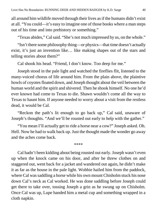all around him wildlife moved through their lives as if the humans didn't exist at all. "You could—it's easy to imagine one of those books where a man steps out of his time and into prehistory or something."

"Texas abides," Cal said. "She's not much impressed by us, on the whole."

"Isn't there some philosophy thing—or physics—that time doesn't actually exist, it's just an invention like… like making shapes out of the stars and telling stories about them?"

Cal shook his head. "Friend, I don't know. Too deep for me."

Joseph stood in the pale light and watched the fireflies flit, listened to the many-voiced chorus of life around him. From the plain above, the plaintive howls of coyotes floated down, and Joseph thought about the veil between the human world and the spirit and shivered. Then he shook himself. No one he'd ever known had come to Texas to die. Shawn wouldn't come all the way to Texas to haunt him. If anyone needed to worry about a visit from the restless dead, it would be Cal.

"Reckon the path's lit enough to go back up," Cal said, unaware of Joseph's thoughts. "And we'll be rousted out early to help with the gather."

"You mean I'll actually get to ride a horse near a cow?" Joseph asked. Oh. Hell. Now he had to walk back up. Just the thought made the wonder go away and the aches come back.

\*\*\*\*

Cal hadn't been kidding about being rousted out early. Joseph wasn't even up when the knock came on his door, and after he threw clothes on and staggered out, went back for a jacket and wandered out again, he didn't make it as far as the house in the pale light. Wobbie hailed him from the paddock, where Cal was saddling a horse while his own mount Chisholm stuck his nose down Cal's neck as Cal worked. He was done saddling before Joseph could get there to take over, tossing Joseph a grin as he swung up on Chisholm. Once Cal was up, Lupe handed him a metal cup and something wrapped in a cloth napkin.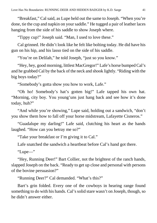"Breakfast," Cal said, as Lupe held out the same to Joseph. "When you're done, tie the cup and napkin on your saddle." He tugged a pair of leather laces hanging from the side of his saddle to show Joseph where.

"Tippy cup!" Joseph said. "Man, I used to love these."

Cal grinned. He didn't look like he felt like bolting today. He did have his gun on his hip, and his lasso tied on the side of his saddle.

"You're on Delilah," he told Joseph, "just so you know."

"Hey, hey, good morning, littlest MacGregor!" Lafe's horse bumped Cal's and he grabbed Cal by the back of the neck and shook lightly. "Riding with the big boys today?"

"Somebody's gotta show you how to work, Lafe."

"Oh ho! Somebody's hat's gotten big!" Lafe tapped his own hat. "Morning, city boy. You young'uns just hang back and see how it's done today, huh?"

"And while you're showing," Lupe said, holding out a sandwich, "don't you show them how to fall off your horse midstream, Lafayette Cisneros."

"Guadalupe my darling!" Lafe said, clutching his heart as the hands laughed. "How can you betray me so?"

"Take your breakfast or I'm giving it to Cal."

Lafe snatched the sandwich a heartbeat before Cal's hand got there.

"Lupe—"

"Hey, Running Deer!" Bart Collier, not the brightest of the ranch hands, slapped Joseph on the back. "Ready to get up close and personal with persons of the bovine persuasion?"

"Running Deer?" Cal demanded. "What's this?"

Bart's grin folded. Every one of the cowboys in hearing range found something to do with his hands. Cal's solid stare wasn't on Joseph, though, so he didn't answer either.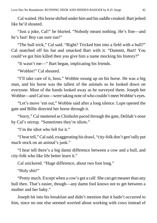Cal waited. His horse shifted under him and his saddle creaked. Bart jerked like he'd shouted.

"Just a joke, Cal!" he blurted. "Nobody meant nothing. He's fine—and he's fast! Boy can sure run!"

"The bull trick," Cal said. "Right? Tricked him into a field with a bull?" Cal snatched off his hat and smacked Bart with it. "Dammit, Bart! You could've got him killed then you give him a name mocking his history?"

"It wasn't me—" Bart began, implicating his friends.

"Wobbie!" Cal shouted.

"I'll take care of it, boss." Wobbie swung up on his horse. He was a big man, and his horse was the tallest of the animals so he looked down on everyone. Most of the hands looked away as he surveyed them. Joseph bet Wobbie—and Cal too—were taking note of who couldn't meet Wobbie's eyes.

"Let's move 'em out," Wobbie said after a long silence. Lupe opened the gate and Billie directed her horse through it.

"Sorry," Cal muttered as Chisholm paced through the gate, Delilah's nose by Cal's stirrup. "Sometimes they're idiots."

"I'm the idiot who fell for it."

"I hear tell," Cal said, exaggerating his drawl, "city-folk don't gen'rally put much stock on an animal's junk."

"I hear tell there's a big damn difference between a cow and a bull, and city-folk who like life better learn it."

Cal snickered. "Huge difference, about two foot long."

"Holy shit!"

"Pretty much. Except when a cow's got a calf. She can get meaner than any bull then. That's easier, though—any damn fool knows not to get between a mother and her baby."

Joseph bit into his breakfast and didn't mention that it hadn't occurred to him, since no one else seemed worried about working with cows instead of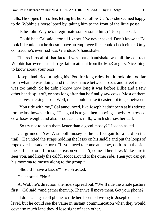bulls. He sipped his coffee, letting his horse follow Cal's as she seemed happy to do. Wobbie's horse loped by, taking him to the front of the little posse.

"Is he John Wayne's illegitimate son or something?" Joseph asked.

"Could be," Cal said, "for all I know. I've never asked. Don't know as I'd look if I could, but he doesn't have an employee file I could check either. Only contract he's ever had was Granddad's handshake."

The reciprocal of that factoid was that a handshake was all the contract Wobbie had ever needed to get fair treatment from the MacGregors. Nice thing to know about your boss.

Joseph had tried bringing his iPod for long rides, but it took him too far from what he was doing, and the dissonance between Texas and street music was too much. So he didn't know how long it was before Billie and a few other hands split off, or how long after that he finally saw cows. Most of them had calves sticking close. Well, that should make it easier not to get between.

"You ride with me," Cal announced, like Joseph hadn't been at his stirrup for the last however long. "The goal is to get them moving slowly. A stressed cow loses weight and also produces less milk, which stresses her calf."

"So try not to push them faster than a good mosey?" Joseph asked.

Cal grinned. "Yes. A smooth mosey is the perfect gait for a herd on the trail." He untied the straps holding the lasso on his saddle and put the loops of rope over his saddle horn. "If you need to come at a cow, do it from the side the calf's not on. If for some reason you can't, come at her slow. Make sure it sees you, and likely the calf'll scoot around to the other side. Then you can get his momma to mosey along to the group."

"Should I have a lasso?" Joseph asked.

Cal snorted. "No."

At Wobbie's direction, the riders spread out. "We'll ride the whole pasture first," Cal said, "and gather them up. Then we'll move them. Got your phone?"

"I do." Using a cell phone to ride herd seemed wrong to Joseph on a basic level, but he could see the value in instant communication when they would cover so much land they'd lose sight of each other.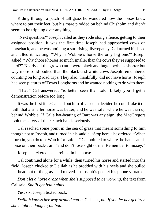Riding through a patch of tall grass he wondered how the horses knew where to put their feet, but his mare plodded on behind Chisholm and didn't seem to be tripping over anything.

"Next question?" Joseph called as they rode along a fence, getting to their assigned position. It was the first time Joseph had approached cows on horseback, and he was noticing a surprising discrepancy. Cal turned his head and tilted it, waiting. "Why is Wobbie's horse the only big one?" Joseph asked. "Why choose horses so much smaller than the cows they're supposed to herd?" Nearly all the grown cattle were black and huge, perhaps shorter but way more solid-bodied than the black-and-white cows Joseph remembered counting on long road trips. They also, thankfully, did not have horns. Joseph had seen pictures of Texas Longhorns and he wanted nothing to do with them.

"That," Cal answered, "is better seen than told. Likely you'll get a demonstration before too long."

It was the first time Cal had put him off. Joseph decided he could take it on faith that a smaller horse was better, and he was safer where he was than up behind Wobbie. If Cal's hat-beating of Bart was any sign, the MacGregors took the safety of their ranch hands seriously.

Cal reached some point in the sea of grass that meant something to him though not to Joseph, and turned in his saddle. "Stop here," he ordered. "When I turn in, you do too. Watch for Lafe—" Cal pointed to where the hand sat his horse on their back-trail, "and don't lose sight of me. Remember to mosey."

Joseph snickered as he reined in his horse.

Cal continued alone for a while, then turned his horse and started into the field. Joseph clucked to Delilah as he prodded with his heels and she pulled her head out of the grass and moved. In Joseph's pocket his phone vibrated.

*Don't let a horse graze when she's supposed to be working*, the text from Cal said. *She'll get bad habits*.

*Yes, sir*, Joseph texted back.

*Delilah knows her way around cattle*, Cal sent, *but if you let her get lazy, she might endanger you both.*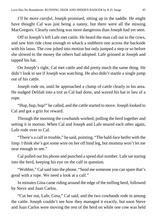*I'll be more careful*, Joseph promised, sitting up in the saddle. He might have thought Cal was just being a nanny, but there were all the missing MacGregors. Clearly ranching was more dangerous than Joseph had yet seen.

Off to Joseph's left Lafe met cattle. He heard the man call out to the cows, and saw him ride close enough to whack a stubborn one across the backside with his lasso. The cow jolted into motion but only jumped a step or so before she slowed to the mosey the others had adopted. Lafe grinned at Joseph and tapped his hat.

On Joseph's right, Cal met cattle and did pretty much the same thing. He didn't look to see if Joseph was watching. He also didn't startle a single jump out of his cattle.

Joseph rode on, until he approached a clump of cattle clearly in his area. He nudged Delilah into a trot as Cal had done, and waved his hat in lieu of a rope.

"Hup, hup, hup!" he called, and the cattle started to move. Joseph looked to Cal and got a grin for reward.

Through the morning the cowhands worked, pulling the herd together and setting it in motion. When Cal and Joseph and Lafe neared each other again, Lafe rode over to Cal.

"There's a calf in trouble," he said, pointing. "The bald-face heifer with the limp. I think she's got some wire on her off hind leg, but momma won't let me near enough to see."

Cal pulled out his phone and punched a speed dial number. Lafe sat staring into the herd, keeping his eye on the calf in question.

"Wobbie," Cal said into the phone. "Send me someone you can spare that's good with a rope. We need a look at a calf."

In minutes Gina came riding around the edge of the milling herd, followed by Steve and Juan Carlos.

"Cut her out, Lafe, Gina," Cal said, and the two cowhands rode in among the cattle. Joseph couldn't see how they managed it exactly, but soon Steve and Juan Carlos were moving the rest of the herd on while one cow was held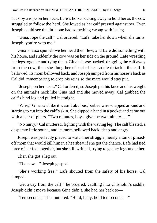back by a rope on her neck, Lafe's horse backing away to hold her as the cow struggled to follow the herd. She lowed as her calf pressed against her. Even Joseph could see the little one had something wrong with its leg.

"Gina, rope the calf," Cal ordered. "Lafe, take her down when she turns. Joseph, you're with me."

Gina's lasso spun above her head then flew, and Lafe did something with his horse, and suddenly the cow was on her side on the ground, Lafe wrestling her legs together and tying them. Gina's horse backed, dragging the calf away from the cow, then she flung herself out of her saddle to tackle the calf. It bellowed, its mom bellowed back, and Joseph jumped from his horse's back as Cal did, remembering to drop his reins so the mare would stay put.

"Joseph, on her neck," Cal ordered, so Joseph put his knee and his weight on the animal's neck like Gina had and she moved away. Cal grabbed the calf's hind leg and pulled it straight.

"Wire," Gina said like it wasn't obvious, barbed wire wrapped around and starting to cut into the calf's skin. She dipped a hand in a pocket and came out with a pair of pliers. "Two minutes, boys, give me two minutes..."

"No hurry," Cal muttered, fighting with the waving leg. The calf bleated, a desperate little sound, and its mom bellowed back, deep and angry.

Joseph was perfectly placed to watch her struggle, nearly a ton of pissedoff mom that would kill him in a heartbeat if she got the chance. Lafe had tied three of her feet together, but she still writhed, trying to get her legs under her.

Then she got a leg out.

"The cow—" Joseph gasped.

"She's working free!" Lafe shouted from the safety of his horse. Cal jumped.

"Get away from the calf!" he ordered, vaulting into Chisholm's saddle. Joseph didn't move because Gina didn't, she had her back to—

"Ten seconds," she muttered. "Hold, baby, hold ten seconds—"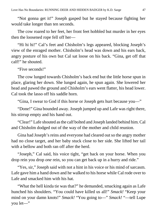"Not gonna get it!" Joseph gasped but he stayed because fighting her would take longer than ten seconds.

The cow roared to her feet, her front feet hobbled but murder in her eyes then the loosened rope fell off her—

"Hi hi hi!" Cal's feet and Chisholm's legs appeared, blocking Joseph's view of the enraged mother. Chisholm's head was down and his ears back, angry posture of his own but Cal sat loose on his back. "Gina, get off that calf!" he shouted.

"Five seconds!"

The cow lunged towards Chisholm's back end but the little horse spun in place, glaring her down. She lunged again, he spun again. She lowered her head and pawed the ground and Chisholm's ears went flatter, his head lower. Cal took the lasso off his saddle horn.

"Gina, I swear to God if this horse or Joseph gets hurt because you—"

"Done!" Gina bounded away. Joseph jumped up and Lafe was right there, his stirrup empty and his hand out.

"Clear!" Lafe shouted as the calf bolted and Joseph landed behind him. Cal and Chisholm dodged out of the way of the mother and child reunion.

Gina had Joseph's reins and everyone had cleared out so the angry mother had no close target, and her baby stuck close to her side. She lifted her tail with a bellow and both ran off after the herd.

"Joseph," Cal said, his voice tight, "get back on your horse. When you drop rein you drop *one* rein, so you can get back up in a hurry and ride."

"Yes, sir," Joseph said with not a hint in his voice or his mind of sarcasm. Lafe gave him a hand down and he walked to his horse while Cal rode over to Lafe and smacked him with his hat.

"What the hell kinda tie was that?" he demanded, smacking again as Lafe hunched his shoulders. "You could have killed us all!" *Smack!* "Keep your mind on your damn knots!" *Smack!* "You going to—" *Smack!* "—tell Lupe you let—"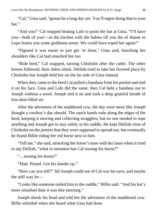"Cal," Gina said, "gonna be a long day yet. You'll regret doing that to your hat."

"And you!" Cal stopped beating Lafe to point the hat at Gina. "I'll have you—both of you!—in the kitchen with the babies till you die of shame or Lupe learns you some goddamn *sense*. We could have roped her again!"

"Figured it was easier to just get 'er done," Gina said, hunching her shoulders like Cal had smacked her too.

"Ride herd," Cal snapped, turning Chisholm after the cattle. The other horses followed, their riders silent. Delilah tried to take her favored place by Chisholm but Joseph held her on the far side of Gina instead.

When they came to the herd Cal pulled a bandana from his pocket and tied it on his face. Gina and Lafe did the same, then Cal held a bandana out to Joseph without a word. Joseph tied it on and took a deep grateful breath of less-dust-filled air.

After the adventure of the maddened cow, the day went more like Joseph thought a cowboy's day should. The ranch hands rode along the edges of the herd, keeping it moving and collecting stragglers, but no one needed to rope anything and Joseph got to stay safely in his saddle. He kept Delilah clear of Chisholm on the pretext that they were supposed to spread out, but eventually he found Billie riding her red horse next to him.

"Tell me," she said, smacking her horse's nose with her lasso when it tried to nip Delilah, "what in tarnation has Cal tossing his horns?"

"…tossing his horns?"

"Mad. Pissed. Got his dander up."

"How can you tell?" All Joseph could see of Cal was his eyes, and maybe the stiff way he—

"Looks like someone nailed him to the saddle," Billie said. "And his hat's more smushed than it was this morning."

Joseph shook his head and told her the adventure of the maddened cow. Billie whistled when she heard what Gina had done.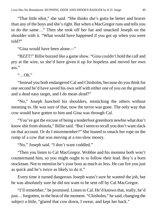"That little idiot," she said. "She thinks she's gotta be better and braver than any of the boys and she's right. But when a MacGregor runs and tells you to do the same…" Then she took off her hat and smacked Joseph on the shoulder with it. "What would have happened if you got up when you were told?"

"Gina would have been alone—"

"BZZT!" Billie buzzed like a game show. "Gina couldn't hold the calf and pry at the wire, so she'd have given it up for hopeless and moved her own ass."

 $\lq\lq$  Oh "

"Instead you both endangered Cal and Chisholm, because do you think for one second he'd have saved his own self with either one of you on the ground and a dead easy target, and I do mean *dead*?"

"No," Joseph hunched his shoulders, mimicking the others without meaning to. He was sure of that, now the terror was gone. The only way that cow would have gotten to him and Gina was through Cal.

"You've got the excuse of being a tenderfoot greenhorn newbie what don't know shit from shinola," Billie said. "But I seem to recall you don't want slack on that account. Or do I misremember?" She leaned to smack her rope on the rump of a cow that was moving at a too-slow mosey.

"No," Joseph said. "I don't want coddled."

"Then you listen to Cal MacGregor. Wobbie and his momma both won't countermand him, so you might ought to to follow their lead. Boy's a born stockman. Not to mention he's your boss as much as Jess. He can fire you just as quick and he's twice as likely to do it."

Every time it turned dangerous Joseph wasn't sure he wanted the job, but he was absolutely sure he did not want to be sent off by Cal MacGregor.

"I'll remember," he promised. Listen to Cal. He'd known that, really, he'd just… forgotten, in the heat of the moment. "Chisholm," he said, changing the subject a little, "glared that cow down, I swear, and kept her back."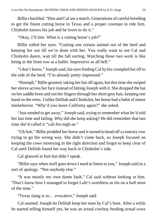Billie chuckled. "Him and Cal are a match. Generations of careful breeding to get the finest cutting horse in Texas and a proper cowman to ride him. Chisholm knows his job and he loves to do it."

"Okay, I'll bite. What is a cutting horse's job?"

Billie rolled her eyes. "Cutting one certain animal out of the herd and keeping her out till we're done with her. You really want to see Cal and Chisholm dance, wait till the fall sorting. Watching those two work is like being in the front row at a ballet. Impressive as all hell."

"I don't know," Joseph said, his eyes finding Cal by his crumpled hat off to the side of the herd. "I'm already pretty impressed."

"Hmmph," Billie grunted, taking her hat off again, but this time she swiped her sleeve across her face instead of hitting Joseph with it. She dropped the hat on her saddle horn and ran her fingers through her short grey hair, keeping one hand on the reins. Unlike Delilah and Chisholm, her horse had a habit of minor misbehavior. "Why'd you leave Californy again?" she asked.

"Just needed to get away," Joseph said, trying to remember what he'd told her last time and failing. Why did she keep asking? He did remember that last time she'd called it "cali-for-nigh-ae."

"Uh huh." Billie prodded her horse and it turned to head off a contrary cow trying to go the wrong way. She didn't come back, so Joseph focused on keeping the cows moseying in the right direction and forgot to keep clear of Cal until Delilah found her way back to Chisholm's side.

Cal glanced at him but didn't speak.

"Billie says when stuff goes down I need to listen to you," Joseph said in a sort of apology. "Not anybody else."

"It was mostly my own damn fault," Cal said without looking at him. "Don't know how I managed to forget Lafe's worthless as tits on a bull most of the time."

"Texas slang is so… evocative," Joseph said.

Cal snorted. Joseph let Delilah keep her nose by Cal's boot. After a while he started telling himself yes, he was an actual cowboy herding actual cows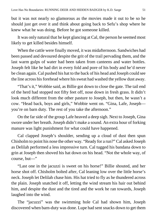but it was not nearly so glamorous as the movies made it out to be so he should just get over it and think about going back to Sefu's shop where he knew what he was doing. Before he got someone killed.

It was only natural that he kept glancing at Cal, the person he seemed most likely to get killed besides himself.

When the cattle were finally moved, it was midafternoon. Sandwiches had been passed and devoured despite the grit of the trail pervading them, and the last warm gulps of water had been taken from canteens and water bottles. Joseph felt like he had dirt in every fold and pore of his body and he'd never be clean again. Cal pushed his hat to the back of his head and Joseph could see the line across his forehead where his sweat had washed the yellow dust away.

"That's it," Wobbie said, as Billie got down to close the gate. The tail end of the herd had stopped not fifty feet off, nose down in fresh grass. It didn't look much different from the other pasture to Joseph, but then, he wasn't a cow. "Head back, boys and girls," Wobbie went on. "Gina, Lafe, Joseph you're on barn duty. The rest of you take the afternoon."

On the far side of the group Lafe heaved a deep sigh. Next to Joseph, Gina swore under her breath. Joseph didn't make a sound. An extra hour of forking manure was light punishment for what could have happened.

Cal clapped Joseph's shoulder, sending up a cloud of dust then spun Chisholm to point his nose the other way. "Ready for a run?" Cal asked Joseph as Delilah performed a less impressive turn. Cal tugged his bandana down to grin at Joseph then shoved his hat down on his head. "Not the whole way, of course, but—"

"Last one in the jacuzzi is sweet on his horse!" Billie shouted, and her horse shot off. Chisholm bolted after, Cal leaning low over the little horse's neck. Joseph let Delilah chase him. His hat tried to fly as he thundered across the plain. Joseph snatched it off, letting the wind stream his hair out behind him, and despite the dust and the tired and the work he ran towards, Joseph laughed into the wind.

The "jacuzzi" was the swimming hole Cal had shown him, Joseph discovered when barn-duty was done. Lupe had sent snacks down to get them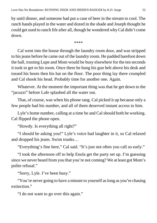by until dinner, and someone had put a case of beer in the stream to cool. The ranch hands played in the water and dozed in the shade and Joseph thought he could get used to ranch life after all, though he wondered why Cal didn't come down.

\*\*\*\*

Cal went into the house through the laundry room door, and was stripped to his jeans before he came out of the laundry room. He padded barefoot down the hall, trusting Lupe and Mom would be busy elsewhere for the ten seconds it took to get to his room. Once there he hung his gun belt above his desk and tossed his boots then his hat on the floor. The poor thing lay there crumpled and Cal shook his head. Probably time for another one. Again.

Whatever. At the moment the important thing was that he get down to the "jacuzzi" before Lafe splashed all the water out.

That, of course, was when his phone rang. Cal picked it up because only a few people had his number, and all of them deserved instant access to him.

Lyle's home number, calling at a time he and Cal should both be working. Cal flipped the phone open.

"Howdy. Is everything all right?"

"I should be asking you!" Lyle's voice had laughter in it, so Cal relaxed and dropped his jeans. Swim trunks…

"Everything's fine here," Cal said. "It's just not often you call so early."

"I took the afternoon off to help Enola get the party set up. I'm guessing since we never heard from you that you're not coming? We at least got Mom's polite refusal."

"Sorry, Lyle. I've been busy."

"You're never going to have a minute to yourself as long as you're chasing extinction."

"I do not want to go over this again."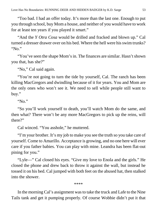"Too bad. I had an offer today. It's more than the last one. Enough to put you through school, buy Mom a house, and neither of you would have to work for at least ten years if you played it smart."

"And the *Y Otra Cosa* would be drilled and fracked and blown up." Cal turned a dresser drawer over on his bed. Where the hell were his swim trunks? "No."

"You've seen the shape Mom's in. The finances are similar. Hasn't shown you that, has she?"

"No," Cal said again.

"You're not going to turn the tide by yourself, Cal. The ranch has been killing MacGregors and dwindling because of it for years. You and Mom are the only ones who won't see it. We need to sell while people still want to buy."

"No."

"So you'll work yourself to death, you'll watch Mom do the same, and then what? There won't be any more MacGregors to pick up the reins, will there?"

Cal winced. "You asshole," he muttered.

"I'm your brother. It's my job to make you see the truth so you take care of yourself. Come to Amarillo. Acceptance is growing, and no one here will ever care if you father babies. You can play with mine. Leandra has been flat-out pining for you."

"Lyle—" Cal closed his eyes. "Give my love to Enola and the girls." He closed the phone and drew back to throw it against the wall, but instead he tossed it on his bed. Cal jumped with both feet on the abused hat, then stalked into the shower.

\*\*\*\*

In the morning Cal's assignment was to take the truck and Lafe to the Nine Tails tank and get it pumping properly. Of course Wobbie didn't put it that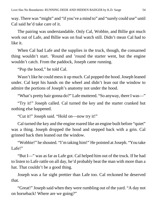way. There was "might" and "if you've a mind to" and "surely could use" until Cal said he'd take care of it.

The pairing was understandable. Only Cal, Wobbie, and Billie got much work out of Lafe, and Billie was on foal watch still. Didn't mean Cal had to like it.

When Cal had Lafe and the supplies in the truck, though, the consarned thing wouldn't start. 'Round and 'round the starter went, but the engine wouldn't catch. From the paddock, Joseph came running.

"Pop the hood," he told Cal.

Wasn't like he could mess it up much. Cal popped the hood. Joseph leaned under. Cal kept his hands on the wheel and didn't lean out the window to admire the portions of Joseph's anatomy not under the hood.

"What's pretty hair gonna do?" Lafe muttered. "So anyway, there I was—"

"Try it!" Joseph called. Cal turned the key and the starter cranked but nothing else happened.

"Cut it!" Joseph said. "Hold on—now try it!"

Cal turned the key and the engine roared like an engine built before "quiet" was a thing. Joseph dropped the hood and stepped back with a grin. Cal grinned back then leaned out the window.

"Wobbie!" he shouted. "I'm taking him!" He pointed at Joseph. "You take Lafe!"

"But I—" was as far as Lafe got. Cal helped him out of the truck. If he had to listen to Lafe rattle on all day, he'd probably beat the man with more than a hat. That couldn't be a good thing.

Joseph was a far sight prettier than Lafe too. Cal reckoned he deserved that.

"Great!" Joseph said when they were rumbling out of the yard. "A day not on horseback! Where are we going?"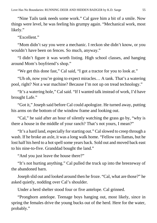"Nine Tails tank needs some work." Cal gave him a bit of a smile. Now things were level, he was feeling his grumpy again. "Mechanical work, most likely."

"Excellent."

"Mom didn't say you were a mechanic. I reckon she didn't know, or you wouldn't have been on fences. So much, anyway."

"I didn't figure it was worth listing. High school classes, and hanging around Mom's boyfriend's shop."

"We get this done fast," Cal said, "I got a tractor for you to look at."

"Uh oh, now you're going to expect miracles… A tank. That's a watering pool, right? Not a war machine? Because I'm not up on tread technology."

"It's a watering hole," Cal said. "If I wanted talk instead of work, I'd have brought Lafe."

"Got it," Joseph said before Cal could apologize. He turned away, putting his arms on the bottom of the window frame and looking out.

"Cal," he said after an hour of silently watching the grass go by, "why is there a house in the middle of your ranch? That's not yours, I mean?"

"It's a hard land, especially for starting out." Cal slowed to creep through a wash. If he broke an axle, it was a long walk home. "Fellow ran llamas, but he lost half his herd to a hot spell some years back. Sold out and moved back east to his nine-to-five. Granddad bought the land."

"And you just leave the house there?"

"It's not hurting anything." Cal pulled the truck up into the breezeway of the abandoned barn.

Joseph slid out and looked around then he froze. "Cal, what are those?" he asked quietly, nodding over Cal's shoulder.

Under a herd shelter stood four or five antelope. Cal grinned.

"Pronghorn antelope. Teenage boys hanging out, most likely, since in spring the females drive the young bucks out of the herd. Here for the water, probably."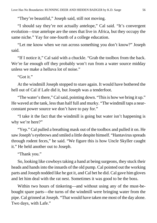"They're beautiful," Joseph said, still not moving.

"I should say they're not actually antelope," Cal said. "It's convergent evolution—true antelope are the ones that live in Africa, but they occupy the same niche." Yay for one-fourth of a college education.

"Let me know when we run across something you don't know?" Joseph said.

"If I notice it," Cal said with a chuckle. "Grab the toolbox from the back. We're far enough off they probably won't run from a water source midday unless we make a helluva lot of noise."

"Got it."

At the windmill Joseph stopped to stare again. It would have bothered the hell out of Cal if Lafe did it, but Joseph was a tenderfoot.

"The water's there," Cal said, pointing down. "This is how we bring it up." He waved at the tank, less than half full and murky. "The windmill taps a nearconstant power source we don't have to pay for."

"I take it the fact that the windmill is going but water isn't happening is why we're here?"

"Yep." Cal pulled a breathing mask out of the toolbox and pulled it on. He saw Joseph's eyebrows and smiled a little despite himself. "Hantavirus spreads through rodent feces," he said. "We figure this is how Uncle Skyller caught it." He held another out to Joseph.

"Thank you."

So, looking like cowboys taking a hand at being surgeons, they stuck their heads and hands into the innards of the old pump. Cal pointed out the working parts and Joseph nodded like he got it, and Cal bet he did. Cal gave him gloves and let him deal with the rat nest. Sometimes it was good to be the boss.

Within two hours of tinkering—and without using any of the must-bebought spare parts—the turns of the windmill were bringing water from the pipe. Cal grinned at Joseph. "That would have taken me most of the day alone. Two days, with Lafe."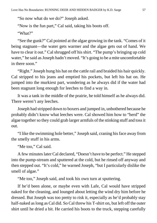"So now what do we do?" Joseph asked.

"Now is the fun part," Cal said, taking his boots off.

"What?"

"See the gunk?" Cal pointed at the algae growing in the tank. "Comes of it being stagnant—the water gets warmer and the algae gets out of hand. We have to clear it out." Cal shrugged off his shirt. "The pump's bringing up cold water," he said as Joseph hadn't moved. "It's going to be a mite uncomfortable in there soon."

"Right." Joseph hung his hat on the cattle rail and braided his hair quickly. Cal stripped to his jeans and emptied his pockets, but left his hat on. He jumped into the murkiest part, wondering as he always did if the water had been stagnant long enough for leeches to find a way in.

It was a tank in the middle of the prairie, he told himself as he always did. There weren't any leeches.

Joseph had stripped down to boxers and jumped in, unbothered because he probably didn't know what leeches were. Cal showed him how to "herd" the algae together so they could grab larger armfuls of the stinking stuff and toss it out.

"I like the swimming hole better," Joseph said, craning his face away from the smelly stuff in his arms.

"Me too," Cal said.

A few minutes later Cal declared, "Doesn't have to be perfect." He stepped into the pump-stream and sputtered at the cold, but he rinsed off anyway and then stepped out. "It's cold," he warned Joseph, "but I particularly dislike the smell of algae."

"Me too," Joseph said, and took his own turn at sputtering.

If he'd been alone, or maybe even with Lafe, Cal would have stripped naked for the cleaning, and lounged about letting the wind dry him before he dressed. But Joseph was too pretty to risk it, especially as he'd probably stay half-naked as long as Cal did. So Cal threw his T-shirt on, but left off the outer shirt until he dried a bit. He carried his boots to the truck, stepping carefully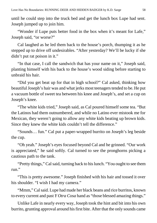until he could step into the truck bed and get the lunch box Lupe had sent. Joseph jumped up to join him.

"Wonder if Lupe puts better food in the box when it's meant for Lafe," Joseph said, "or worse?"

Cal laughed as he led them back to the house's porch, thumping it as he stepped up to drive off undesirables. "After yesterday? We'll be lucky if she didn't put rat poison in it."

"In that case, I call the sandwich that has your name on it," Joseph said, planting himself with his back to the house's wood siding before starting to unbraid his hair.

"Did you get beat up for that in high school?" Cal asked, thinking how beautiful Joseph's hair was and what jerks most teenagers tended to be. He put a vacuum bottle of sweet tea between his knee and Joseph's, and set a cup on Joseph's knee.

"The white kids tried," Joseph said, as Cal poured himself some tea. "But the Latinos had them outnumbered, and while no Latino ever mistook me for Mexican, they weren't going to allow any white kids beating up brown kids. Since they knew the white kids couldn't tell the difference."

"Sounds… fun." Cal put a paper-wrapped burrito on Joseph's leg beside the cup.

"Oh yeah." Joseph's eyes focused beyond Cal and he grinned. "Our work is appreciated," he said softly. Cal turned to see the pronghorns picking a cautious path to the tank.

"Pretty things," Cal said, turning back to his lunch. "You ought to see them run."

"This is pretty awesome." Joseph finished with his hair and tossed it over his shoulder. "I wish I had my camera."

"Mmm," Calsaid. Lupe had made her black beans and rice burritos, known to every current and past *Y Otra Cosa* hand as "those blessed amazing things."

Unlike Lafe in nearly every way, Joseph took the hint and bit into his own burrito, grunting approval around his first bite. After that the only sounds came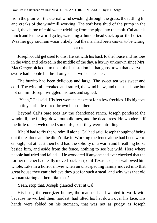from the prairie—the eternal wind swishing through the grass, the rattling tin and creaks of the windmill working. The soft bass thud of the pump in the well, the chime of cold water trickling from the pipe into the tank. Cal ate his lunch and let the world go by, watching a thunderhead stack up on the horizon. Weather guy said rain wasn't likely, but the man had been known to be wrong.

\*\*\*\*

Joseph could get used to this. He sat with his back to the house and his toes in the wind and relaxed in the middle of the day, a luxury unknown since Mrs. MacGregor picked him up at the bus station in that ghost town that everyone swore had people but he'd only seen two besides her.

The burrito had been delicious and large. The sweet tea was sweet and cold. The windmill creaked and rattled, the wind blew, and the sun shone but not on him. Joseph wriggled his toes and sighed.

"Yeah," Cal said. His feet were pale except for a few freckles. His big toes had a tiny sprinkle of red-brown hair on them.

Beyond Cal's bare toes lay the abandoned ranch. Joseph pondered the windmill, the falling-down outbuildings, and the dead trees. He wondered if the little ranch welcomed some life, or if they were intruding.

If he'd had to fix the windmill alone, Cal had said. Joseph thought of being out there alone and he didn't like it. Working the fence alone had been weird enough, but at least then he'd had the solidity of a warm and breathing horse beside him, and aside from the fence, nothing to see but wild. Here where people had tried and failed… He wondered if anyone had ever checked that the former rancher had really moved back east, or if Texas had just swallowed him whole. Like in a horror movie when an unsuspecting family moved into that great house they can't believe they got for such a steal, and why was that old woman staring at them like that?

Yeah, stop that. Joseph glanced over at Cal.

His boss, the energizer bunny, the man no hand wanted to work with because he worked them hardest, had tilted his hat down over his face. His hands were folded on his stomach, that was not as pudgy as Joseph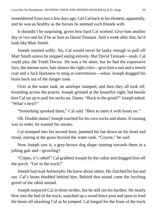remembered from just a few days ago. Get Cal back in his element, apparently, and he was as healthy as the horses he seemed such friends with.

It shouldn't be surprising, given how hard Cal worked. Give him another day or two and he'd be as lean as David Tennant. And a week after that, he'd look like Matt Smith.

Joseph snorted softly. No, Cal would never be lanky enough to pull off Matt Smith unless he stopped eating entirely. But David Tennant—yeah. Cal could play the Tenth Doctor. He was a bit short, but he had the expressive face, the intense eyes, hair almost the right color—give him a suit and a trench coat and a Jack Harkness to snog at conventions—whoa. Joseph dragged his brain back out of the danger zone.

Over at the water tank, an antelope stamped, and then they all took off, bounding across the prairie. Joseph grinned at the beautiful sight, but beside him Cal sat up to pull his socks on. Damn. "Back to the grind?" Joseph asked. "What's next?"

"Something spooked them," Cal said. "Best to meet it with boots on."

Oh. Double damn? Joseph reached for his own socks and shoes. If running was in order, he wanted his sneaks.

Cal stomped into his second boot, jammed his hat down on his head and stood, staring at the grass beyond the water tank. "Coyote," he said.

Now Joseph saw it, a grey-brown dog shape running towards them in a jolting gait and—growling?

"Cripes, it's rabid!" Cal grabbed Joseph by the collar and dragged him off the porch. "Get to the truck!"

Joseph had read *Animorphs*. He knew about rabies. He clutched his hat and ran. Cal's boots thudded behind him. Behind that sound came the lurching growl of the rabid animal.

Joseph outpaced Cal in three strides, but he still ran his hardest. He nearly flew into the bed of the truck, snatched up a wood fence post and spun to fend the beast off attacking Cal as he jumped. Cal lunged for the front of the truck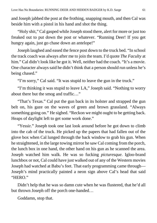and Joseph jabbed the post at the frothing, snapping mouth, and then Cal was beside him with a pistol in his hand and shot the thing.

"Holy shit," Cal gasped while Joseph stood there, alert for more or just too freaked out to put down the post or whatever. "Running Deer! If you get hungry again, just go chase down an antelope!"

Joseph laughed and eased the fence post down to the truck bed. "In school the track coach was always after me to join the team. I'd quote *The Faculty* at him." Cal didn't look like he got it. Well, neither had the coach. "It's a movie. One character always said he didn't think that a person should run unless he's being chased."

"I'm sorry," Cal said. "It was stupid to leave the gun in the truck."

"I'm thinking it was stupid to leave LA," Joseph said. "Nothing to worry about there but the smog and traffic…"

"That's Texas." Cal put the gun back in its holster and strapped the gun belt on, his gaze on the waves of green and brown grassland. "Always something going on." He sighed. "Reckon we might ought to be getting back. Heaps of daylight left to get some work done."

"Yessir." Joseph took one last look around before he got down to climb into the cab of the truck. He picked up the papers that had fallen out of the glove box when Cal lunged through the back window to grab his gun. When he straightened, in the large towing mirror he saw Cal coming from the porch, the lunch box in one hand, the other hand on his gun as he scanned the area. Joseph watched him walk. He was so fucking *picturesque*. Igloo-brand lunchbox or not, Cal could have just walked out of any of the Western movies Joseph had watched at Babu's feet. That early programming came through— Joseph's mind practically painted a neon sign above Cal's head that said "HERO."

Didn't help that he was so damn cute when he was flustered, that he'd all but thrown Joseph off the porch one-handed…

Goddamn, stop that.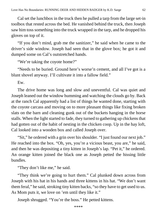Cal set the lunchbox in the truck then he pulled a tarp from the large set-in toolbox that rested across the bed. He vanished behind the truck, then Joseph saw him toss something into the truck wrapped in the tarp, and he dropped his gloves on top of it.

"If you don't mind, grab me the sanitizer," he said when he came to the driver's side window. Joseph had seen that in the glove box; he got it and dumped some on Cal's outstretched hands.

"We're taking the coyote home?"

"Needs to be buried. Ground here's worse'n cement, and all I've got is a blunt shovel anyway. I'll cultivate it into a fallow field."

Ew.

The drive home was long and slow and uneventful. Cal was quiet and Joseph leaned out the window humming and watching the clouds go by. Back at the ranch Cal apparently had a list of things he wanted done, starting with the coyote carcass and moving on to more pleasant things like fixing broken slats on the barn and cleaning gunk out of the buckets hanging in the horse stalls. When the light started to fade, they turned to gathering up chickens that had gotten out of the habit of nesting in the chicken coop. Up in the hay loft, Cal looked into a wooden box and called Joseph over.

"Sit," he ordered with a grin over his shoulder. "I just found our next job." He reached into the box. "Oh, yes, you're a vicious beast, you are," he said, and then he was depositing a tiny kitten in Joseph's lap. "Pet it," he ordered. An orange kitten joined the black one as Joseph petted the hissing little bundles.

"They don't like me," he said.

"They think we're going to hurt them." Cal plunked down across from Joseph with his hat in his hands and three kittens in his hat. "We don't want them feral," he said, stroking tiny kitten backs, "so they have to get used to us. As Mom puts it, we love on 'em until they like it."

Joseph shrugged. "You're the boss." He petted kittens.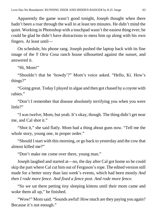Apparently the game wasn't good tonight, Joseph thought when there hadn't been a roar through the wall in at least ten minutes. He didn't mind the quiet. Working in Photoshop with a touchpad wasn't the easiest thing ever; he could be glad he didn't have distractions to mess him up along with his own fingers. At least until—

On schedule, his phone rang. Joseph pushed the laptop back with its fine image of the *Y Otra Cosa* ranch house silhouetted against the sunset, and answered it.

"Hi, Mom!"

"Shouldn't that be 'howdy'?" Mom's voice asked. "Hello, Ki. How's things?"

"Going great. Today I played in algae and then got chased by a coyote with rabies."

"Don't I remember that disease absolutely terrifying you when you were little?"

"I was twelve, Mom, but yeah. It's okay, though. The thing didn't get near me, and Cal shot it."

"Shot it," she said flatly. Mom had a thing about guns now. "Tell me the whole story, young one, in proper order."

"Should I start with this morning, or go back to yesterday and the cow that almost killed me?"

"Don't make me come over there, young man."

Joseph laughed and started at—no, the day after Cal got home so he could skip the part where Cal cut him out of Ferguson's rope. The edited version still made for a better story than last week's events, which had been mostly *And then I rode more fence. And fixed a fence post. And rode more fence.*

"So we sat there petting tiny sleeping kittens until their mom came and woke them all up," he finished.

"Wow!" Mom said. "Sounds awful! How much are they paying you again? Because it's not enough."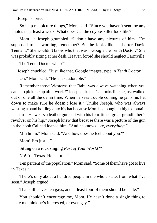Joseph snorted.

"So help me picture things," Mom said. "Since you haven't sent me any photos in at least a week. What does Cal the coyote-killer look like?"

"Mom…" Joseph grumbled. "I don't have any pictures of him—I'm supposed to be working, remember? But he looks like a shorter David Tennant." She wouldn't know who that was. "Google the Tenth Doctor." She was probably sitting at her desk. Heaven forbid she should neglect Farmville.

"The Tenth Doctor what?"

Joseph chuckled. "Just like that. Google images, type in *Tenth Doctor*."

"Oh," Mom said. "He's just adorable."

"Remember those Westerns that Babu was always watching when you came to pick me up after work?" Joseph asked. "Cal looks like he just walked out of one all the damn time. When he sees trouble coming he jams his hat down to make sure he doesn't lose it." Unlike Joseph, who was always wasting a hand holding onto his hat because Mom had bought it big to contain his hair. "He wears a leather gun belt with his four-times-great-grandfather's revolver on his hip." Joseph knew that because there was a picture of the gun in the book Cal had loaned him. "And he knows like, *everything*."

"Mm hmm," Mom said. "And how does he feel about you?"

"Mom! I'm just—"

"Sitting on a rock singing *Part of Your World*?"

"No! It's Texas. He's not—"

"Ten percent of the population," Mom said. "Some of them have got to live in Texas."

"There's only about a hundred people in the whole state, from what I've seen," Joseph argued.

"That still leaves ten gays, and at least four of them should be male."

"You shouldn't encourage me, Mom. He hasn't done a single thing to make me think he's interested, or even gay."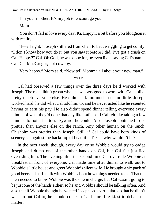"I'm your mother. It's my job to encourage you."

"Mom—"

"You don't fall in love every day, Ki. Enjoy it a bit before you bludgeon it with reality."

"I—all right." Joseph slithered from chair to bed, wriggling to get comfy. "I don't know how you do it, but you saw it before I did. I've got a crush on Cal. Happy?" Cal. Oh God, he was done for, he even liked saying Cal's name. Cal. Cal MacGregor, hot cowboy.

"Very happy," Mom said. "Now tell Momma all about your new man."

\*\*\*\*

Cal had observed a few things over the three days he'd worked with Joseph. The man didn't groan when he was assigned to work with Cal, unlike pretty much everyone else. He didn't talk too much, nor too little. Joseph worked hard, he did what Cal told him to, and he never acted like he resented having to earn his pay. He also didn't spend dinner telling everyone every minute of what they'd done that day like Lafe, so if Cal felt like taking a few minutes to point his toes skyward, he could. Also, Joseph continued to be prettier than anyone else on the ranch. Any other human on the ranch. Chisholm was prettier than Joseph. Still, if Cal could have both kinds of scenery set against the backdrop of beautiful Texas, why wouldn't he?

In the next week, though, every day or so Wobbie would try to cadge Joseph and dump one of the other hands on Cal, but Cal felt justified overriding him. The evening after the second time Cal overrode Wobbie at breakfast in front of everyone, Cal made time after dinner to walk out to Wobbie's little house and greet Wobbie's silent wife. He brought a six pack of good beer and had a talk with Wobbie about how things needed to be. That the men needed to know Wobbie was the one in charge, but Cal wasn't going to be just one of the hands either, so he and Wobbie should be talking often. And also that if Wobbie thought he wanted Joseph on a particular job that he didn't want to put Cal to, he should come to Cal before breakfast to debate the matter.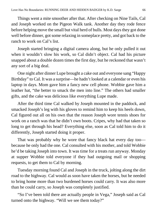Things went a mite smoother after that. After checking on Nine Tails, Cal and Joseph worked on the Pigeon Walk tank. Another day they rode fence before helping move the small but vital herd of bulls. Most days they got done well before dinner, got some relaxing in someplace pretty, and got back to the ranch to work on Cal's list.

Joseph started bringing a digital camera along, but he only pulled it out when it wouldn't slow his work, so Cal didn't object. Cal had his picture snapped about a double dozen times the first day, but he reckoned that wasn't any sort of a big deal.

One night after dinner Lupe brought a cake out and everyone sang "Happy Birthday" to Cal. It was a surprise—he hadn't looked at a calendar or even his laptop in days. Mom gave him a fancy new cell phone. Wobbie gave him a leather hat, "the better to smack the men into line." The others had smaller gifts, and the cake was delicious like everything Lupe made.

After the third time Cal walked by Joseph mounted in the paddock, and smacked Joseph's leg with his gloves to remind him to keep his heels down, Cal figured out all on his own that the reason Joseph wore tennis shoes for work on a ranch was that he didn't own boots. Cripes, why had that taken so long to get through his head? Everything else, soon as Cal told him to do it differently, Joseph started doing it proper.

That was probably why he wore that fancy black hat every day too because he only had the one. Cal consulted with his mother, and told Wobbie he'd be taking Joseph into town. It was time for a treats run anyway. Monday at supper Wobbie told everyone if they had outgoing mail or shopping requests, to get them to Cal by morning.

Tuesday morning found Cal and Joseph in the truck, jolting along the dirt road to the highway. Cal would as soon have taken the horses, but he needed to bring home more than two burdened horses could carry. It was also more than he could carry, so Joseph was completely justified.

"So I've been told there are actually people in Vega," Joseph said as Cal turned onto the highway. "Will we see them today?"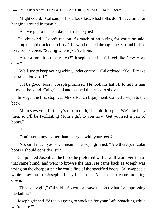"Might could," Cal said, "if you look fast. Most folks don't have time for hanging around in town."

"But we get to make a day of it? Lucky us!"

Cal chuckled. "I don't reckon it's much of an outing for you," he said, pushing the old truck up to fifty. The wind rushed through the cab and he had to raise his voice. "Seeing where you're from."

"After a month on the ranch?" Joseph asked. "It'll feel like New York City."

"Well, try to keep your gawking under control," Cal ordered. "You'll make the ranch look bad."

"I'll be good, boss," Joseph promised. He took his hat off to let his hair blow in the wind. Cal grinned and pushed the truck to sixty.

In Vega, the first stop was Mix's Ranch Equipment. Cal led Joseph to the back.

"Mom says your birthday's next month," he told Joseph. "We'll be busy then, so I'll be facilitating Mom's gift to you now. Get yourself a pair of boots."

" $But$ "

"Don't you know better than to argue with your boss?"

"No, sir. I mean yes, sir. I mean—" Joseph grinned. "Are there particular boots I should consider, sir?"

Cal pointed Joseph at the boots he preferred with a well-worn version of that same brand, and went to browse the hats. He came back as Joseph was trying on the cheapest pair he could find of the specified boots. Cal swapped a white straw hat for Joseph's fancy black one. All that hair came tumbling down.

"This is my gift," Cal said. "So you can save the pretty hat for impressing the ladies."

Joseph grinned. "Are you going to stock up for your Lafe-smacking while we're here?"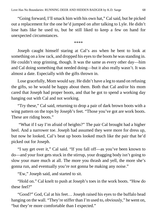"Going forward, I'll smack him with his own hat," Cal said, but he picked out a replacement for the one he'd jumped on after talking to Lyle. He didn't lose hats like he used to, but he still liked to keep a few on hand for unexpected circumstances.

\*\*\*\*

Joseph caught himself staring at Cal's ass when he bent to look at something on a low rack, and dropped his eyes to the boots he was standing in. He couldn't stop grinning, though. It was the same as every other day—him and Cal doing something that needed doing—but it also really wasn't. It was almost a date. Especially with the gifts thrown in.

Lose gracefully, Mom would say. He didn't have a leg to stand on refusing the gifts, so he would be happy about them. Both that Cal and/or his mom cared that Joseph had proper boots, and that he got to spend a working day hanging out with Cal and not working.

"Try these," Cal said, returning to drop a pair of dark brown boots with a wing pattern on the tops by Joseph's feet. "Those you've got are work boots. These are riding boots."

"What if I say I'm afraid of heights?" The pair Cal brought had a higher heel. And a narrower toe. Joseph had assumed they were more for dress up, but now he looked, Cal's beat up boots looked much like the pair that he'd picked out for Joseph.

"I say get over it," Cal said. "If you fall off—as you've been known to do—and your foot gets stuck in the stirrup, your dragging body isn't going to slow your mare much at all. The more you thrash and yell, the more she's gonna run, and eventually you're not gonna be making any noise."

"Ew," Joseph said, and started to sit.

"Hold on." Cal knelt to push at Joseph's toes in the work boots. "How do these feel?"

"Good?" God, Cal at his feet… Joseph raised his eyes to the buffalo head hanging on the wall. "They're stiffer than I'm used to, obviously," he went on, "but they're more comfortable than I expected."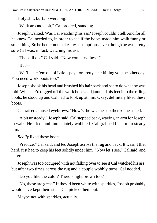Holy shit, buffalo were big!

"Walk around a bit," Cal ordered, standing.

Joseph walked. Was Cal watching his ass? Joseph couldn't tell. And for all he knew Cal needed to, in order to see if the boots made him walk funny or something. So he better not make any assumptions, even though he was pretty sure Cal was, in fact, watching his ass.

"Those'll do," Cal said. "Now come try these."

"But—"

"We'll take 'em out of Lafe's pay, for pretty near killing you the other day. You need work boots too."

Joseph shook his head and brushed his hair back and sat to do what he was told. When he'd tugged off the work boots and jammed his feet into the riding boots, he stood up and Cal had to look up at him. Okay, definitely liked these boots.

Cal raised amused eyebrows. "How's the weather up there?" he asked.

"A bit unsteady," Joseph said. Cal stepped back, waving an arm for Joseph to walk. He tried, and immediately wobbled. Cal grabbed his arm to steady him.

*Really* liked these boots.

"Practice," Cal said, and led Joseph across the rug and back. It wasn't that hard, just had to keep his feet solidly under him. "Now let's see," Cal said, and let go.

Joseph was too occupied with not falling over to see if Cal watched his ass, but after two times across the rug and a couple wobbly turns, Cal nodded.

"Do you like the color? There's light brown too."

"No, these are great." If they'd been white with sparkles, Joseph probably would have kept them since Cal picked them out.

Maybe not with sparkles, actually.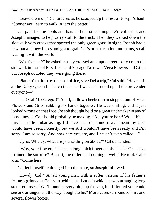"Leave them on," Cal ordered as he scooped up the rest of Joseph's haul. "Sooner you learn to walk in 'em the better."

Cal paid for the boots and hats and the other things he'd collected, and Joseph managed to help carry stuff to the truck. Then they walked down the sidewalk with cracks that sported the only green grass in sight. Joseph had a new hat and new boots and got to grab Cal's arm at random moments, so all was right with the world.

"What's next?" he asked as they crossed an empty street to step onto the sidewalk in front of First Lock and Storage. Next was Vega Flowers and Gifts, but Joseph doubted they were going there.

"Plannin' to drop by the post office, save Del a trip," Cal said. "Have a sit at the Dairy Queen for lunch then see if we can't round up all the provender everyone—"

"Cal! Cal MacGregor!" A tall, hollow-cheeked man stepped out of Vega Flowers and Gifts, rubbing his hands together. He was smiling, and it just looked wrong on that face. Joseph thought he'd be a great undertaker in any of those movies Cal should probably be making. "Ah, you're here! Well, this this is a mite embarrassing. I'd have been out tomorrow, I mean my Jake would have been, honestly, but we still wouldn't have been ready and I'm sorry. I am so sorry. And now here you are, and I haven't even called—"

"Cyrus Whaley, what are you rattling on about?" Cal demanded.

"Why, your flowers!" He put a long, thick finger on his cheek. "Or—have I ruined the surprise? Blast it, the order said nothing—well." He took Cal's arm. "Come here."

Cal let himself be dragged into the store, so Joseph followed.

"Howdy, Cal!" A tall young man with a softer version of his father's features grinned at Cal from behind a tall vase in which he was arranging long stem red roses. "We'll bundle everything up for you, but I figured you could see one arrangement the way it ought to be." More vases surrounded him, and several flower boxes.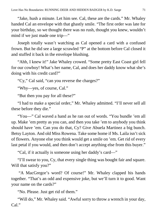"Jake, hush a minute. Let him see. Cal, these are the cards." Mr. Whaley handed Cal an envelope with that ghastly smile. "The first order was late for your birthday, so we thought there was no rush, thought you knew, wouldn't mind if we just made one trip—"

Joseph totally wasn't watching as Cal opened a card with a confused frown. But he did see a large scrawled "P" at the bottom before Cal closed it and stuffed it back in the envelope blushing.

"Ahh, I knew it!" Jake Whaley crowed. "Some pretty East Coast girl fell for our cowboy! What's her name, Cal, and does her daddy know what she's doing with his credit card?"

"Cy," Cal said, "can you reverse the charges?"

"Why—yes, of course, Cal."

"But then you pay for all these?"

"I had to make a special order," Mr. Whaley admitted. "I'll never sell all these before they die."

"You—" Cal waved a hand as he ran out of words. "You bundle 'em all up. Make 'em pretty as you can, and then you take 'em to anybody you think should have 'em. Can you do that, Cy? Give Abuela Martinez a big bunch. Betsy Layton. And old Miss Rowena. Take some home if Ms. Laila isn't sick of flowers. Anyone else you think would get a smile on 'em. Get rid of every last petal if you would, and then don't accept anything else from this buyer."

"Cal, if it actually is someone using her daddy's card—"

"I'll swear to you, Cy, that every single thing was bought fair and square. Will that satisfy you?"

"A MacGregor's word? Of course!" Mr. Whaley clapped his hands together. "That's an odd and expensive joke, but we'll turn it to good. Want your name on the cards?"

"No. Please. Just get rid of them."

"Will do," Mr. Whaley said. "Awful sorry to throw a wrench in your day, Cal."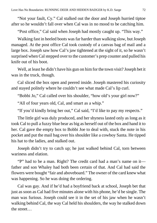"Not your fault, Cy." Cal stalked out the door and Joseph hurried tiptoe after so he wouldn't fall over when Cal was in no mood to be catching him.

"Post office," Cal said when Joseph had mostly caught up. "This way."

Walking fast in heeled boots was far harder than walking slow, but Joseph managed. At the post office Cal took custody of a canvas bag of mail and a large box. Joseph saw how Cal's jaw tightened at the sight of it, so he wasn't surprised when Cal stepped over to the customer's prep counter and pulled his knife out of his boot.

Well, at least he didn't have his gun on him for the town visit? Joseph bet it was in the truck, though.

Cal sliced the box open and peered inside. Joseph mastered his curiosity and stayed politely where he couldn't see what made Cal's lip curl.

"Bobbi Jo," Cal called over his shoulder, "how old's your girl now?"

"All of four years old, Cal, and smart as a whip."

"If you'd kindly bring her out," Cal said, "I'd like to pay my respects."

The little girl was duly produced, and her shyness lasted only as long as it took Cal to pull a fuzzy blue bear as big as herself out of the box and hand it to her. Cal gave the empty box to Bobbi Joe to deal with, stuck the note in his pocket and put the mail bag over his shoulder like a cowboy Santa. He tipped his hat to the ladies, and stalked out.

Joseph didn't try to catch up; he just walked behind Cal, torn between wariness and elation.

"P" had to be a man. Right? The credit card had a man's name on it father and son Whaley had both been certain of that. And Cal had said the flowers were bought "fair and aboveboard." The owner of the card knew what was happening. So he was doing the ordering.

Cal was gay. And if he'd had a boyfriend back at school, Joseph bet that just as soon as Cal had five minutes alone with his phone, he'd be single. The man was furious. Joseph could see it in the set of his jaw when he wasn't walking behind Cal, the way Cal held his shoulders, the way he stalked down the street…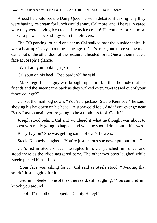Ahead he could see the Dairy Queen. Joseph debated if asking why they were having ice cream for lunch would annoy Cal more, and if he really cared why they were having ice cream. It was ice cream! He could eat a real meal later. Lupe was never stingy with the leftovers.

The DQ parking lot held one car as Cal stalked past the outside tables. It was a beat-up Chevy about the same age as Cal's truck, and three young men came out of the other door of the restaurant headed for it. One of them made a face at Joseph's glance.

"What are you looking at, Cochise?"

Cal spun on his heel. "Beg pardon?" he said.

"MacGregor!" The guy was brought up short, but then he looked at his friends and the sneer came back as they walked over. "Get tossed out of your fancy college?"

Cal set the mail bag down. "You're a jackass, Steele Kennedy," he said, shoving his hat down on his head. "A stone-cold fool. And if you ever go near Betsy Layton again you're going to be a toothless fool. Got it?"

Joseph stood behind Cal and wondered if what he thought was about to happen was really going to happen and what he should do about it if it was.

Betsy Layton? She was getting some of Cal's flowers.

Steele Kennedy laughed. "You're just jealous she never put out for—"

Cal's fist in Steele's face interrupted him. Cal punched him once, and stood there as the idiot staggered back. The other two boys laughed while Steele picked himself up.

"Your face was asking for it," Cal said as Steele stood. "Wearing that smirk? Just begging for it."

"Get him, Steele!" one of the others said, still laughing. "You can't let him knock you around!"

"Cool it!" the other snapped. "Deputy Haley!"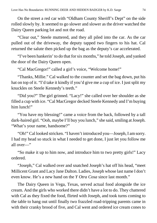On the street a red car with "Oldham County Sheriff's Dept" on the side rolled slowly by. It seemed to go slower and slower as the driver watched the Dairy Queen parking lot and not the road.

"Clear out," Steele muttered, and they all piled into the car. As the car pulled out of the driveway, the deputy tapped two fingers to his hat. Cal returned the salute then picked up the bag as the deputy's car accelerated.

"I've been hankerin' to do that for six months," he told Joseph, and yanked the door of the Dairy Queen open.

"Cal MacGregor!" called a girl's voice, "Welcome home!"

"Thanks, Millie." Cal walked to the counter and set the bag down, put his hat on top of it. "I'd take it kindly if you'd give me a cup of ice. I just split my knuckles on Steele Kennedy's teeth."

"Did you?" The girl grinned. "Lacy!" she called over her shoulder as she filled a cup with ice. "Cal MacGregor decked Steele Kennedy and I'm buying him lunch!"

"You have my blessing!" came a voice from the back, followed by a tall dark-haired girl. "Ooh, maybe I'll buy you lunch," she said, smiling at Joseph. "What's your name, handsome?"

"Oh!" Cal looked stricken. "I haven't introduced you—Joseph, I am sorry. I had my head so stuck in what I needed to get done, I just let you follow me all over—"

"So make it up to him now, and introduce him to two pretty girls!" Lacy ordered.

"Joseph," Cal walked over and snatched Joseph's hat off his head, "meet Millicent Grant and Lacy Jane Dalton. Ladies, Joseph whose last name I don't even know. He's a new hand on the *Y Otra Cosa* since last month."

The Dairy Queen in Vega, Texas, served actual food alongside the ice cream. And the girls who worked there didn't have a lot to do. They chattered with Cal as they fixed the food, flirted with Joseph, and took turns coming to the table to hang out until finally two frazzled road-tripping parents came in with their cranky brood of five, and Cal went and ordered ice cream cones to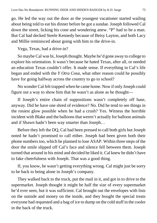go. He led the way out the door as the youngest vacationer started wailing about being told to eat his dinner before he got a sundae. Joseph followed Cal down the street, licking his cone and wondering anew. "P" had to be a man. But Cal had decked Steele Kennedy because of Betsy Layton, and both Lacy and Millie reminisced about going with him to the drive-in.

Vega, Texas, had a drive-in?

So maybe Cal was bi, Joseph thought. Maybe he'd gone away to college to explore his orientation. It wasn't because he hated Texas, after all, or needed an education Texas couldn't offer. It made sense. If everything in Cal's life began and ended with the *Y Otra Cosa*, what other reason could he possibly have for going halfway across the country to go to school?

No wonder Cal felt trapped when he came home. Now if only Joseph could figure out a way to show him that he wasn't as alone as he thought—

If Joseph's entire chain of suppositions wasn't completely off base, anyway. Did he have one shred of evidence? No. Did he tend to see things in the rosiest glow possible when he had a crush? Yes. Witness the horrible incident with Blake and the balloons that weren't actually for balloon animals and if Shawn hadn't been way smarter than Joseph…

Before they left the DQ, Cal had been pressed to call both girls but Joseph noted he hadn't promised to call either. Joseph had been given both their phone numbers too, which he planned to lose ASAP. Within three steps of the door the smile slipped off Cal's face and silence fell between them. Joseph turned that around in his mind and decided he liked it. Cal knew he didn't have to fake cheerfulness with Joseph. That was a good thing.

If, you know, he wasn't getting everything wrong. Cal might just be sorry to be back to being alone in Joseph's company.

They walked back to the truck, put the mail in it, and got in to drive to the supermarket. Joseph thought it might be half the size of every supermarket he'd ever seen, but it was sufficient. Cal brought out the envelopes with lists on the outside and money on the inside, and they bought the special treats everyone had requested and a bag of ice to dump on the cold stuff in the cooler in the back of the truck.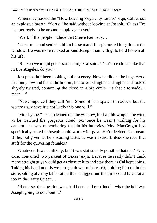When they passed the "Now Leaving Vega City Limits" sign, Cal let out an explosive breath. "Sorry," he said without looking at Joseph. "Guess I'm just not ready to be around people again yet."

"Well, if the people include that Steele Kennedy…"

Cal snorted and settled a bit in his seat and Joseph turned his grin out the window. He *was* more relaxed around Joseph than with girls he'd known all his life!

"Reckon we might get us some rain," Cal said. "Don't see clouds like that in Los Angeles, do you?"

Joseph hadn't been looking at the scenery. Now he did, at the huge cloud that hung low and flat at the bottom, but towered higher and higher and looked slightly twisted, containing the cloud in a big circle. "Is that a tornado? I mean—"

"Naw. Supercell they call 'em. Some of 'em spawn tornadoes, but the weather guy says it's not likely this one will."

"Fine by me." Joseph leaned out the window, his hair blowing in the wind as he watched the gorgeous cloud. For once he wasn't wishing for his camera—he was remembering that in his interview Mrs. MacGregor had specifically asked if Joseph could work with gays. He'd decided she meant Billie, but given Billie's reading tastes he wasn't sure. Unless she read that stuff for the quivering females?

Whatever. It was unlikely, but it was statistically possible that the *Y Otra Cosa* contained two percent of Texas' gays. Because he really didn't think many straight guys would get as close to him and stay there as Cal kept doing. Taking his hand not his wrist to go down to the creek, holding him up in the store, sitting at a tiny table rather than a bigger one the girls could have sat at too in the Dairy Queen…

Of course, the question was, had been, and remained—what the hell was Joseph going to do about it?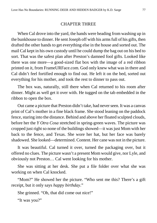## CHAPTER THREE

When Cal drove into the yard, the hands were heading from washing up in the bunkhouse to dinner. He sent Joseph off with his arms full of his gifts, then drafted the other hands to get everything else in the house and sorted out. The mail Cal kept in his own custody until he could dump the bag out on his bed to sort. That was the safest plan after Preston's damned fool gifts. Looked like there was one more—a good-sized flat box with the image of a red ribbon printed on it, from FrameURFace.com. God only knew what was in there and Cal didn't feel fortified enough to find out. He left it on the bed, sorted out everything for his mother, and took the rest to dinner to pass out.

The box was, naturally, still there when Cal returned to his room after dinner. Might as well get it over with. He tugged on the tab embedded in the ribbon to open the box.

Out came a picture that Preston didn't take, had never seen. It was a canvas print of Cal's mother in a fine black frame. She stood leaning on the paddock fence, staring into the distance. Behind and above her floated sculpted clouds, before her the *Y Otra Cosa* stretched in spring-green waves. The picture was cropped just right so none of the buildings showed—it was just Mom with her back to the fence, and Texas. She wore her hat, but her face was barely shadowed. She looked—determined. Content. Her cane was not in the picture.

It was beautiful. Cal turned it over, turned the packaging over, but it offered no clues. The picture wasn't a present Mom would give, nor Lyle, and obviously not Preston… Cal went looking for his mother.

She was sitting at her desk. She put a file folder over what she was working on when Cal knocked.

"Mom?" He showed her the picture. "Who sent me this? There's a gift receipt, but it only says *happy birthday*."

She grinned. "Oh, that did come out nice!"

"It was you?"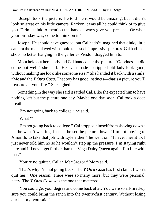"Joseph took the picture. He told me it would be amazing, but it didn't look so great on his little camera. Reckon it was all he could think of to give you. Didn't think to mention the hands always give you presents. Or when your birthday was, come to think on it."

Joseph. He should have guessed, but Cal hadn't imagined that dinky little camera the man played with could take such impressive pictures. Cal had seen shots no better hanging in the galleries Preston dragged him to.

Mom held out her hands and Cal handed her the picture. "Goodness, it did come out well," she said. "He even made a crippled old lady look good, without making me look like someone else!" She handed it back with a smile. "Me and the *Y Otra Cosa*. That boy has good instincts—that's a picture you'll treasure all your life." She sighed.

Something in the way she said it rattled Cal. Like she expected him to have nothing left but the picture one day. Maybe one day soon. Cal took a deep breath.

"I'm not going back to college," he said.

"What?"

"I'm not going back to college." Cal stopped himself from shoving down a hat he wasn't wearing. Instead he set the picture down. "I'm not moving to Amarillo to take that job with Lyle either," he went on. "I never meant to, I just never told him no so he wouldn't step up the pressure. I'm staying right here and if I never get farther than the Vega Dairy Queen again, I'm fine with that"

"You're no quitter, Callan MacGregor," Mom said.

"That's why I'm not going back. The *Y Otra Cosa* has first claim. I won't quit her." One reason. There were so many more, but they were personal, petty. The *Y Otra Cosa* was the one that mattered.

"You could get your degree and come back after. You were so all-fired-up sure you could bring the ranch into the twenty-first century. Without losing our history, you said."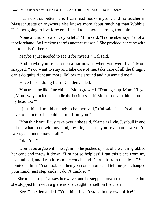"I can do that better here. I can read books myself, and no teacher in Massachusetts or anywhere else knows more about ranching than Wobbie. He's not going to live forever—I need to be here, learning from him."

"None of this is new since you left," Mom said. "I remember sayin' a lot of it beforehand. So I reckon there's another reason." She prodded her cane with her toe. "Isn't there?"

"Maybe I just needed to see it for myself," Cal said.

"And maybe you're as rotten a liar now as when you were five," Mom snapped. "You want to stay and take care of me, take care of all the things I can't do quite right anymore. Follow me around and nursemaid me."

"Have I been doing that?" Cal demanded.

"You treat me like fine china," Mom growled. "Don't get up, Mom, I'll get it, Mom, why not let me handle the business stuff, Mom—do you think I broke my head too?"

"I just think I'm old enough to be involved," Cal said. "That's all stuff I have to learn too. I should learn it from you."

"You think you'll just take over," she said. "Same as Lyle. Just bull in and tell me what to do with my land, my life, because you're a man now you're twenty and men know it all!"

"I don't—"

"Don't you argue with me again!" She pushed up out of the chair, grabbed her cane and threw it down. "I'm not so helpless! I ran this place from my hospital bed, and I ran it from the couch, and I'll run it from this desk." She pointed at him. "You took off then you come home and tell me you changed your mind, just step aside? I don't think so!"

She took a step. Cal saw her waver and he stepped forward to catch her but she stopped him with a glare as she caught herself on the chair.

"See?" she demanded. "You think I can't stand in my own office!"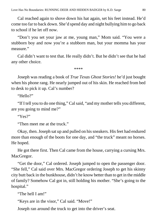Cal reached again to shove down his hat again, set his feet instead. He'd come too far to back down. She'd spend day and night bullying him to go back to school if he let off now.

"Don't you set your jaw at me, young man," Mom said. "You were a stubborn boy and now you're a stubborn man, but your momma has your measure."

Cal didn't want to test that. He really didn't. But he didn't see that he had any other choice.

\*\*\*\*

Joseph was reading a book of *True Texas Ghost Stories!* he'd just bought when his phone rang. He nearly jumped out of his skin. He reached from bed to desk to pick it up. Cal's number?

"Hello?"

"If I tell you to do one thing," Cal said, "and my mother tells you different, are you going to mind me?"

"Yes?"

"Then meet me at the truck."

Okay, then. Joseph sat up and pulled on his sneakers. His feet had endured more than enough of the boots for one day, and "the truck" meant no horses. He hoped.

He got there first. Then Cal came from the house, carrying a cursing Mrs. MacGregor.

"Get the door," Cal ordered. Joseph jumped to open the passenger door. "She fell," Cal said over Mrs. MacGregor ordering Joseph to get his skinny city butt back in the bunkhouse, didn't he know better than to get in the middle of family? Somehow Cal got in, still holding his mother. "She's going to the hospital."

"The hell I am!"

"Keys are in the visor," Cal said. "Move!"

Joseph ran around the truck to get into the driver's seat.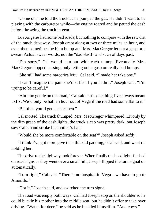"Come on," he told the truck as he pumped the gas. He didn't want to be playing with the carburetor while—the engine roared and he patted the dash before throwing the truck in gear.

Los Angeles had some bad roads, but nothing to compare with the raw dirt of the ranch driveway. Joseph crept along at two or three miles an hour, and even then sometimes he hit a bump and Mrs. MacGregor let out a gasp or a swear. Actual swear words, not the "dadblast!" and such of days past.

"I'm sorry," Cal would murmur with each thump. Eventually Mrs. MacGregor stopped cursing, only letting out a gasp on really bad bumps.

"She still had some narcotics left," Cal said. "I made her take one."

"I can't imagine the pain she'd suffer if you hadn't," Joseph said. "I'm trying to be careful."

"Ain't no gentle on this road," Cal said. "It's one thing I've always meant to fix. We'd only be half an hour out of Vega if the road had some flat to it."

"But then you'd get… salesmen."

Cal snorted. The truck thumped. Mrs. MacGregor whimpered. Lit only by the dim green of the dash lights, the truck's cab was pretty dark, but Joseph saw Cal's hand stroke his mother's hair.

"Would she be more comfortable on the seat?" Joseph asked softly.

"I think I've got more give than this old padding," Cal said, and went on holding her.

The drive to the highway took forever. When finally the headlights flashed on road signs as they went over a small hill, Joseph flipped the turn signal on automatically.

"Turn right," Cal said. "There's no hospital in Vega—we have to go to Amarillo."

"Got it," Joseph said, and switched the turn signal.

The road was empty both ways. Cal had Joseph stop on the shoulder so he could buckle his mother into the middle seat, but he didn't offer to take over driving. "Watch for deer," he said as he buckled himself in. "And cows."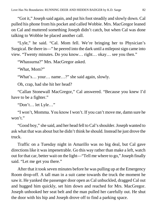"Got it," Joseph said again, and put his foot steadily and slowly down. Cal pulled his phone from his pocket and called Wobbie. Mrs. MacGregor leaned on Cal and muttered something Joseph didn't catch, but when Cal was done talking to Wobbie he placed another call.

"Lyle," he said. "Cal. Mom fell. We're bringing her to Physician's Surgical. Be there in—" he peered into the dark until a milepost sign came into view. "Twenty minutes. Do you know… right… okay… see you then."

"Whassurna?" Mrs. MacGregor asked.

"What, Mom?"

"What's… your… name…?" she said again, slowly.

Oh, crap, had she hit her head?

"Callan Stonewall MacGregor," Cal answered. "Because you knew I'd have to be a fighter."

"Don't… let Lyle…"

"I won't, Momma. You know I won't. If you can't move me, damn sure he won't."

"Good boy," she said, and her head fell to Cal's shoulder. Joseph wanted to ask what that was about but he didn't think he should. Instead he just drove the truck.

Traffic on a Tuesday night in Amarillo was no big deal, but Cal gave directions like it was impenetrable. Go this way rather than make a left, watch out for that car, better wait on the light—"Tell me where to go," Joseph finally said. "Let me get you there."

After that it took seven minutes before he was pulling up at the Emergency Room drop-off. A tall man in a suit came towards the truck the moment he saw it. He yanked the passenger door open as Cal unbuckled, dragged Cal out and hugged him quickly, set him down and reached for Mrs. MacGregor. Joseph unhooked her seat belt and the man pulled her carefully out. He shut the door with his hip and Joseph drove off to find a parking space.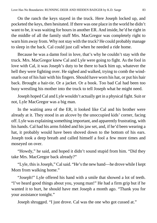On the ranch the keys stayed in the truck. Here Joseph locked up, and pocketed the keys, then hesitated. If there was one place in the world he didn't want to be, it was waiting for hours in another ER. And inside, he'd be right in the middle of all the family stuff Mrs. MacGregor was completely right to warn him away from. Why not stay with the truck? He could probably manage to sleep in the back. Cal could just call when he needed a ride home.

Because he was a damn fool in love, that's why he couldn't stay with the truck. Mrs. MacGregor knew Cal and Lyle were going to fight. As the fool in love with Cal, it was Joseph's duty to be there to back him up, whatever the hell they were fighting over. He sighed and walked, trying to comb the windsnarls out of his hair with his fingers. Should have worn his hat, or put his hair back. Brought a hair-tie. Or a jacket. Or a book. Too bad Cal had been too busy wrestling his mother into the truck to tell Joseph what he might need.

Joseph hoped Cal and Lyle wouldn't actually get in a physical fight. Suit or not, Lyle MacGregor was a big man.

In the waiting area of the ER, it looked like Cal and his brother were already at it. They stood in an alcove by the unoccupied kids' corner, facing off. Lyle was explaining something important, and apparently frustrating, with his hands. Cal had his arms folded and his jaw set, and, if he'd been wearing a hat, it probably would have been shoved down to the bottom of his ears. Joseph took a deep breath and called himself a fool a few more times and moseyed on over.

"Howdy," he said, and hoped it didn't sound stupid from him. "Did they take Mrs. MacGregor back already?"

"Lyle, this is Joseph," Cal said. "He's the new hand—he drove while I kept Mom from walking home."

"Joseph!" Lyle offered his hand with a smile that showed a lot of teeth. "I've heard good things about you, young man!" He had a firm grip but if he wanted it to hurt, he should have met Joseph a month ago. "Thank you for your assistance tonight."

Joseph shrugged. "I just drove. Cal was the one who got cussed at."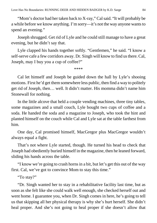"Mom's doctor had her taken back to X-ray," Cal said. "It will probably be a while before we know anything. I'm sorry—it's not the way anyone wants to spend an evening."

Joseph shrugged. Get rid of Lyle and he could still manage to have a great evening, but he didn't say that.

Lyle clapped his hands together softly. "Gentlemen," he said. "I know a self-serve cafe a few corridors away. Dr. Singh will know to find us there. Cal, Joseph, may I buy you a cup of coffee?"

\*\*\*\*

Cal let himself and Joseph be guided down the hall by Lyle's shooing motions. First he'd get them somewhere less public, then find a way to politely get rid of Joseph, then… well. It didn't matter. His momma didn't name him Stonewall for nothing.

In the little alcove that held a couple vending machines, three tiny tables, some magazines and a small couch, Lyle bought two cups of coffee and a soda. He handed the soda and a magazine to Joseph, who took the hint and planted himself on the couch while Cal and Lyle sat at the table farthest from him.

One day, Cal promised himself, MacGregor plus MacGregor wouldn't always equal a fight.

That's not where Lyle started, though. He turned his head to check that Joseph had obediently buried himself in the magazine, then he leaned forward, sliding his hands across the table.

"I know we're going to crash horns in a bit, but let's get this out of the way first. Cal, we've got to convince Mom to stay this time."

"To stay?"

"Dr. Singh wanted her to stay in a rehabilitative facility last time, but as soon as she felt like she could walk well enough, she checked herself out and went home. I guarantee you, when Dr. Singh comes in here, he's going to tell us that skipping all her physical therapy is why she's hurt herself. She didn't heal proper. And she's not going to heal proper if she doesn't allow that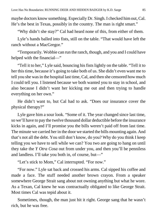maybe doctors know something. Especially Dr. Singh. I checked him out, Cal. He's the best in Texas, possibly in the country. The man is right smart."

"Why didn't she stay?" Cal had heard none of this, from either of them.

Lyle's hands balled into fists, still on the table. "That would have left the ranch without a MacGregor."

"Temporarily. Wobbie can run the ranch, though, and you and I could have helped with the financial—"

"Tell it to her," Lyle said, bouncing his fists lightly on the table. "Tell it to her this time, because it's going to take both of us. She didn't even want me to tell you she was in the hospital last time, Cal, and then she censored how much I could tell you. I listened because we both wanted you to stay in school, and also because I didn't want her kicking me out and then trying to handle everything on her own."

He didn't want to, but Cal had to ask. "Does our insurance cover the physical therapy?"

Lyle gave him a sour look. "Some of it. The year changed since last time, so we'll have to pay the twelve thousand dollar deductible before the insurance kicks in again, and I'll promise you the bills weren't paid off from last time. The minute we carried her in the door we started the bills mounting again. And that's not all the debt. You still don't know, do you? Why do you think I keep telling you we have to sell while we can? You two are going to hang on until they take the *Y Otra Cosa* out from under you, and then you'll be penniless and landless. I'll take you both in, of course, but—"

"Let's stick to Mom," Cal interrupted. "For now."

"For now." Lyle sat back and crossed his arms. Cal sipped his coffee and made a face. The stuff needed another brown crayon. From a speaker somewhere George Strait sang about not owning anything but what he wore. As a Texan, Cal knew he was contractually obligated to like George Strait. Most times Cal was tepid about it.

Sometimes, though, the man just hit it right. George sang that he wasn't rich, but he was free.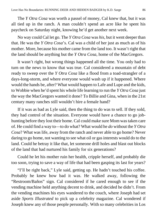The *Y Otra Cosa* was worth a passel of money, Cal knew that, but it was all tied up in the ranch. A man couldn't spend an acre like he spent his paycheck on Saturday night, knowing he'd get another next week.

No way could Cal let go. The *Y Otra Cosa* was *his*, but it went deeper than that. He was the *Y Otra Cosa*'s. Cal was a child of her just as much as of his mother. More, because his mother came from the land too. It wasn't right that the land should be anything but the *Y Otra Cosa*, home of the MacGregors.

It wasn't right, but wrong things happened all the time. You only had to turn on the news to know that was true. Cal considered a mountain of debt ready to sweep over the *Y Otra Cosa* like a flood from a toad-strangler of a days-long-storm, and where everyone would wash up if it happened. Where would the hands be, after? What would happen to Lafe and Lupe and the kids, to Wobbie when he'd spent his whole life learning to run the *Y Otra Cosa* just the way the MacGregors wanted it done? To Billie and Gina, when in the 21st century many ranches still wouldn't hire a female hand?

If it was as bad as Lyle said, then the thing to do was to sell. If they sold, they had control of the situation. Everyone would have a chance to go jobhunting before they lost their home. Cal could make sure Mom was taken care of. He could find a way to—to do what? What would he *do* without the *Y Otra Cosa*? What was life, away from the ranch and never able to go home? Never daring to go home, not wanting to see what oil or gas interests would do to the land. Could he betray it like that, let someone drill holes and blast out blocks of the land that had nurtured his family for six generations?

Could he let his mother ruin her health, cripple herself, and probably die too soon, trying to save a way of life that had been gasping its last for years?

"I'll be right back," Lyle said, getting up. He hadn't touched his coffee. Probably he knew how bad it was. He walked away, following the "Restroom/Baños" sign. Cal considered if he cared enough to see if the vending machine held anything decent to drink, and decided he didn't. From the vending machines his eyes wandered to the couch, where Joseph had set aside *Sports Illustrated* to pick up a celebrity magazine. Cal wondered if Joseph knew any of those people personally. With so many celebrities in Los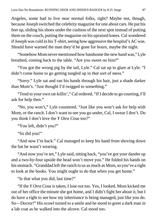Angeles, some had to live near normal folks, right? Maybe not, though, because Joseph switched the celebrity magazine for one about cars. He put his feet up, sliding his shoes under the cushion of the next spot instead of putting them on the couch, putting the magazine on his upraised knees. Cal wondered if Joseph was cold in his T-shirt, seeing how aggressive the hospital's AC was. Should have warned the man they'd be gone for hours, maybe the night.

"Somehow Mom never mentioned how handsome the new hand was," Lyle breathed, coming back to the table. "Are you sweet on him?"

"You got the wrong pig by the tail, Lyle." Cal sat up to glare at Lyle. "I didn't come home to go getting tangled up in *that* sort of mess."

"Sorry." Lyle sat and ran his hands through his hair, just a shade darker than Mom's. "Just thought I'd twigged to something."

"Tend to your own rat-killin'," Cal ordered. "If I decide to go courting, I'll ask for help then."

"No, you won't," Lyle countered. "Just like you won't ask for help with Mom, or the ranch. I don't want to see you go under, Cal, I swear I don't. Do you think I don't love the *Y Otra Cosa* too?"

"You left, didn't you?"

"So did you!"

"And now I'm back." Cal managed to keep his hand from shoving down the hat he wasn't wearing.

"And now you're set," Lyle said, sitting back, "you've got your dander up and a two-by-four upside the head won't move you." He folded his hands on his stomach. "Granddad left the ranch to us as much as Mom, so you've a right to look at the books. You might ought to do that when you get home."

"Is that what you did, last time?"

"If the *Y Otra Cosa* is taken, I lose out too. Yes, I looked. Mom kicked me out of her office the minute she got home, and I didn't fight her about it, but I do have a right to see how my inheritance is being managed, just like you do. So—Doctor!" His scowl turned to a smile and he stood to greet a dark man in a lab coat as he walked into the alcove. Cal stood too.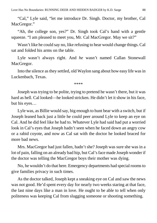Love Has No Boundaries: RUNNING DEER AND HIDDEN BADGER by K.D. Sarge 88

"Cal," Lyle said, "let me introduce Dr. Singh. Doctor, my brother, Cal MacGregor."

"Ah, the college son, yes?" Dr. Singh took Cal's hand with a gentle squeeze. "I am pleased to meet you, Mr. Cal MacGregor. May we sit?"

Wasn't like he could say no, like refusing to hear would change things. Cal sat and folded his arms on the table.

Lyle wasn't always right. And *he* wasn't named Callan Stonewall MacGregor.

Into the silence as they settled, old Waylon sang about how easy life wasin Luckenbach, Texas.

\*\*\*\*

Joseph was trying to be polite, trying to pretend he wasn't there, but it was hard as hell. Cal looked—he looked stricken. He didn't let it show in his face, but his eyes…

Lyle was, as Billie would say, big enough to hunt bear with a switch, but if Joseph leaned back just a little he could peer around Lyle to keep an eye on Cal. And he did feel like he had to. Whatever Lyle had said had put a worried look in Cal's eyes that Joseph hadn't seen when he faced down an angry cow or a rabid coyote, and now as Cal sat with the doctor he looked braced for more bad news.

Mrs. MacGregor had just fallen, hadn't she? Joseph was sure she was in a lot of pain, falling on an already bad hip, but Cal's face made Joseph wonder if the doctor was telling the MacGregor boys their mother was dying.

No, he wouldn't do that here. Emergency departments had special rooms to give families privacy in such times.

As the doctor talked, Joseph kept a sneaking eye on Cal and saw the news was not good. He'd spent every day for nearly two weeks staring at that face, the last nine days like a man in love. He ought to be able to tell when only politeness was keeping Cal from slugging someone or shooting something.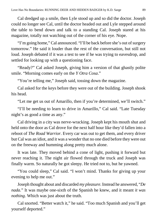Cal dredged up a smile, then Lyle stood up and so did the doctor. Joseph could no longer see Cal, until the doctor headed out and Lyle stepped around the table to bend down and talk to a standing Cal. Joseph stared at his magazine, totally not watching out of the corner of his eye. Nope.

"I'm going home," Cal announced. "I'll be back before she's out of surgery tomorrow." He said it louder than the rest of the conversation, but still not loud. Joseph debated if it was a test to see if he was trying to eavesdrop, and settled for looking up with a questioning face.

"Ready?" Cal asked Joseph, giving him a version of that ghastly polite smile. "Morning comes early on the *Y Otra Cosa*."

"You're telling me," Joseph said, tossing down the magazine.

Cal asked for the keys before they were out of the building. Joseph shook his head.

"Let me get us out of Amarillo, then if you're determined, we'll switch."

"I'll be needing to learn to drive in Amarillo," Cal said. "Late Tuesday night's as good a time as any."

Cal driving in a city was nerve-wracking. Joseph kept his mouth shut and held onto the door as Cal drove for the next half hour like they'd fallen into a reboot of *The Road Warrior*. Every car was out to get them, and every driver but Cal was an idiot, and it was a wonder that no one died before they were out on the freeway and humming along pretty much alone.

It was late. They moved behind a cone of light, pushing it forward but never reaching it. The night air flowed through the truck and Joseph was finally warm. So naturally he got sleepy. He tried not to, but he yawned.

"You could sleep," Cal said. "I won't mind. Thanks for giving up your evening to help me out."

Joseph thought about and discarded *my pleasure*. Instead he answered, "*De nada.*" It was maybe one-sixth of the Spanish he knew, and it meant *it was nothing*. Which was just about the truth.

Cal snorted. "Better watch it," he said. "Too much Spanish and you'll get yourself deported."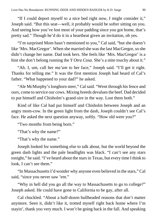"If I could deport myself to a nice bed right now, I might consider it," Joseph said. "But this seat—well, it probably would be softer sitting on you. And seeing how you've lost most of your padding since you got home, that's pretty sad." Though he'd do it in a heartbeat given an invitation, oh yes.

"I'm surprised Mom hasn't mentioned to you," Cal said, "but she doesn't like 'Mrs. MacGregor'. When she married she was the last MacGregor, so she didn't change her name. Dad took hers. She feels like 'Mrs. MacGregor' is a hint she don't belong running the *Y Otra Cosa*. She's a mite touchy about it."

"Ah. I, um, call her *ma'am* to her face," Joseph said. "I'll get it right. Thanks for telling me." It was the first mention Joseph had heard of Cal's father. "What happened to your dad?" he asked.

"Ale McMurphy's longhorn steer," Cal said. "Went through his fence and ours, come to service our cows. Mixing breeds devalues the beef. Dad decided to put himself and Chisholm's grand-sire in the way. Lost them both."

Kind of like Cal had put himself and Chisholm between Joseph and an angry mom-cow. In the green light from the dash, Joseph couldn't see Cal's face. He asked the next question anyway, softly. "How old were you?"

"Two months from being born."

"That's why the name?"

"That's why the name."

Joseph looked for something else to talk about, but the world beyond the green dash lights and the pale headlights was black. "I can't see any stars tonight," he said. "I've heard about the stars in Texas, but every time I think to look, I can't see them."

"In Massachusetts I'd wonder why anyone even believed in the stars," Cal said, "since you never saw 'em."

"Why in hell did you go all the way to Massachusetts to go to college?" Joseph asked. He could have gone to California to be gay, after all.

Cal chuckled. "About a half-dozen bullheaded reasons that don't matter anymore. Seen it, didn't like it, trotted myself right back home where I'm stayin', thank you very much. I won't be going back in the fall. And speaking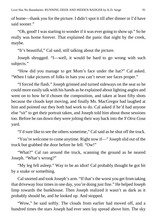of home—thank you for the picture. I didn't spot it till after dinner or I'd have said sooner."

"Oh, good! I was starting to wonder if it was ever going to show up." So he really was home forever. That explained the panic that night by the creek, maybe.

"It's beautiful," Cal said, still talking about the picture.

Joseph shrugged. "I—well, it would be hard to go wrong with such subjects."

"How did you manage to get Mom's face under the hat?" Cal asked. "When I take pictures of folks in hats you can't never see faces proper."

"I forced the flash." Joseph grinned and turned sideways on the seat so he could more easily talk with his hands as he explained about lighting angles and went on to how he'd chosen the composition, and taken at least fifty shots because the clouds kept moving, and finally Ms. MacGregor had laughed at him and pointed out they both had work to do. Cal asked if he'd had anyone else "sit" to get their portrait taken, and Joseph told him about those sessions too. Before he ran down they were jolting their way back into the *Y Otra Cosa* yard.

"I'd sure like to see the others sometime," Cal said as he shut off the truck.

"You're welcome to come anytime. Right now if—" Joseph slid out of the truck but grabbed the door before he fell. "Ow!"

"What?" Cal ran around the truck, scanning the ground as he neared Joseph. "What's wrong?"

"My leg fell asleep." Way to be an idiot! Cal probably thought he got bit by a snake or something.

Cal snorted and took Joseph's arm. "If that's the worst you get from taking that driveway four times in one day, you're doing just fine." He helped Joseph limp towards the bunkhouse. Then Joseph realized it wasn't as dark as it probably should be, and he looked up. And stopped.

"Wow," he said softly. The clouds from earlier had moved off, and a hundred times the stars Joseph had ever seen lay spread above him. The sky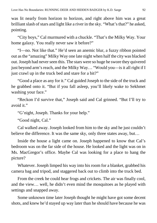was lit nearly from horizon to horizon, and right above him was a great brilliant slash of stars and light like a river in the sky. "What's that?" he asked, pointing.

"City boys," Cal murmured with a chuckle. "That's the Milky Way. Your home galaxy. You really never saw it before?"

"I—no. Not like that." He'd seen an anemic blur, a fuzzy ribbon pointed out as the "amazing" Milky Way one late night when half the city was blacked out. Joseph had never seen this. The stars were so huge he swore they quivered just beyond arm's reach, and the Milky Way… "Would you—is it all right if I just crawl up in the truck bed and stare for a bit?"

"Good a place as any for it." Cal guided Joseph to the side of the truck and he grabbed onto it. "But if you fall asleep, you'll likely wake to Sekhmet washing your face."

"Reckon I'd survive that," Joseph said and Cal grinned. "But I'll try to avoid it."

"G'night, Joseph. Thanks for your help."

"Good night, Cal."

Cal walked away. Joseph looked from him to the sky and he just couldn't believe the difference. It was the same sky, only three states away, but…

Inside the house a light came on. Joseph happened to know that Cal's bedroom was on the far side of the house. He looked and the light was on in Ms. MacGregor's office. Maybe Cal was looking for a place to hang the picture?

Whatever. Joseph limped his way into his room for a blanket, grabbed his camera bag and tripod, and staggered back out to climb into the truck bed.

From the creek he could hear frogs and crickets. The air was finally cool, and the view… well, he didn't even mind the mosquitoes as he played with settings and snapped away.

Some unknown time later Joseph thought he might have got some decent shots, and knew he'd stayed up way later than he should have because he was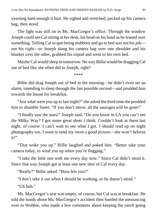yawning hard enough it hurt. He sighed and stretched, packed up his camera bag, then stood.

The light was still on in Ms. MacGregor's office. Through the window Joseph could see Cal sitting at her desk, his head on his hand as he leaned over something. Telling Cal to quit being stubborn and go to bed was not his job not his *right*—so Joseph slung his camera bag over one shoulder and his blanket over the other, grabbed his tripod and went to his own bed.

Maybe Cal would sleep in tomorrow. No way Billie would be dragging Cal out of bed like she often did to Joseph, right?

\*\*\*\*

Billie did drag Joseph out of bed in the morning—he didn't even set an alarm, intending to sleep through the last possible second—and prodded him towards the house for breakfast.

"Just what were you up to last night?" she asked the third time she prodded him to shamble faster. "If you don't move, all the sausages will be gone!"

"I finally saw the stars!" Joseph said. "Do you know in LA you can't see the Milky Way? I got some great shots I think. Couldn't look at them last night, of course. I can't wait to see what I got. I should read up on night photography too. I want to send my mom a good picture—she won't believe it!"

"That woke you up." Billie laughed and poked him. "Better take your camera today, to wind you up when you're flagging."

"I take the little one with me every day now." Since Cal didn't mind it. Since that way Joseph got at least one new shot of Cal every day.

"Really?" Billie asked. "Boss lets you?"

"I don't take it out when I should be working, so he doesn't mind."

"Uh huh."

Ms. MacGregor's seat was empty, of course, but Cal was at breakfast. He told the hands about Ms. MacGregor's accident then handed the announcing over to Wobbie, who made a few comments about keeping the ranch going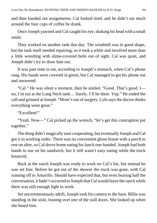and then handed out assignments. Cal looked tired, and he didn't eat much around the four cups of coffee he drank.

Once Joseph yawned and Cal caught his eye, shaking his head with a small smile.

They worked on another tank that day. The windmill was in good shape, but the tank itself needed repairing, so it took a while and involved more than a little wrestling with slime-covered bolts out of sight. Cal was quiet, and Joseph didn't try to draw him out.

It was past time to eat, according to Joseph's stomach, when Cal's phone rang. His hands were covered in green, but Cal managed to get his phone out and answered.

"Cal." He was silent a moment, then he smiled. "Good. That's good. I no, I'm out at the Long Neck tank… Surely. I'll be there. Yep." He ended the call and grinned at Joseph. "Mom's out of surgery. Lyle says the doctor thinks everything went great."

"Excellent!"

"Yeah. Now—" Cal picked up the wrench, "let's get this contraption put together."

The thing didn't magically start cooperating, but eventually Joseph and Cal got it in working order. There was no convenient ghost-house with a porch to rest on after, so Cal drove home eating his lunch one-handed. Joseph had both hands to use on his sandwich, but it still wasn't easy eating while the truck bounced.

Back at the ranch Joseph was ready to work on Cal's list, but instead he was set free. Before he got out of the shower the truck was gone, with Cal running off to Amarillo. Should have expected that, but even hearing half the conversation, it hadn't occurred to Joseph that Cal would leave the ranch while there was still enough light to work.

Set unceremoniously adrift, Joseph took his camera to the barn. Billie was standing in the aisle, leaning over one of the stall doors. She looked up when she heard him.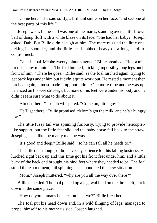"Come here," she said softly, a brilliant smile on her face, "and see one of the best parts of this life."

Joseph went. In the stall was one of the mares, standing over a little brown ball of damp fluff with a white blaze on its face. "She had her baby?" Joseph asked. Duh. But Billie didn't laugh at him. The mare nuzzled the little one, licking its shoulder, and the little head bobbed, heavy on a long, hard-tocontrol neck.

"Called a foal. Mebbe twenty minutes agone," Billie breathed. "He's a mite tired, but any minute—" The foal lurched, sticking impossibly long legs out in front of him. "There he goes," Billie said, as the foal lurched again, trying to get back legs under him but it didn't quite work out. He rested a moment then lurched again, almost made it up, but didn't. One more time and he was up, balanced on his wee stilt-legs, but none of his feet were under his body and he didn't seem sure what to do about it.

"Almost there!" Joseph whispered. "Come on, little guy!"

"He'll get there," Billie promised. "Mom's got the milk, and he's a hungry boy."

The little fuzzy tail was spinning furiously, trying to provide helicopterlike support, but the little feet slid and the baby horse fell back to the straw. Joseph gasped like the manly man he was.

"It's good and deep," Billie said, "so he can fall all he needs to."

The little one, though, didn't have any patience for this falling business. He lurched right back up and this time got his front feet under him, and a little buck of the back end brought his hind feet where they needed to be. The foal stood there a moment, tail spinning as he pondered the new situation.

"Mom," Joseph muttered, "why are you all the way over there?"

Billie chuckled. The foal picked up a leg, wobbled on the three left, put it down in the same place.

"How do you humans balance on just two?" Billie breathed.

The foal put his head down and, in a wild flinging of legs, managed to propel himself to his mother's side. Joseph laughed.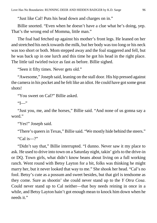"Just like Cal! Puts his head down and charges on in."

Billie snorted. "Even when he doesn't have a clue what he's doing, yep. That's the wrong end of Momma, little man."

The foal had fetched up against his mother's front legs. He leaned on her and stretched his neck towards the milk, but her body was too long or his neck was too short or both. Mom stepped away and the foal staggered and fell, but he was back up in one lurch and this time he got his head in the right place. The little tail twirled twice as fast as before. Billie sighed.

"Seen it fifty times. Never gets old."

"Awesome," Joseph said, leaning on the stall door. His hip pressed against the camera in his pocket and he felt like an idiot. He could have got some great shots!

"You sweet on Cal?" Billie asked.

"I—"

"Just you, me, and the horses," Billie said. "And none of us gonna say a word."

"Yes!" Joseph said.

"There's queers in Texas," Billie said. "We mostly hide behind the steers."

"Cal is—?"

"Didn't say that," Billie interrupted. "I dunno. Never saw it my place to ask. He used to drive into town on a Saturday night, takin' girls to the drive-in or DQ. Town girls, what didn't know beans about living on a full working ranch. Went round with Betsy Layton for a bit, folks was thinking he might marry her, but it never looked that way to me." She shook her head. "Cal's no fool. Betsy's cute as a possum and sweet besides, but that girl is tendsome as they come. Sure as shootin' she could never stand up to the *Y Otra Cosa*. Could never stand up to Cal neither—that boy needs reining in once in a while, and Betsy Layton hain't got enough mean to knock him down when he needs it."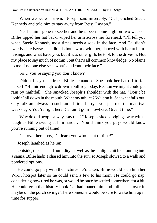"When we were in town," Joseph said miserably, "Cal punched Steele Kennedy and told him to stay away from Betsy Layton."

"Yet he ain't gone to see her and he's been home nigh on two weeks." Billie tipped her hat back, wiped her arm across her forehead. "I'll tell you what. Steele Kennedy most times needs a sock in the face. And Cal didn't 'zactly date Betsy—he did his homework with her, danced with her at barnraisings and what have you, but it was other girls he took to the drive-in. Not my place to say much of nothin', but that's all common knowledge. No blame to me if no one else sees what's in front their face."

"So… you're saying you don't know?"

"Didn't I say that first?" Billie demanded. She took her hat off to fan herself. "Humid enough to drown a bullfrog today. Reckon we might could get rain by nightfall." She smacked Joseph's shoulder with the hat. "Don't be lookin' all down in the mouth. Want my advice? Wait on it. See what falls out. City-folk are always in such an all-fired hurry—you just met the man two weeks ago. You're right here, Cal ain't goin' nowhere. Give it time."

"Why do old people always say that?" Joseph asked, dodging away with a laugh as Billie swung at him harder. "You'd think you guys would know you're running out of time!"

"Get over here, boy, I'll learn you who's out of time!"

Joseph laughed as he ran.

Outside, the heat and humidity, as well as the sunlight, hit like running into a sauna. Billie hadn't chased him into the sun, so Joseph slowed to a walk and pondered options.

He could go play with the pictures he'd taken. Billie would loan him her Wi-Fi hotspot later so he could send a few to his mom. He could go nap, considering how tired he was, or would be once he settled somewhere for a bit. He could grab that history book Cal had loaned him and fall asleep over it, maybe on the porch swing? There someone would be sure to wake him up in time for supper.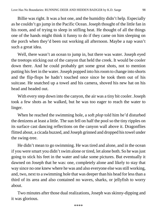Billie was right. It was a hot one, and the humidity didn't help. Especially as he couldn't go jump in the Pacific Ocean. Joseph thought of the little fan in his room, and of trying to sleep in stifling heat. He thought of all the things one of the hands might think it funny to do if they came on him sleeping on the porch when they'd been out working all afternoon. Maybe a nap wasn't such a great idea.

Well, there wasn't an ocean to jump in, but there was water. Joseph eyed the treetops sticking out of the canyon that held the creek. It would be cooler down there. And he could probably get some great shots, not to mention putting his feet in the water. Joseph popped into his room to change into shorts and the flip-flops he hadn't touched once since he took them out of his suitcase. He snatched up a towel and his camera, shoved his new hat on his head and headed out.

With every step down into the canyon, the air was a tiny bit cooler. Joseph took a few shots as he walked, but he was too eager to reach the water to linger.

When he reached the swimming hole, a soft *plop* told him he'd disturbed the denizens at least a little. The sun fell on half the pool so the tiny ripples on its surface cast dancing reflections on the canyon wall above it. Dragonflies flitted about, a cicada buzzed, and Joseph grinned and dropped his towel under the swing-tree.

He didn't mean to go swimming. He was tired and alone, and in the ocean if you were smart you didn't swim alone or tired, let alone both. So he was just going to stick his feet in the water and take some pictures. But eventually it dawned on Joseph that he was: one, completely alone and likely to stay that way since no one knew where he was and also everyone else was still working, and, two, next to a swimming hole that was deeper than his head for less than a third of its area and also contained no waves, sharks, or jellyfish to worry about.

Two minutes after those dual realizations, Joseph was skinny-dipping and it was glorious.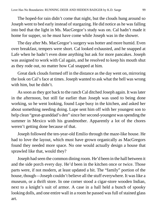The hoped-for rain didn't come that night, but the clouds hung around so Joseph went to bed early instead of stargazing. He did notice as he was falling into bed that the light in Ms. MacGregor's study was on. Cal hadn't made it home for supper, so he must have come while Joseph was in the shower.

The day after Ms. MacGregor's surgery was hotter and more humid. Even over breakfast, tempers were short. Cal looked exhausted, and he snapped at Lafe when he hadn't even done anything but ask for more pancakes. Joseph was assigned to work with Cal again, and he resolved to keep his mouth shut as they rode out, no matter how Cal snapped at him.

Great dark clouds formed off in the distance as the day went on, mirroring the look on Cal's face at times. Joseph wanted to ask what the hell was wrong with him, but he didn't.

As soon as they got back to the ranch Cal ditched Joseph again. It was later in the afternoon, but still far earlier than Joseph was used to being done working, so he went looking, found Lupe busy in the kitchen, and asked her about something needing doing. Lupe sent him off with her youngest son to help clean "great-granddad's den" since her second-youngest was spending the summer in Mexico with his grandmother. Apparently a lot of the chores weren't getting done because of that.

Joseph followed the ten-year-old Emilio through the maze-like house. He had to love the layout, which must have grown organically as MacGregors found they needed more space. No one would actually design a house that sprawled like that, would they?

Joseph had seen the common dining room. He'd been in the hall between it and the side porch every day. He'd been in the kitchen once or twice. Those parts were, if not modern, at least updated a bit. The "family" portion of the house, though—Joseph couldn't believe all the stuff everywhere. It was like a museum, or a thrift store. In one corner stood a cigar-store wooden Indian, next to a knight's suit of armor. A case in a hall held a bunch of spooky looking dolls, and one entire wall in a room he passed was full of stained glass art.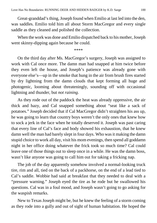Great-granddad's thing, Joseph found when Emilio at last led into the den, was saddles. Emilio told him all about Storm MacGregor and every single saddle as they cleaned and polished the collection.

When the work was done and Emilio dispatched back to his mother, Joseph went skinny-dipping again because he could.

\*\*\*\*

On the third day after Ms. MacGregor's surgery, Joseph was assigned to work with Cal once more. The damn man had snapped at him twice before they even left the house, and Joseph's patience was already gone with everyone else's—up in the smoke that hung in the air from brush fires started by dry lightning from the damn clouds that kept forming all huge and photogenic, looming about threateningly, sounding off with occasional lightning and thunder, but *not raining*.

As they rode out of the paddock the heat was already oppressive, the air thick and hazy, and Cal snapped something about "seat like a sack of potatoes." Joseph decided that if Cal MacGregor didn't straighten his ass up, he was going to learn that country boys weren't the only ones that knew how to sock a jerk in the face when he totally deserved it. Joseph was past caring that every line of Cal's face and body showed his exhaustion, that he knew damn well the man had barely slept in four days. Who was it making the damn stupid choice to work all day, visit his mom evenings, then spend all goddamn night in her office doing whatever the frick took so much time? Cal could leave one of those things out to sleep once in a while. He was the damn boss, wasn't like anyone was going to call him out for taking a fricking nap.

The job of the day apparently somehow involved a normal-looking truck tire, rim and all, tied on the back of a packhorse, on the end of a lead tied to Cal's saddle. Wobbie had said at breakfast that they needed to deal with a "pressure warning." Joseph eyed the tire as he rode but he swallowed his questions. Cal was in a foul mood, and Joseph wasn't going to go asking for the waspish remarks.

New to Texas Joseph might be, but he knew the feeling of a storm coming as they rode into a gully and out of sight of human habitation. He hoped the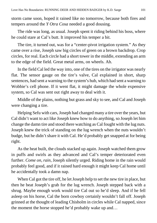storm came soon, hoped it rained like no tomorrow, because both fires and tempers around the *Y Otra Cosa* needed a good dousing.

The ride was long, as usual. Joseph spent it riding behind his boss, where he could stare at Cal's butt. It improved his temper a bit.

The tire, it turned out, was for a "center-pivot irrigation system." As they came over a rise, Joseph saw big circles of green on a brown backdrop. Crop circles, for real. Each circle had a short tower in the middle, extending an arm to the edge of the field. Great metal arms, on wheels. Ah.

In the field Cal led the way into, one of the tires on the irrigator was nearly flat. The sensor gauge on the tire's valve, Cal explained in short, sharp sentences, had sent a warning to the system's hub, which had sent a warning to Wobbie's cell phone. If it went flat, it might damage the whole expensive system, so Cal was sent out right away to deal with it.

Middle of the plains, nothing but grass and sky to see, and Cal and Joseph were changing a tire.

Helping Sefu with cars, Joseph had changed many a tire over the years, but Cal didn't want to act like Joseph knew how to do anything, so Joseph let him change the damn tire and stood there watching as Cal fought with the lug nuts. Joseph knew the trick of standing on the lug wrench when the nuts wouldn't budge, but he didn't share it with Cal. He'd probably get snapped at for being right.

As the heat built, the clouds stacked up again. Joseph watched them grow in puffs and swirls as they advanced and Cal's temper deteriorated even further. *Come on, rain*, Joseph silently urged. Riding home in the rain would probably feel good, and if it rained hard enough it might keep Cal home until he accidentally took a damn nap.

When Cal got the tire off, he let Joseph help to set the new tire in place, but then he beat Joseph's grab for the lug wrench. Joseph stepped back with a shrug. Maybe enough work would tire Cal out so he'd sleep. And if he fell asleep on his horse, Cal the born cowboy certainly wouldn't fall off. Joseph grinned at the thought of leading Chisholm in circles while Cal napped, since the moment the horse stopped he'd probably wake up and…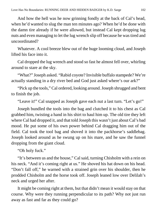And how the hell was he now grinning fondly at the back of Cal's head, when he'd wanted to slug the man ten minutes ago? When he'd be done with the damn tire already if he were allowed, but instead Cal kept dropping lug nuts and even managing to let the lug wrench slip off because he was tired and uncoordinated?

Whatever. A cool breeze blew out of the huge looming cloud, and Joseph lifted his face into it.

Cal dropped the lug wrench and stood so fast he almost fell over, whirling around to stare at the sky.

"What?" Joseph asked. "Rabid coyote? Invisible buffalo stampede? We're actually standing in a dry river bed and God just asked where's our ark?"

"Pick up the tools," Cal ordered, looking around. Joseph shrugged and bent to finish the job.

"Leave it!" Cal snapped as Joseph gave each nut a last turn. "Let's go!"

Joseph bundled the tools into the bag and clutched it to his chest as Cal grabbed him, twisting a hand in his shirt to haul him up. The old tire they left where Cal had dropped it, and that told Joseph this wasn't just about Cal's bad mood. He put some of his own power behind Cal dragging him out of the field. Cal took the tool bag and shoved it into the packhorse's saddlebag. Joseph looked around as he swung up on his mare, and he saw the funnel dropping from the giant cloud.

"Oh holy fuck."

"It's between us and the house," Cal said, turning Chisholm with a rein on his neck. "And it's coming right at us." He shoved his hat down on his head. "Don't fall off," he warned with a strained grin over his shoulder, then he prodded Chisholm and the horse took off. Joseph leaned low over Delilah's neck and urged her after.

It might be coming right at them, but that didn't mean it would stay on that course. Why were they running perpendicular to its path? Why not just run away as fast and far as they could go?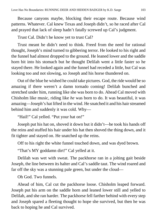Because canyons maybe, blocking their escape route. Because wind patterns. Whatever. Cal knew Texas and Joseph didn't, so he raced after Cal and prayed that lack of sleep hadn't fatally screwed up Cal's judgment.

Trust Cal. Didn't he know yet to trust Cal?

Trust meant he didn't need to think. Freed from the need for rational thought, Joseph's mind turned to gibbering terror. He looked to his right and the funnel had almost dropped to the ground. He leaned lower and the saddle horn bit into his stomach but he thought Delilah went a little faster so he stayed there. He looked again and the funnel had receded a little, but Cal was looking too and not slowing, so Joseph and his horse thundered on.

Out of the blue he wished he could take pictures. God, the ride would be so amazing if there weren't a damn tornado coming! Delilah bunched and stretched under him, running like she was born to do. Ahead Cal moved with Chisholm like music, riding like *he* was born to do. It was beautiful, it was amazing—Joseph's hat lifted in the wind. He snatched it and his hair streamed behind him and suddenly it was cold. Why—

"Hail!" Cal yelled. "Put your hat on!"

Joseph put his hat on, shoved it down but it didn't—he took his hands off the reins and stuffed his hair under his hat then shoved the thing down, and it fit tighter and stayed on. He snatched up the reins.

Off to his right the white funnel touched down, and was dyed brown.

"That's MY goddamn dirt!" Cal yelled at it.

Delilah was wet with sweat. The packhorse ran in a jolting gait beside Joseph, the line between its halter and Cal's saddle taut. The wind roared and far off the sky was a stunning pale green, but under the cloud—

Oh God. Two funnels.

Ahead of him, Cal cut the packhorse loose. Chisholm leaped forward. Joseph put his arm on the saddle horn and leaned lower still and yelled to Delilah, and she ran harder. The packhorse fell farther behind with every step and Joseph spared a fleeting thought to hope she survived, but then he was back to hoping he and Cal survived.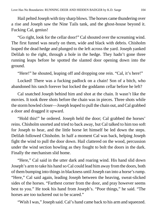Hail pelted Joseph with tiny sharp blows. The horses came thundering over a rise and Joseph saw the Nine Tails tank, and the ghost-house beyond it. Fucking Cal, genius!

"Go right, look for the cellar door!" Cal shouted over the screaming wind. The first funnel was nearly on them, wide and black with debris. Chisholm leaped the dead hedge and plunged to the left across the yard. Joseph yanked Delilah to the right, through a hole in the hedge. They hadn't gone three running leaps before he spotted the slanted door opening down into the ground.

"Here!" he shouted, leaping off and dropping one rein. "Cal, it's here!"

Locked! There was a fucking padlock on a chain! Son of a bitch, who abandoned his ranch forever but locked the goddamn cellar before he left?

Cal snatched Joseph behind him and shot at the chain. It wasn't like the movies. It took three shots before the chain was in pieces. Three shots while the storm howled closer—Joseph leaped to pull the chain out, and Cal grabbed a door and dragged it upward.

"Hold this!" he ordered. Joseph held the door; Cal grabbed the horses' reins. Chisholm snorted and tried to back away, but Cal talked to him too soft for Joseph to hear, and the little horse let himself be led down the steps. Delilah followed Chisholm. In half a moment Cal was back, helping Joseph fight the wind to pull the door down. Hail clattered on the wood, percussion under the wind section howling as they fought to bolt the doors in the dark. Finally the mechanism slid home.

"Here," Cal said in the utter dark and roaring wind. His hand slid down Joseph's arm to take his hand so Cal could lead him away from the doors, both of them bumping into things in blackness until Joseph ran into a horse's rump. "Here," Cal said again, leading Joseph between the heaving, sweat-slicked sides of the horses. "Farthest corner from the door, and pray however seems best to you." He took his hand from Joseph's. "Poor things," he said. "The horses are too tuckered out to be scared."

"Wish I was," Joseph said. Cal's hand came back to his arm and squeezed.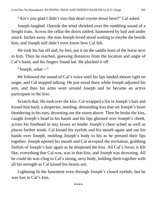"Ain't you glad I didn't toss that dead coyote down here?" Cal asked.

Joseph laughed. Outside the wind shrieked over the rumbling sound of a freight train. Across the cellar the doors rattled, hammered by hail and under attack. Inches away, the man Joseph loved stood waiting to maybe die beside him, and Joseph still didn't even know how Cal felt.

He took his hat off and, by feel, put it on the saddle horn of the horse next to him. Then he reached, guessing distances from the location and angle of Cal's hand, and his fingers found hat. He plucked it off.

"Joseph, what—"

He followed the sound of Cal's voice until his lips landed almost right on target, and Cal stopped talking. He just stood there while Joseph adjusted his aim, and then his arms went around Joseph and he became an active participant in the kiss.

Scratch that. He *took over* the kiss. Cal wrapped a fist in Joseph's hair and kissed him hard, a desperate, needing, demanding kiss that set Joseph's heart thundering in his ears, drowning out the storm above. Then he broke the kiss, caught Joseph's head in his hands and his lips ghosted over Joseph's cheek, across his forehead in tiny kisses so tender Joseph's chest ached as well as places farther south. Cal kissed his eyelids and his mouth again and ran his hands over Joseph, molding Joseph's body to his as he pressed their lips together. Joseph opened his mouth and Cal accepted the invitation, grabbing fistfuls of Joseph's hair again as he deepened the kiss. All Cal's focus, it felt like, everything that Cal was, was in that kiss, and Joseph was drowning. All he could do was cling to Cal's strong, sexy body, holding them together with all his strength as Cal kissed his brains out.

Lightning lit the basement even through Joseph's closed eyelids, but he was lost in Cal's kiss.

\*\*\*\*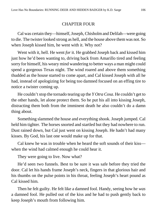## CHAPTER FOUR

Cal was certain they—himself, Joseph, Chisholm and Delilah—were going to die. The twister looked strong as hell, and the house above them was not. So when Joseph kissed him, he went with it. Why not?

Went with it, hell. He went *for* it. He grabbed Joseph back and kissed him just how he'd been wanting to, driving back from Amarillo tired and feeling sorry for himself, his weary mind wandering to better ways a man might could spend a gorgeous Texas night. The wind roared and above them something thudded as the house started to come apart, and Cal kissed Joseph with all he had, instead of apologizing for being too damned focused on an effing tire to notice a twister coming up.

He couldn't stop the tornado tearing up the *Y Otra Cosa*. He couldn't get to the other hands, let alone protect them. So he put his all into kissing Joseph, distracting them both from the imminent death he also couldn't do a damn thing about.

Something slammed the house and everything shook. Joseph jumped. Cal held him tighter. The horses snorted and startled but they had nowhere to run. Dust rained down, but Cal just went on kissing Joseph. He hadn't had many kisses. By God, his last one would make up for that.

Cal knew he was in trouble when he heard the soft sounds of their kiss when the wind had calmed enough he could hear it.

They were going to live. Now what?

He'd seen two funnels. Best to be sure it was safe before they tried the door. Cal let his hands frame Joseph's neck, fingers in that glorious hair and his thumbs on the pulse points in his throat, feeling Joseph's heart pound as Cal kissed him.

Then he felt guilty. He felt like a damned fool. Handy, seeing how he *was* a damned fool. He pulled out of the kiss and he had to push gently back to keep Joseph's mouth from following him.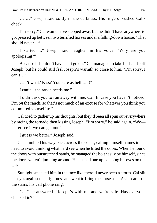"Cal…" Joseph said softly in the darkness. His fingers brushed Cal's cheek.

"I'm sorry." Cal would have stepped away but he didn't have anywhere to go, pressed up between two terrified horses under a falling-down house. "That should never—"

"I started it," Joseph said, laughter in his voice. "Why are you apologizing?"

"Because I shouldn't have let it go on." Cal managed to take his hands off Joseph, but he could still feel Joseph's warmth so close to him. "I'm sorry. I  $can't$ …

"Can't what? Kiss? You sure as hell can!"

"I can't—the ranch needs me."

"I didn't ask you to run away with me, Cal. In case you haven't noticed, I'm *on* the ranch, so that's not much of an excuse for whatever you think you committed yourself to."

Cal tried to gather up his thoughts, but they'd been all spun out everywhere by racing the tornado then kissing Joseph. "I'm sorry," he said again. "We better see if we can get out."

"I guess we better," Joseph said.

Cal stumbled his way back across the cellar, calling himself names in his head to avoid thinking what he'd see when he lifted the doors. When he found the doors with outstretched hands, he managed the bolt easily by himself, since the doors weren't jumping around. He pushed one up, keeping his eyes on the task.

Sunlight smacked him in the face like there'd never been a storm. Cal slit his eyes against the brightness and went to bring the horses out. As he came up the stairs, his cell phone rang.

"Cal," he answered. "Joseph's with me and we're safe. Has everyone checked in?"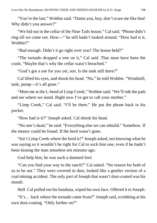"You're the last," Wobbie said. "Damn you, boy, don't scare me like that! Why didn't you answer?"

"We hid out in the cellar of the Nine Tails house," Cal said. "Phone didn't ring till we came out. How—" he still hadn't looked around. "How bad is it, Wobbie?"

"Bad enough. Didn't it go right over you? The house held?"

"The tornado dropped a tree on it," Cal said. That must have been the crash. "Maybe that's why the cellar wasn't breached."

"God's got a use for you yet, son. Is the tank still there?"

Cal lifted his eyes, and shook his head. "No," he told Wobbie. "Windmill, tank, pump—it's all gone."

"Meet me at the L-bend of Limp Creek," Wobbie said. "We'll ride the path and see where we stand. Right now I've got to call your mother."

"Limp Creek," Cal said. "I'll be there." He put the phone back in his pocket.

"How bad is it?" Joseph asked. Cal shook his head.

"No one's dead," he said. "Everything else we can rebuild." Somehow. If the money could be found. If the herd wasn't gone.

"Isn't Limp Creek where the herd is?" Joseph asked, not knowing what he was saying so it wouldn't be right for Cal to sock him one, even if he hadn't been kissing the man senseless ten minutes ago.

God help him, he was such a damned fool.

"Can you find your way to the ranch?" Cal asked. "No reason for both of us to be out." They were covered in dust, looked like a gentler version of a coal mining accident. The only part of Joseph that wasn't dust-coated was his mouth.

Hell. Cal pulled out his bandana, wiped his own face. Offered it to Joseph.

"It's… back where the tornado came from?" Joseph said, scrubbing at his own dust-coating. "Only farther on?"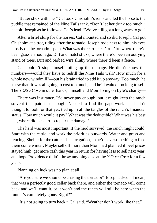"Better stick with me." Cal took Chisholm's reins and led the horse to the puddle that remained of the Nine Tails tank. "Don't let her drink too much," he told Joseph as he followed Cal's lead. "We've still got a long ways to go."

After a brief slurp for the horses, Cal mounted and so did Joseph. Cal put Chisholm at a trot, riding after the tornado. Joseph rode next to him, his eyes mostly on the tornado's path. What was there to see? Dirt. Dirt, where there'd been grass an hour ago. Dirt and matchsticks, where there'd been an outlying stand of trees. Dirt and barbed wire slinky where there'd been a fence.

Cal couldn't stop himself toting up the damage. He didn't know the numbers—would they have to redrill the Nine Tails well? How much for a whole new windmill?—but his brain tried to add it up anyway. Too much, he knew that. It was all going to cost too much, and he'd waited too long to sell. The *Y Otra Cosa* in other hands, himself and Mom living on Lyle's charity—

There was insurance. It'd never pay enough, but it might keep the ranch solvent if it paid fast enough. Needed to find the paperwork—he hadn't thought to look for that yet, tied up in all the tangles of the ranch's financial status. How much would it pay? What was the deductible? What was his best bet, where did he start to repair the damage?

The herd was most important. If the herd survived, the ranch might could. Start with the cattle, and work the priorities outwards. Water and grass and fencing. Shelter for the cattle. Then irrigation, so he'd have something to feed them come winter. Maybe sell off more than Mom had planned if beef prices stayed high, get more cash this year in return for having less to sell next year, and hope Providence didn't throw anything else at the *Y Otra Cosa* for a few years.

Planning on luck was no plan at all.

"Are you sure we should be chasing the tornado?" Joseph asked. "I mean, that was a perfectly good cellar back there, and either the tornado will come back and we'll want it, or it won't and the ranch will still be here when the funnel's completely gone. Right?"

"It's not going to turn back," Cal said. "Weather don't work like that."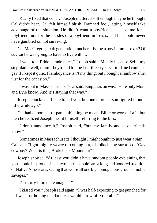"Really liked that cellar," Joseph muttered soft enough maybe he thought Cal didn't hear. Cal felt himself blush. Damned fool, letting himself take advantage of the situation. He didn't want a boyfriend, had no time for a boyfriend, nor for the hassles of a *boy*friend in Texas, and he should never have gambled on not surviving.

Cal MacGregor, sixth generation rancher, kissing a boy in rural Texas? Of *course* he was going to have to live with it.

"I went to a Pride parade once," Joseph said. "Mostly because Sefu, my step-dad—well, mom's boyfriend for the last fifteen years—told me I could be gay if I kept it quiet. Flamboyance isn't my thing, but I bought a rainbow shirt just for the occasion."

"I was out in Massachusetts," Cal said. Emphasis on *was*. "Here only Mom and Lyle know. And it's staying that way."

Joseph chuckled. "I hate to tell you, but one more person figured it out a little while ago."

Cal had a moment of panic, thinking he meant Billie or worse, Lafe, but then he realized Joseph meant himself, referring to the kiss.

"I don't announce it," Joseph said, "but my family and close friends know."

"Sometimes in Massachusetts I thought I might ought to just wear a sign," Cal said. "I got mighty weary of coming out, of folks being surprised. 'Gay cowboy? What is this, Brokeback Mountain?'"

Joseph snorted. "At least you didn't have random people explaining that you should be proud, since 'two-spirit people' are a long and honored tradition of Native Americans, seeing that we're all one big homogenous group of noble savages."

"I'm sorry I took advantage—"

"I kissed you," Joseph said again. "I was half-expecting to get punched for it. I was just hoping the darkness would throw off your aim."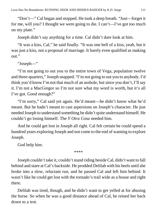"Don't—" Cal began and stopped. He took a deep breath. "Just—forget it for me, will you? I thought we were going to die. I can't—I've got too much on my plate."

Joseph didn't say anything for a time. Cal didn't dare look at him.

"It was a kiss, Cal," he said finally. "It was one hell of a kiss, yeah, but it was just a kiss, not a proposal of marriage. It barely even qualified as making out."

"Joseph—"

"I'm not going to out you to the entire town of Vega, population twelve and three-quarters," Joseph snapped. "I'm not going to out you to anybody. I'd think you'd know I'm not that much of an asshole, but since you don't, I'll say it. I'm not a MacGregor so I'm not sure what my word is worth, but it's all I've got. Good enough?"

"I'm sorry," Cal said yet again. He'd meant—he didn't know what he'd meant. But he hadn't meant to cast aspersions on Joseph's character. He just needed Joseph to understand something he didn't quite understand himself. He couldn't go losing himself. The *Y Otra Cosa* needed him.

And he could get lost in Joseph all right. Cal felt certain he could spend a hundred years exploring Joseph and not come to the end of wanting to explore Joseph.

God help him.

\*\*\*\*

Joseph couldn't take it, couldn't stand riding beside Cal, didn't want to fall behind and stare at Cal's backside. He prodded Delilah with his heels until she broke into a slow, reluctant run, and he passed Cal and left him behind. It wasn't like he could get lost with the tornado's trail wide as a house and right there.

Delilah was tired, though, and he didn't want to get yelled at for abusing the horse. So when he was a good distance ahead of Cal, he reined her back down to a trot.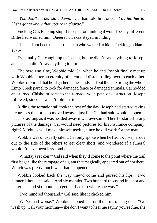"*You don't let her slow down*," Cal had told him once. "*You tell her to. She's got to know that you're in charge*."

Fucking Cal. Fucking stupid Joseph, for thinking it would be any different. Billie had warned him. Queers in Texas stayed in hiding.

That had not been the kiss of a man who wanted to hide. Fucking goddamn *Texas*.

Eventually Cal caught up to Joseph, but he didn't say anything to Joseph and Joseph didn't say anything to him.

The herd was fine, Wobbie told Cal when he and Joseph finally met up with Wobbie after an eternity of silent and distant riding next to each other. Wobbie reported that he'd gathered the hands and put them to riding the whole Limp Creek parcel to look for damaged fence or damaged animals. Cal nodded and turned Chisholm back to the tornado-wide path of destruction. Joseph followed, since he wasn't told not to.

Riding the tornado trail took the rest of the day. Joseph had started taking pictures as the tornado moved away—just like Cal had said would happen because as long as it was headed away it was awesome. Then he started taking pictures of the damage. Cal would need pictures for his insurance company, right? Might as well make himself useful, since he did work for the man.

Wobbie was unusually silent. Cal only spoke when he had to. Joseph rode out to the side of the others to get clear shots, and wondered if a funeral wouldn't have been less somber.

"Whattaya reckon?" Cal said when they'd come to the point where the trail first began like the rampage of a giant that magically appeared out of nowhere. Which was pretty much what had happened.

Wobbie looked back the way they'd come and pursed his lips. "Two hunnerd thou," he said. "And six months. Two hunnerd thousand in labor and materials, and six months to get her back to where she was."

"Two hundred thousand," Cal said like it choked him.

"We've had worse." Wobbie slapped Cal on the arm, raising dust. "Go wash up. Call your momma—she don't want to hear me sayin' you're fine, she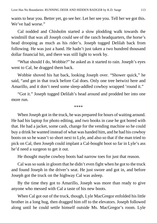wants to hear you. Better yet, go see her. Let her see you. Tell her we got this. We've had worse."

Cal nodded and Chisholm started a slow plodding walk towards the windmill that was all Joseph could see of the ranch headquarters, the horse's head drooping as much as his rider's. Joseph tugged Delilah back from following. He was just a hand. He hadn't just taken a two hundred thousand dollar financial hit, and there was still light to work by.

"What should I do, Wobbie?" he asked as it started to rain. Joseph's eyes went to Cal, he dragged them back.

Wobbie shoved his hat back, looking Joseph over. "Shower quick," he said, "and get in that truck before Cal does. Only one tree betwixt here and Amarillo, and it don't need some sleep-addled cowboy wrapped 'round it."

"Got it." Joseph tugged Delilah's head around and prodded her into one more run.

\*\*\*\*

When Joseph got in the truck, he was prepared for hours of waiting around. He had his laptop for photo editing, and two books in case he got bored with that. He had a jacket, some cash, change for the vending machine so he could buy a drink he wanted instead of what was handed him, and he had his cowboy boots on so he wasn't so short next to Lyle, and also so that if the man tried to pick on Cal, then Joseph could implant a Cal-bought boot so far in Lyle's ass he'd need a surgeon to get it out.

He thought maybe cowboy boots had narrow toes for just that reason.

Cal was so sunk in gloom that he didn't even fight when he got to the truck and found Joseph in the driver's seat. He just swore and got in, and before Joseph got the truck on the highway Cal was asleep.

By the time they got to Amarillo, Joseph was more than ready to give anyone who messed with Cal a taste of his new boots.

When Cal got out of the truck, though, Lyle MacGregor enfolded his little brother in a long hug, then dragged him off to the elevators. Joseph followed along until he could settle himself outside Ms. MacGregor's room. Lyle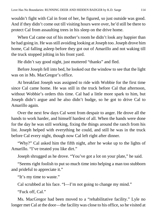wouldn't fight with Cal in front of her, he figured, so just outside was good. And if they didn't come out till visiting hours were over, he'd still be there to protect Cal from assaulting trees in his sleep on the drive home.

When Cal came out of his mother's room he didn't look any happier than he had going in. He was still avoiding looking at Joseph too. Joseph drove him home, Cal falling asleep before they got out of Amarillo and not waking till the truck stopped jolting in his front yard.

He didn't say good night, just muttered "thanks" and fled.

Before Joseph fell into bed, he looked out the window to see that the light was on in Ms. MacGregor's office.

At breakfast Joseph was assigned to ride with Wobbie for the first time since Cal came home. He was still in the truck before Cal that afternoon, without Wobbie's orders this time. Cal had a little more spark to him, but Joseph didn't argue and he also didn't budge, so he got to drive Cal to Amarillo again.

Over the next few days Cal went from despair to anger. He drove all the hands to work harder, and himself hardest of all. When the hands were done for the day he was still working, fixing the things around the ranch from his list. Joseph helped with everything he could, and still he was in the truck before Cal every night, though now Cal left right after dinner.

"Why?" Cal asked him the fifth night, after he woke up to the lights of Amarillo. "I've treated you like dirt."

Joseph shrugged as he drove. "You've got a lot on your plate," he said.

"Seems right foolish to put so much time into helping a man too stubborn and prideful to appreciate it."

"It's my time to waste."

Cal scrubbed at his face. "I—I'm not going to change my mind."

"Fuck off, Cal."

Ms. MacGregor had been moved to a "rehabilitative facility." Lyle no longer met Cal at the door—the facility was close to his office, so he visited at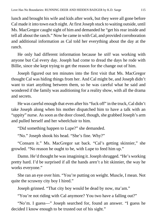lunch and brought his wife and kids after work, but they were all gone before Cal made it into town each night. At first Joseph stuck to waiting outside, until Ms. MacGregor caught sight of him and demanded he "get his rear inside and tell all about the ranch." Now he came in with Cal, and provided corroboration and additional information as Cal told her everything about the day at the ranch.

He only had different information because he *still* was working with anyone but Cal every day. Joseph had come to dread the days he rode with Billie, since she kept trying to get the reason for the change out of him.

Joseph figured out ten minutes into the first visit that Ms. MacGregor thought Cal was hiding things from her. And Cal might be, and Joseph didn't want to start anything between them, so he was careful what he said and wondered if the family was auditioning for a reality show, with all the drama and secrets.

He was careful enough that even after his "fuck off" in the truck, Cal didn't take Joseph along when his mother dispatched him to have a talk with an "uppity" nurse. As soon as the door closed, though, she grabbed Joseph's arm and pulled herself and her wheelchair to him.

"Did something happen to Lupe?" she demanded.

"No." Joseph shook his head. "She's fine. Why?"

"Consarn it." Ms. MacGregor sat back. "Cal's getting skinnier," she growled. "No reason he ought to be, with Lupe to feed him up."

Damn. He'd thought he was imagining it. Joseph shrugged. "He's working pretty hard. I'd be surprised if all the hands aren't a bit skinnier, the way he works everyone."

She ran an eye over him. "You're putting on weight. Muscle, I mean. Not quite the scrawny city boy I hired."

Joseph grinned. "That city boy would be dead by now, ma'am."

"You're not riding with Cal anymore? You two have a falling out?"

"No'm. I guess—" Joseph searched for, found an answer. "I guess he decided I know enough to be trusted out of his sight."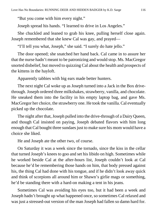"But you come with him every night."

Joseph spread his hands. "I learned to drive in Los Angeles."

She chuckled and leaned to grab his knee, pulling herself close again. Joseph remembered that she knew Cal was gay, and prayed—

"I'll tell you what, Joseph," she said. "I surely do hate jello."

The door opened; she snatched her hand back. Cal came in to assure her that the nurse hadn't meant to be patronizing and would stop. Ms. MacGregor snorted disbelief, but moved to quizzing Cal about the health and prospects of the kittens in the hayloft.

Apparently tabbies with big ears made better hunters.

The next night Cal woke up as Joseph turned into a Jack in the Box drivethrough. Joseph ordered three milkshakes, strawberry, vanilla, and chocolate. He sneaked them into the facility in his empty laptop bag, and gave Ms. MacGregor her choice, the strawberry one. He took the vanilla. Cal eventually picked up the chocolate.

The night after that, Joseph pulled into the drive-through of a Dairy Queen, and though Cal insisted on paying, Joseph debated flavors with him long enough that Cal bought three sundaes just to make sure his mom would have a choice she liked.

He and Joseph ate the other two, of course.

On Saturday it was a week since the tornado, since the kiss in the cellar that turned Joseph's knees to goo and set his libido on high. Sometimes while he worked beside Cal at the after-hours list, Joseph couldn't look at Cal because he'd be remembering those hands on him, that body pressed against his, the thing Cal had done with his tongue, and if he didn't look away quick and think of scorpions all around him or Shawn's girlie mags or something, he'd be standing there with a hard-on making a tent in his jeans.

Sometimes Cal was avoiding his eyes too, but it had been a week and Joseph hadn't brought up what happened once, so sometimes Cal relaxed and was just a stressed-out version of the man Joseph had fallen so damn hard for.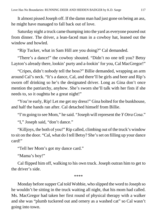It almost pissed Joseph off. If the damn man had just gone on being an ass, he might have managed to fall back out of love.

Saturday night a truck came thumping into the yard as everyone poured out from dinner. The driver, a lean-faced man in a cowboy hat, leaned out the window and howled.

"Rip Tucker, what in Sam Hill are you doing?" Cal demanded.

"There's a dance!" the cowboy shouted. "Didn't no one tell you? Betsy Layton's already there, lookin' purty and a-lookin' for you, Cal MacGregor!"

"Cripes, didn't nobody tell the boss?" Billie demanded, wrapping an arm around Cal's neck. "It's a dance, Cal, and there'll be girls and beer and Rip's sworn off drinking so he's the designated driver. Long as Gina don't once mention the patriarchy, anyhow. She's sworn she'll talk with her fists if she needs to, so it oughtta be a great night!"

"You're early, Rip! Let me get my dress!" Gina bolted for the bunkhouse, and half the hands ran after. Cal detached himself from Billie.

"I'm going to see Mom," he said. "Joseph will represent the *Y Otra Cosa*."

"I," Joseph said, "don't dance."

"Killjoys, the both of you!" Rip called, climbing out of the truck's window to sit on the door. "Cal, what do I tell Betsy? She's set on filling up your dance card!"

"Tell her Mom's got my dance card."

"Mama's boy!"

Cal flipped him off, walking to his own truck. Joseph outran him to get to the driver's side.

\*\*\*\*

Monday before supper Cal told Wobbie, who slipped the word to Joseph so he wouldn't be sitting in the truck waiting all night, that his mom had called. Ms. MacGregor had taken her first round of physical therapy with a walker and she was "plumb tuckered out and ornery as a washed cat" so Cal wasn't going into town.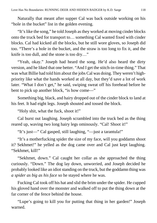Naturally that meant after supper Cal was back outside working on his "hole in the bucket" list in the golden evening.

"It's like the song," he told Joseph as they worked at moving cinder blocks onto the truck bed for transport to… something Cal wanted fixed with cinder blocks. Cal had kicked all the blocks, but he still wore gloves, so Joseph did too. "There's a hole in the bucket, and the straw is too long to fix it, and the knife is too dull, and the stone is too dry…"

"Yeah, okay." Joseph had heard the song. He'd also heard the dirty version, and he liked that one better. "And I get the stitch-in-time thing." That was what Billie had told him about the jobs Cal was doing. They weren't highpriority like what the hands worked at all day, but they'd save a lot of work later. "What I don't get," he said, swiping sweat off his forehead before he bent to pick up another block, "is how come—"

Something big, black, and hairy dropped out of the cinder block to land at his feet. It had eight legs. Joseph shouted and tossed the block.

"Holy shit, what the fuck, shoot it!"

Cal burst out laughing. Joseph scrambled into the truck bed as the thing reared up, waving two long hairy legs ominously. "Cal! Shoot it!"

"It's just—" Cal gasped, still laughing, "—just a tarantula!"

"It's a motherfucking spider the size of my face, will you goddamn shoot it? Sekhmet!" he yelled as the dog came over and Cal just kept laughing. "Sekhmet, kill!"

"Sekhmet, down." Cal caught her collar as she approached the thing curiously. "Down." The dog lay down, unworried, and Joseph decided he probably looked like an idiot standing on the truck, but the goddamn thing was *a spider as big as his face* so he stayed where he was.

Fucking Cal took off his hat and slid the brim under the spider. He cupped his gloved hand over the monster and walked off to put the thing down at the far corner of the fence behind the house.

"Lupe's going to kill you for putting that thing in her garden!" Joseph warned.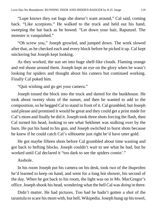"Lupe knows they eat bugs she doesn't want around," Cal said, coming back. "Like scorpions." He walked to the truck and held out his hand, sweeping the hat back as he bowed. "Let down your hair, Rapunzel. The monster is vanquished."

"Oh screw you," Joseph growled, and jumped down. The work slowed after that, as he checked each and every block before he picked it up. Cal kept snickering but Joseph kept looking.

As they worked, the sun set into huge shelf-like clouds. Flaming orange and red shone around them. Joseph kept an eye on the glory when he wasn't looking for spiders and thought about his camera but continued working. Finally Cal poked him.

"Quit wishing and go get your camera."

Joseph tossed the block into the truck and darted for the bunkhouse. He took about twenty shots of the sunset, and then he wanted to add to the composition, so he begged Cal to stand in front of it. Cal grumbled, but Joseph said please and promised it would be great and they could get a print made for Cal's mom and finally he did it. Joseph took three shots forcing the flash, then Cal turned his head, looking to see what Sekhmet was stalking over by the barn. He put his hand to his gun, and Joseph switched to burst shots because he knew if he could catch Cal's silhouette just right he'd have utter gold.

He got maybe fifteen shots before Cal grumbled about time wasting and got back to hefting blocks. Joseph couldn't wait to see what he had, but he worked until Cal declared it "too dark to see the spiders comin'."

Asshole.

In his room Joseph put his camera on his desk, took two of the ibuprofen he'd learned to keep on hand, and went for a long hot shower, his second of the day. When he got back to his room, the light was on in Ms. MacGregor's office. Joseph shook his head, wondering what the hell Cal was *doing* in there.

Didn't matter. He had pictures. Too bad he hadn't gotten a shot of the tarantula to scare his mom with, but hell, Wikipedia. Joseph hung up his towel,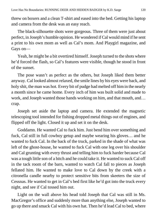threw on boxers and a clean T-shirt and eased into the bed. Getting his laptop and camera from the desk was an easy reach.

The black-silhouette shots were gorgeous. Three of them were just about perfect, in Joseph's humble opinion. He wondered if Cal would mind if he sent a print to his own mom as well as Cal's mom. And Playgirl magazine, and Gays on—

Yeah, he might be a bit overtired himself. Joseph turned to the shots where he'd forced the flash, so Cal's features were visible, though he stood in front of the sunset.

The pose wasn't as perfect as the others, but Joseph liked them better anyway. Cal looked almost relaxed, the smile lines by his eyes were back, and holy shit, the man was hot. Every bit of pudge had melted off him in the nearly a month since he came home. Every inch of him was built solid and made to work, and Joseph wanted those hands working on him, and that mouth, and... crap.

Joseph set aside the laptop and camera. He extended the magnetic telescoping tool intended for fishing dropped metal things out of engines, and flipped off the light. Closed it up and set it on the desk.

Goddamn. He wanted Cal to fuck him. Just bend him over something and fuck, Cal still in full cowboy getup and maybe wearing his gloves… and he wanted to fuck Cal. In the back of the truck, parked in the shade of what was left of the ghost-house, he wanted to fuck Cal with one leg over his shoulder and Cal grunting with every thrust and telling him to fuck harder because Cal was a tough little son of a bitch and he could take it. He wanted to suck Cal off in the tack room of the barn, wanted to watch Cal fall to pieces as Joseph fellated him. He wanted to make love to Cal down by the creek with a citronella candle nearby to protect sensitive bits from skeeters the size of Cessnas. He wanted to get in Cal's bed first like he'd got into the truck every night, and see if Cal tossed him out.

Light on the wall above his head told Joseph that Cal was still in Ms. MacGregor's office and suddenly more than anything else, Joseph wanted to go up there and smack Cal with his own hat. Then he'd lead Cal to bed, where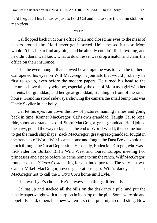he'd forget all his fantasies just to hold Cal and make sure the damn stubborn man *slept*.

\*\*\*\*

Cal flopped back in Mom's office chair and closed his eyes to the mess of papers around him. He'd never get it sorted. He'd messed it up so Mom wouldn't be able to find anything, and he already couldn't find anything, and he didn't damn well know what to do unless it was drop a match and claim the office on their insurance.

That he even thought that showed how stupid he was to even be in there. Cal opened his eyes on Wilf MacGregor's journals that would probably be first to go up, even before the modern papers. He turned his head to the pictures above the bay window, especially the one of Mom as a girl with her parents, her granddad, and her great-granddad, standing in front of the ranch house. Grandma stood sideways, showing the camera the small bump that was Uncle Skyller in her belly.

Cal let his eyes run down the row of pictures, naming names and going back in time. Konner MacGregor, Cal's own granddad. Taught Cal to rope, ride, shoot, and stand up solid. Storm MacGregor, great-granddad. He'd joined the navy, got all the way to Japan at the end of World War II, then come home to get the ranch shipshape. Zack MacGregor, great-great-granddad, fought in the trenches of World War I, came home and fought the Dust Bowl to hold the ranch through the Great Depression. His daddy, Kaden MacGregor, who was a trick rider for Buffalo Bill's Wild West and toured Europe, meeting two princesses and a pope before he came home to run the ranch. Wilf MacGregor, founder of the *Y Otra Cosa*, sitting for a painted portrait. The very last was Callan Mikel MacGregor, seven generations ago, Wilf's daddy. The last MacGregor not to call the *Y Otra Cosa* home until Lyle.

That was Lyle's choice. He'd always seen things differently.

Cal sat up and stacked all the bills on the desk into a pile, and put the plastic paperweight with a scorpion in it on top of the pile. Some were old and hopefully paid, others he knew weren't, so that pile might could sting. Now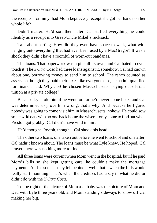the receipts—criminy, had Mom kept every receipt she got her hands on her whole life?

Didn't matter. He'd sort them later. Cal stuffed everything he could identify as a receipt into Great-Uncle Mikel's rucksack.

Talk about sorting. How did they even have space to walk, what with hanging onto everything that had ever been used by a MacGregor? It was a shock they didn't have a roomful of worn-out bandanas.

The loans. That paperwork was a pile all its own, and Cal hated to even touch it. The *Y Otra Cosa* had three loans against it, somehow. Cal had known about one, borrowing money to send him to school. The ranch counted as assets, so though they paid their taxes like everyone else, he hadn't qualified for financial aid. Why *had* he chosen Massachusetts, paying out-of-state tuition at a private college?

Because Lyle told him if he went too far he'd never come back, and Cal was determined to prove him wrong, that's why. And because he figured nobody was going to come visit him in Massachusetts, nohow. He could sow some wild oats with no one back home the wiser—only come to find out when Preston got grabby, Cal didn't have wild in him.

He'd thought. Joseph, though—Cal shook his head.

The other two loans, one taken out before he went to school and one after, Cal hadn't known about. The loans must be what Lyle knew. He hoped. Cal prayed there was nothing more to find.

All three loans were current when Mom went in the hospital, but if he paid Mom's bills so she kept getting care, he couldn't make the mortgage payments. And as soon as they fell behind—well, that's when the bills would really start mounting. That's when the creditors had a say in what he did or didn't do with the *Y Otra Cosa*.

To the right of the picture of Mom as a baby was the picture of Mom and Dad with Lyle three years old, and Mom standing sideways to show off Cal making her big.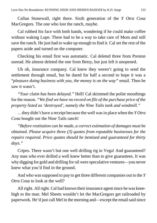Callan Stonewall, right there. Sixth generation of the *Y Otra Cosa* MacGregors. The one who lost the ranch, maybe.

Cal rubbed his face with both hands, wondering if he could make coffee without waking Lupe. There had to be a way to take care of Mom and still save the ranch. He just had to wake up enough to find it. Cal set the rest of the papers aside and turned on the computer.

Checking his email first was automatic. Cal deleted three from Preston unread. He almost deleted the one from Betsy, but just left it unopened.

Uh oh, insurance company. Cal knew they weren't going to send the settlement through email, but he dared for half a second to hope it was a "*pleasure doing business with you, the money is on the way"* email. Then he saw it wasn't.

*"Your claim has been delayed."* Hell! Cal skimmed the polite mouthings for the reason. *"We find we have no record on file of the purchase price of the property listed as 'destroyed', namely the Nine Tails tank and windmill."*

…they didn't have a receipt because the well was in place when the *Y Otra Cosa* bought out the Nine Tails ranch!

*"Before restitution can be made, a correct estimation of damages must be obtained. Please acquire three (3) quotes from reputable businesses for the repairs required. Price quotes should be itemized and guaranteed for thirty days."*

Cripes. There wasn't but one well drilling rig in Vega! And guaranteed? Any man who ever drilled a well knew better than to give guarantees. It was why digging for gold and drilling for oil were speculative ventures—you never knew what you'd find in the ground.

And who was supposed to pay to get three different companies out to the *Y Otra Cosa* to look at the well?

All right. All right. Cal had known their insurance agent since he was kneehigh to the man. Mel Sheets wouldn't let the MacGregors get railroaded by paperwork. He'd just call Mel in the morning and—except the email said since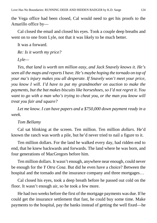the Vega office had been closed, Cal would need to get his proofs to the Amarillo office by—

Cal closed the email and closed his eyes. Took a couple deep breaths and went on to one from Lyle, not that it was likely to be much better.

It was a forward.

*Re: Is it worth my price?*

*Lyle—*

*Yes, that land is worth ten million easy, and Jack Snavely knows it. He's seen all the maps and reports I have. He's maybe hoping the tornado on top of your ma's injury makes you all desperate. If Snavely won't meet your price, you know I will. I'd have to put my grandmother on auction to make the payments, but the bat makes biscuits like horseshoes, so I'd not regret it. You want to go with a man who's trying to cheat you, or the man you know will treat you fair and square?*

*Let me know. I can have papers and a \$750,000 down payment ready in a week.*

## *Tom Bellamy*

Cal sat blinking at the screen. Ten million. Ten million *dollars*. He'd known the ranch was worth a pile, but he'd never tried to nail a figure to it.

Ten million dollars. For the land he walked every day, had ridden end to end, that he knew backwards and forwards. The land where he was born, and four generations of MacGregors before him.

Ten million dollars. It wasn't enough, anywhere near enough, could never be enough for the *Y Otra Cosa*. But did he even have a choice? Between the hospital and the tornado and the insurance company and three mortgages...

Cal closed his eyes, took a deep breath before he passed out cold on the floor. It wasn't enough air, so he took a few more.

He had two weeks before the first of the mortgage payments was due. If he could get the insurance settlement that fast, he could buy some time. Make payments to the hospital, pay the banks instead of getting the well fixed—he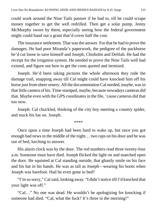could work around the Nine Tails pasture if he had to, till he could scrape money together to get the well redrilled. Then get a solar pump. Jenny McMurphy swore by them, especially seeing how the federal government might could hand out a grant that'd cover half the cost.

The insurance settlement. That was the answer. For that he had to prove the damages. He had poor Miranda's paperwork, the pedigree of the packhorse he'd cut loose to save himself and Joseph, Chisholm and Delilah. He had the receipt for the irrigation system. He needed to prove the Nine Tails well had existed, and figure out how to get the costs quoted and itemized.

Joseph. He'd been taking pictures the whole afternoon they rode the damage trail, snapping away till Cal might could have knocked him off his horse just from sheer ornery. All the documentation Cal needed, maybe, was in that little camera of his. Time-stamped, maybe, because nowadays cameras did that. Maybe even with the GPS coordinates in the file, 'cause cameras did that too now.

Joseph. Cal chuckled, thinking of the city boy meeting a country spider, and stuck his hat on. Joseph.

\*\*\*\*

Once upon a time Joseph had been hard to wake up, but once you got enough bad news in the middle of the night… two raps on his door and he was out of bed, lurching to answer.

His alarm clock was by the door. The red numbers read three twenty-four a.m. Someone must have died. Joseph flicked the light on and snatched open the door. He squinted at Cal standing outside, that ghastly smile on his face and his hat in his hands. He was as tall as Joseph—wearing his boots when Joseph was barefoot. Had he even gone to bed?

"I'm so sorry," Cal said, looking away. "I didn't notice till I'd knocked that your light was off."

"Cal…" No one was dead. He wouldn't be apologizing for knocking if someone had died. "Cal, what the fuck? It's three in the morning!"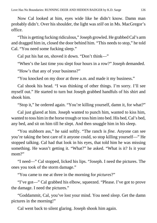Now Cal looked at him, eyes wide like he didn't know. Damn man probably didn't. Over his shoulder, the light was *still* on in Ms. MacGregor's office.

"This is getting fucking ridiculous," Joseph growled. He grabbed Cal's arm and dragged him in, closed the door behind him. "This needs to stop," he told Cal. "You need some fucking sleep."

Cal put his hat on, shoved it down. "Don't think—"

"When's the last time you slept four hours in a row?" Joseph demanded.

"How's that any of your business?"

"You knocked on my door at three a.m. and made it my business."

Cal shook his head. "I was thinking of other things. I'm sorry. I'll see myself out." He started to turn but Joseph grabbed handfuls of his shirt and shook him.

"Stop it," he ordered again. "You're killing yourself, damn it, for what?"

Cal just glared at him. Joseph wanted to punch him, wanted to kiss him, wanted to toss him in the horse trough or toss him into bed. His bed, Cal's bed, any bed, and sit on him till he slept. And then snuggle him in his sleep.

"You stubborn ass," he said softly. "The ranch is *fine*. Anyone can see you're taking the best care of it anyone could, so stop killing yourself—" He stopped talking. Cal had that look in his eyes, that told him he was missing something. He wasn't getting it. "What?" he asked. "What is it? Is it your mom?"

"I need—" Cal stopped, licked his lips. "Joseph. I need the pictures. The ones you took of the storm damage."

"You came to me at three in the morning for *pictures*?"

"I've got—" Cal grabbed his elbow, squeezed. "Please. I've got to prove the damage. I need the pictures."

"Goddammit, Cal, you've lost your mind. You need *sleep*. Get the damn pictures in the morning!"

Cal went back to silent glaring. Joseph shook him again.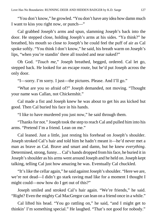"You don't know," he growled. "You don't have any idea how damn much I want to kiss you right now, or punch—"

Cal grabbed Joseph's arms and spun, slamming Joseph's back into the door. He stepped close, holding Joseph's arms at his sides. "Ya think?" he breathed, his mouth so close to Joseph's he could feel the puff of air as Cal spoke softly. "You think I don't know," he said, his breath warm on Joseph's lips, "when you're standin' there all tousled and near naked?"

Oh God. "*Touch me,*" Joseph breathed, begged, ordered. Cal let go, stepped back. He looked for an escape route, but he'd put Joseph across the only door.

"I—sorry. I'm sorry. I just—the pictures. Please. And I'll go."

"What are you so afraid of?" Joseph demanded, not moving. "Thought your name was Callan, not Chickenshit."

Cal made a fist and Joseph knew he was about to get his ass kicked but good. Then Cal buried his face in his hands.

"I like to have murdered you just now," he said through them.

"Thanks for not." Joseph took the step to reach Cal and pulled him into his arms. "Pretend I'm a friend. Lean on me."

Cal leaned. Just a little, just resting his forehead on Joseph's shoulder. Joseph stroked Cal's hair and told him he hadn't meant it—he'd never met a man as brave as Cal. Brave and smart and damn, but he knew *everything*. Determined, strong, funny… Cal's hands dropped from his face, he buried it in Joseph's shoulder as his arms went around Joseph and he held on. Joseph kept talking, telling Cal just how amazing he was. Eventually Cal chuckled.

"It's like the cellar again," he said against Joseph's shoulder. "Here we are, we're not dead—I didn't go stark raving mad like for a moment I thought I might could—now how do I get out of this?"

Joseph smiled and stroked Cal's hair again. "We're friends," he said. "Right? Even the mighty Cal MacGregor can lean on a friend once in a while."

Cal lifted his head. "You go rattling on," he said, "and I might get to thinkin' I'm something special." He laughed. "That's not good for nobody."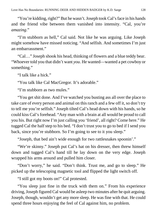"You're kidding, right?" But he wasn't. Joseph took Cal's face in his hands and the friend vibe between them vanished into intensity. "Cal, you're *amazing*."

"I'm stubborn as hell," Cal said. Not like he was arguing. Like Joseph might somehow have missed noticing. "And selfish. And sometimes I'm just an embarrassment."

"Cal…" Joseph shook his head, thinking of flowers and a blue teddy bear. "Whoever told you that didn't want *you*. He wanted—wanted a pet cowboy or something."

"I talk like a hick."

"You talk like Cal MacGregor. It's adorable."

"I'm stubborn as two mules."

"You get shit done. And I've watched you busting ass all over the place to take care of every person and animal on this ranch and a few off it, so don't try to tell me you're selfish." Joseph tilted Cal's head down with his hands, so he could kiss Cal's forehead. "Any man with a brain at all would be proud to call you his. But right now I'm just calling you 'friend', all right? Come here." He tugged Cal the half step to his bed. "I don't trust you to go to bed if I send you back, since you're stubborn. So I'm going to see to it you sleep."

"Joseph, that bed ain't wide enough for two rattlesnakes spoonin'."

"We're skinny." Joseph put Cal's hat on his dresser, then threw himself down and tugged Cal's hand till he lay down on the very edge. Joseph wrapped his arms around and pulled him closer.

"Don't worry," he said. "Don't think. Trust me, and go to sleep." He picked up the telescoping magnetic tool and flipped the light switch off.

"I still got my boots on!" Cal protested.

"You sleep just fine in the truck with them on." From his experience driving, Joseph figured Cal would be asleep two minutes after he quit arguing. Joseph, though, wouldn't get any more sleep. He was fine with that. He could spend three hours enjoying the feel of Cal against him, no problem.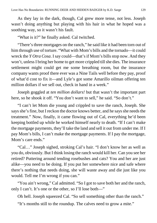As they lay in the dark, though, Cal grew more tense, not less. Joseph wasn't doing anything but playing with his hair in what he hoped was a soothing way, so it wasn't his fault.

"What is it?" he finally asked. Cal twitched.

"There's three mortgages on the ranch," he said like it had been torn out of him through use of torture. "What with Mom's bills and the tornado—it could wreck the *Y Otra Cosa*. I say could—that's if Mom's bills stop now. And they won't, unless I bring her home to get more crippled till she dies. The insurance settlement might could get me some breathing room, but the insurance company wants proof there ever was a Nine Tails well before they pay, proof of what'd cost to fix it—and Lyle's got some Amarillo oilman offering ten million dollars if we sell out, check in hand in a week."

Joseph goggled at *ten million dollars!* but that wasn't the important part here, so he shook it off. "You don't want to sell," he said. "So don't."

"I can't let Mom die young and crippled to save the ranch, Joseph. She says she's fine, but I reckon the doctor knows better, and he says she needs the treatment." Now, finally, it came flowing out of Cal, everything he'd been keeping bottled up while he worked himself nearly to death. "If I can't make the mortgage payments, they'll take the land and sell it out from under me. If I pay Mom's bills, I can't make the mortgage payments. If I pay the mortgage, Mom's care ends."

"Cal…" Joseph sighed, stroking Cal's hair. "I don't know her as well as you do, obviously. But I think losing the ranch would kill her. Can you see her retired? Puttering around tending rosebushes and cats? You and her are just alike—you need to be doing. If you put her somewhere nice and safe where there's nothing that needs doing, she will waste away and die just like you would. Tell me I'm wrong if you can."

"You ain't wrong," Cal admitted. "So I got to save both her and the ranch, only I can't. It's one or the other, so I'll lose both—"

Oh hell. Joseph squeezed Cal. "So sell something other than the ranch."

"It's months still to the roundup. The calves need to grow a mite."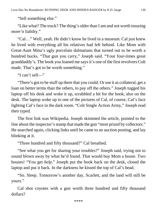"Sell something else."

"Like what? The truck? The thing's older than I am and not worth insuring more'n liabilty."

"Cal…" Well, yeah. *He* didn't know he lived in a museum. Cal just knew he lived with everything all his relatives had left behind. Like Mom with Great-Aunt Mina's ugly porcelain dalmatians that turned out to be worth a hundred bucks. "That gun you carry," Joseph said. "Your four-times great granddaddy's. The book you loaned me says it's one of the first revolvers Colt made. That's got to be worth something."

"I can't sell—"

"There's got to be stuff up there that you could. Or use it as collateral, get a loan on better terms than the others, to pay off the others." Joseph tugged his laptop off his desk and woke it up, scrabbled a bit for the book, also on the desk. The laptop woke up to one of the pictures of Cal, of course, Cal's face lighting Cal's face in the dark room. "Colt Single Action Army," Joseph read then typed.

The first link was Wikipedia. Joseph skimmed the article, pointed to the line about the inspector's stamp that made the gun "most prized by collectors." He searched again, clicking links until he came to an auction posting, and lay blinking at it.

"Three hundred and fifty thousand?" Cal breathed.

"See what you get for sharing your troubles?" Joseph said, trying not to sound blown away by what he'd found. That would buy Mom a house. Two houses! "You get *help*." Joseph put the book back on the desk, closed the laptop and put it back. In the darkness he kissed the top of Cal's head.

"So. Sleep. Tomorrow's another day, Scarlett, and the land will still be yours."

Cal shot coyotes with a gun worth three hundred and fifty thousand dollars?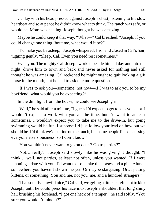Cal lay with his head pressed against Joseph's chest, listening to his slow heartbeat and so at peace he didn't know what to think. The ranch was safe, or would be. Mom was healing. Joseph thought he was amazing.

Maybe he could keep it that way. "What—" Cal breathed, "Joseph, if you could change one thing 'bout me, what would it be?"

"I'd make you be asleep," Joseph whispered. His hand closed in Cal's hair, tugging gently. "Sleep, Cal. Even you need rest sometimes."

Even you. The mighty Cal. Joseph worked beside him all day and into the night, drove him to town and back and never asked for nothing and still thought he was amazing. Cal reckoned he might ought to quit looking a gift horse in the mouth, but he had to ask one more question.

"If I was to ask you—sometime, not now—if I was to ask you to be my boyfriend, what would you be expecting?"

In the dim light from the house, he could see Joseph grin.

"Well," he said after a minute, "I guess I'd expect to get to kiss you a lot. I wouldn't expect to work with you all the time, but I'd want to at least sometimes. I wouldn't expect you to take me to the drive-in, but going swimming would be fun. I suppose I'd just follow your lead on how out we should be. I'd think we'd be fine on the ranch, but some people like discussing everyone else's business, so I don't know."

"You wouldn't never want to go on dates? Go to parties?"

"Not… really?" Joseph said slowly, like he was giving it thought. "I think… well, not parties, at least not often, unless you wanted. If I were planning a date with you, I'd want to—oh, take the horses and a picnic lunch somewhere you haven't shown me yet. Or maybe stargazing. Or… petting kittens, or something. You and me, not you, me, and a hundred strangers."

"That sounds… awful nice," Cal said, wriggling a little, careful not to kick Joseph, until he could press his face into Joseph's shoulder, that long shiny hair brushing his forehead. "I got one heck of a temper," he said softly. "You sure you wouldn't mind it?"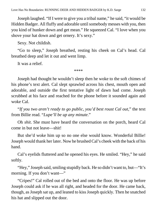Joseph laughed. "If I were to give you a tribal name," he said, "it would be Hidden Badger. All fluffy and adorable until somebody messes with you, then you kind of hunker down and get mean." He squeezed Cal. "I love when you shove your hat down and get ornery. It's sexy."

Sexy. Not childish.

"Go to sleep," Joseph breathed, resting his cheek on Cal's head. Cal breathed deep and let it out and went limp.

It was a relief.

\*\*\*\*

Joseph had thought he wouldn't sleep then he woke to the soft chimes of his phone's text alert. Cal slept sprawled across his chest, mouth open and adorable, and outside the first tentative light of dawn had come. Joseph scrubbed at his face and reached for the phone before it sounded again and woke Cal.

"*If you two aren't ready to go public, you'd best roust Cal out*," the text from Billie read. "*Lupe'll be up any minute*."

Oh *shit*. She must have heard the conversation on the porch, heard Cal come in but not leave—shit!

But she'd woke him up so no one else would know. Wonderful Billie! Joseph would thank her later. Now he brushed Cal's cheek with the back of his hand.

Cal's eyelids fluttered and he opened his eyes. He smiled. "Hey," he said softly.

"Hey," Joseph said, smiling stupidly back. He so didn't want to, but—"It's morning. If you don't want—"

"Cripes!" Cal rolled out of the bed and onto the floor. He was up before Joseph could ask if he was all right, and headed for the door. He came back, though, as Joseph sat up, and leaned to kiss Joseph quickly. Then he snatched his hat and slipped out the door.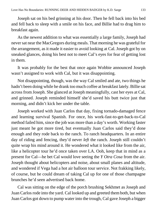Joseph sat on his bed grinning at his door. Then he fell back into his bed and fell back to sleep with a smile on his face, and Billie had to drag him to breakfast again.

As the newest addition to what was essentially a large family, Joseph had never sat near the MacGregors during meals. That morning he was grateful for the arrangement, as it made it easier to avoid looking at Cal. Joseph got by on sneaked glances, doing his best not to meet Cal's eyes for fear of getting lost in them.

It was probably for the best that once again Wobbie announced Joseph wasn't assigned to work with Cal, but it was disappointing.

Not disappointing, though, was the way Cal smiled and ate, two things he hadn't been doing while he drank too much coffee at breakfast lately. Billie sat across from Joseph. She glanced at Joseph meaningfully, cast her eyes at Cal, and grinned. Joseph reminded himself she'd saved his butt twice just that morning, and didn't kick her under the table.

Joseph worked with Juan Carlos that day, fixing tornado-damaged fence and learning survival Spanish. For once, his work-fast-to-get-back-to-Cal method failed him, since the job was more than a day's worth. Working faster just meant he got more tired, but eventually Juan Carlos said they'd done enough and they rode back to the ranch. To ranch headquarters. In an entire day of riding and fencing, they'd never *left* the ranch. Joseph still couldn't quite wrap his mind around it. He wondered what it looked like from the air, like a helicopter tour he'd once taken over LA. Ooh, keep that in mind as a present for Cal—he bet Cal would love seeing the *Y Otra Cosa* from the air. Joseph thought about helicopters and noise, about small planes and altitude, and wondered if Vega had a hot air balloon tour service. Not frakking likely, of course, but he could dream of taking Cal up for one of those champagne brunches he'd seen advertised back home.

Cal was sitting on the edge of the porch brushing Sekhmet as Joseph and Juan Carlos rode into the yard. Cal looked up and greeted them both, but when Juan Carlos got down to pump water into the trough, Cal gave Joseph a bigger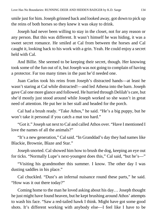smile just for him. Joseph grinned back and looked away, got down to pick up the reins of both horses so they knew it was okay to drink.

Joseph had never been willing to stay in the closet, not for any reason or any person. But this was different. It wasn't himself he was hiding, it was a sweet secret romance. He smiled at Cal from between the horses and Cal caught it, looking back to his work with a grin. Yeah. He could enjoy a secret held with Cal.

And Billie. She seemed to be keeping their secret, though. Her knowing took some of the fun out of it, but Joseph was not going to complain of having a protector. Far too many times in the past he'd needed one.

Juan Carlos took his reins from Joseph's distracted hands—at least he wasn't staring at Cal while distracted!—and led Athena into the barn. Joseph gave Cal one more glance and followed. He hurried through Delilah's care, but she'd mostly just stood around while Joseph worked so she wasn't in great need of attention. He put her in her stall and headed for the porch.

Cal had a brush ready. "Take Athos," he said. "He's a big puppy, but he won't take it personal if you catch a mat too hard."

"Got it." Joseph sat next to Cal and called Athos over. "Have I mentioned I love the names of all the animals?"

"It's a new generation," Cal said. "In Granddad's day they had names like Blackie, Brownie, Blaze and Star."

Joseph snorted. Cal showed him how to brush the dog, keeping an eye out for ticks. "Normally Lupe's next-youngest does this," Cal said, "but he's—"

"Visiting his grandmother this summer. I know. The other day I was dusting saddles in his place."

Cal chuckled. "Dust's an infernal nuisance round these parts," he said. "How was it out there today?"

Coming home to the man he loved asking about his day… Joseph thought he just might have found heaven, but he kept brushing around Athos' attempts to wash his face. "Saw a red-tailed hawk I think. Might have got some good shots. It's different working with anybody else—I feel like I have to be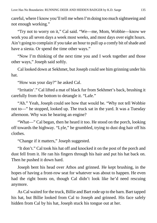careful, where I know you'll tell me when I'm doing too much sightseeing and not enough working."

"Try not to worry on it," Cal said. "We—me, Mom, Wobbie—know we work you all seven days a week most weeks, and most days over eight hours. Ain't going to complain if you take an hour to pull up a comfy bit of shade and have a siesta. Or spend the time other ways."

"Now I'm thinking of the next time you and I work together and those other ways," Joseph said softly.

Cal looked down at Sekhmet, but Joseph could see him grinning under his hat.

"How was your day?" he asked Cal.

"Irritatin'." Cal lifted a mat of black fur from Sekhmet's back, brushing it carefully from the bottom to detangle it. "Lafe."

"Ah." Yeah, Joseph could see how that would be. "Why not tell Wobbie not to—" he stopped, looked up. The truck sat in the yard. It was a Tuesday afternoon. Why was he hearing an engine?

"What—" Cal began, then he heard it too. He stood on the porch, looking off towards the highway. "Lyle," he grumbled, trying to dust dog hair off his clothes.

"Change if it matters," Joseph suggested.

"It don't." Cal took his hat off and knocked it on the post of the porch and dust fell from it. He ran his fingers through his hair and put his hat back on. Then he pushed it down hard.

Joseph bent his head over Athos and grinned. He kept brushing, in the hopes of having a front-row seat for whatever was about to happen. He even had the right boots on, though Cal didn't look like he'd need rescuing anymore.

As Cal waited for the truck, Billie and Bart rode up to the barn. Bart tapped his hat, but Billie looked from Cal to Joseph and grinned. His face safely hidden from Cal by his hat, Joseph stuck his tongue out at her.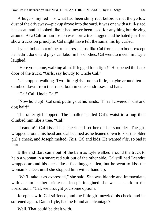A huge shiny red—or what had been shiny red, before it met the yellow dust of the driveway—pickup drove into the yard. It was one with a full-sized backseat, and it looked like it had never been used for anything but driving around. As a Californian Joseph was born a tree hugger, and he hated just-forshow trucks on principle. Cal might have felt the same, his lip curled.

Lyle climbed out of the truck dressed just like Cal from hat to boots except he hadn't done hard physical labor in his clothes. Cal went to meet him. Lyle laughed.

"Here you come, walking all stiff-legged for a fight!" He opened the back door of the truck. "Girls, say howdy to Uncle Cal."

Cal stopped walking. Two little girls—not so little, maybe around ten climbed down from the truck, both in cute sundresses and hats.

"Cal! Cal! Uncle Cal!"

"Now hold up!" Cal said, putting out his hands. "I'm all covered in dirt and dog hair!"

The taller girl stopped. The smaller tackled Cal's waist in a hug then climbed him like a tree. "Cal!"

"Leandra!" Cal kissed her cheek and set her on his shoulder. The girl wrapped around his head and Cal beamed as he leaned down to kiss the older girl's cheek, and Joseph melted. *This*. Cal and kids. He wanted *this*, so bad it hurt.

Billie and Bart came out of the barn as Lyle walked around the truck to help a woman in a smart red suit out of the other side. Cal still had Leandra wrapped around his neck like a face-hugger alien, but he went to kiss the woman's cheek until she stopped him with a hand up.

"We'll take it as expressed," she said. She was blonde and immaculate, with a slim leather briefcase. Joseph imagined she was a shark in the boardroom. "Cal, we brought you some options."

Joseph saw it. Cal stiffened, and the little girl nuzzled his cheek, and he softened again. Damn Lyle, had he found an advantage?

Well. That could be dealt with.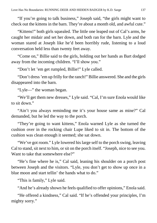"If you're going to talk business," Joseph said, "the girls might want to check out the kittens in the barn. They're about a month old, and awful cute."

"Kittens!" both girls squealed. The little one leaped out of Cal's arms, he caught her midair and set her down, and both ran for the barn. Lyle and the woman stared at Joseph like he'd been horribly rude, listening to a loud conversation held less than twenty feet away.

"Come on," Billie said to the girls, holding out her hands as Bart dodged away from the incoming children. "I'll show you."

"Don't let 'em get rumpled, Billie!" Lyle called.

"Don't dress 'em up frilly for the ranch!" Billie answered. She and the girls disappeared into the barn.

"Lyle—" the woman began.

"We'll get them new dresses," Lyle said. "Cal, I'm sure Enola would like to sit down."

"Ain't you always reminding me it's your house same as mine?" Cal demanded, but he led the way to the porch.

"They're going to want kittens," Enola warned Lyle as she turned the cushion over in the rocking chair Lupe liked to sit in. The bottom of the cushion was clean enough it seemed; she sat down.

"We've got room." Lyle lowered his large self to the porch swing, leaving Cal to stand, sit next to him, or sit on the porch itself. "Joseph, nice to see you. Want to take that somewhere else?"

"He's fine where he is," Cal said, leaning his shoulder on a porch post between Joseph and the visitors. "Lyle, you don't get to show up once in a blue moon and start tellin' the hands what to do."

"This is family," Lyle said.

"And he's already shown he feels qualified to offer opinions," Enola said.

"He offered a kindness," Cal said. "If he's offended your principles, I'm mighty sorry."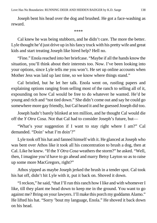Joseph bent his head over the dog and brushed. He got a face-washing as reward.

\*\*\*\*

Cal knew he was being stubborn, and he didn't care. The more the better. Lyle thought he'd just drive up in his fancy truck with his pretty wife and great kids and start treating Joseph like hired help? Hell no.

"Fine." Enola reached into her briefcase. "Maybe if all the hands know the situation, you'll think about their interests too. Now. I've been looking into your options, since Lyle tells me you won't. He set up online accounts when Mother Jess was laid up last time, so we know where things stand."

Cal bristled, but he let her talk. Enola went on, rustling papers and explaining options ranging from selling most of the ranch to selling all of it, expounding on how Cal would be free to do whatever he wanted. He'd be young and rich and "not tied down." She didn't come out and say he could go somewhere more gay friendly, but Cal heard it and he guessed Joseph did too.

Joseph hadn't barely blinked at ten million, and he thought Cal would die off the *Y Otra Cosa*. Not that Cal had to consider Joseph's future, but—

"What's your suggestion if I want to stay right where I am?" Cal demanded. "Doin' what I'm doin'?"

Lyle took off his hat and fanned himself with it. He glanced at Joseph who was bent over Athos like it took all his concentration to brush a dog, then at Cal. Like he knew. "If the *Y Otra Cosa* weathers the storm?" he asked. "Well, then, I imagine you'd have to go ahead and marry Betsy Layton so as to raise up some more MacGregors, right?"

Athos yipped as maybe Joseph jerked the brush in a tender spot. Cal took his hat off, didn't hit Lyle with it, put it back on. Shoved it down.

"I reckon," he said, "that I'll run this ranch how I like and with whomever I like, till they plant me head down to keep me in the ground. You want to go against me? Bring on your lawyers. I'll make this porch my goddamn Alamo." He lifted his hat. "Sorry 'bout my language, Enola." He shoved it back down on his head.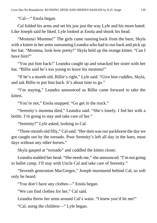"Cal—" Enola began.

Cal folded his arms and set his jaw just the way Lyle and his mom hated. Like Joseph said he liked. Lyle looked at Enola and shook his head.

"Momma! Momma!" The girls came running back from the barn, Skyla with a kitten in her arms outrunning Leandra who had to run back and pick up her hat. "Momma, look how pretty!" Skyla held up the orange kitten. "Can I have him?"

"You put him back!" Leandra caught up and smacked her sister with her hat. "Billie said he's too young to leave his momma!"

"If he's a month old, Billie's right," Lyle said. "Give him cuddles, Skyla, and ask Billie to put him back. It's about time to go."

"I'm staying," Leandra announced as Billie came forward to take the kitten.

"You're not," Enola snapped. "Go get in the truck."

"Serenity's momma died," Leandra said. "She's lonely. I fed her with a bottle. I'm going to stay and take care of her."

"Serenity?" Lyle asked, looking to Cal.

"Three-month-old filly," Cal said. "Her dam was our packhorse the day we got caught out by the tornado. Poor Serenity's left all day in the barn, most days without any other horses."

Skyla gasped at "tornado" and cuddled the kitten closer.

Leandra nodded her head. "She needs me," she announced. "I'm not going to ballet camp. I'll stay with Uncle Cal and take care of Serenity."

"Seventh generation MacGregor," Joseph murmured behind Cal, so soft only he heard.

"You don't have any clothes—" Enola began.

"We can find clothes for her," Cal said.

Leandra threw her arms around Cal's waist. "I knew you'd let me!"

"Cal, using the children—" Lyle began.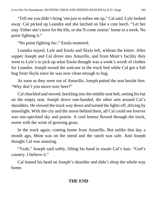"Tell me you didn't bring 'em just to soften me up," Cal said. Lyle looked away. Cal picked up Leandra and she latched on like a cute leech. "Let her stay. Either she's born for the life, or she'll come runnin' home in a week. No point fighting it."

"No point fighting *her*," Enola muttered.

Leandra stayed. Lyle and Enola and Skyla left, without the kitten. After supper Joseph and Cal drove into Amarillo, and from Mom's facility they went to Lyle's to pick up what Enola thought was a week's worth of clothes for Leandra. Joseph tossed the suitcase in the truck bed while Cal got a full hug from Skyla since he was now clean enough to hug.

As soon as they were out of Amarillo, Joseph patted the seat beside him. "Why don't you move over here?"

Cal chuckled and moved, buckling into the middle seat belt, setting his hat on the empty seat. Joseph drove one-handed, the other arm around Cal's shoulders. He slowed the truck way down and turned the lights off, driving by moonlight. With the city and the moon behind them, all Cal could see forever was star-speckled sky and prairie. A cool breeze flowed through the truck, sweet with the scent of growing grass.

In the truck again, coming home from Amarillo. But unlike that day a month ago, Mom was on the mend and the ranch was safe. And Joseph thought Cal was amazing.

"Yeah," Joseph said softly, lifting his hand to tousle Cal's hair. "God's country. I believe it."

Cal leaned his head on Joseph's shoulder and didn't sleep the whole way home.

## **THE END**